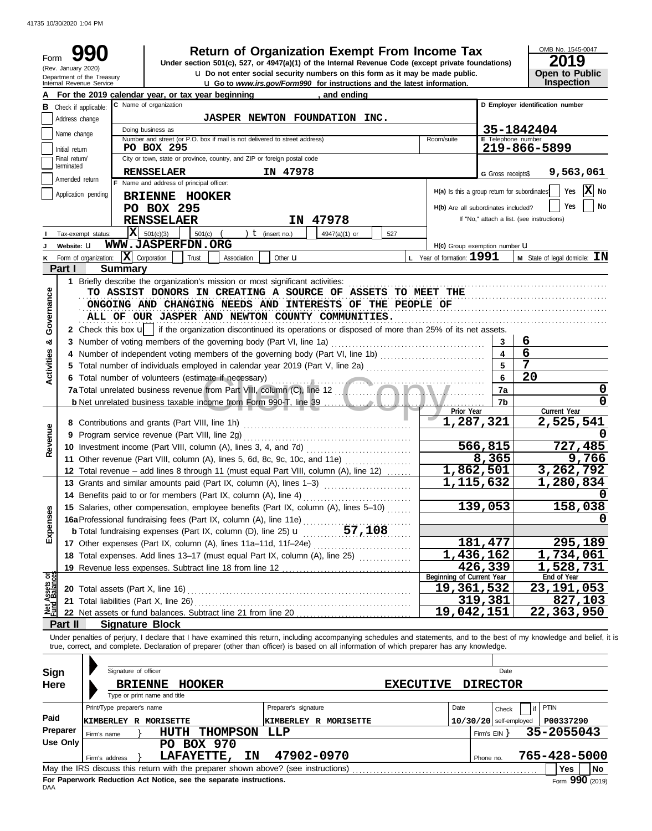|                            |                                                                                                                                                                                                                            |                                  |                                                                                                 | Return of Organization Exempt From Income Tax                                                                                                                                                                                                                                                                            |                                      |                                  | OMB No. 1545-0047                                                        |  |
|----------------------------|----------------------------------------------------------------------------------------------------------------------------------------------------------------------------------------------------------------------------|----------------------------------|-------------------------------------------------------------------------------------------------|--------------------------------------------------------------------------------------------------------------------------------------------------------------------------------------------------------------------------------------------------------------------------------------------------------------------------|--------------------------------------|----------------------------------|--------------------------------------------------------------------------|--|
| Form                       | (Rev. January 2020)                                                                                                                                                                                                        | 2019<br><b>Open to Public</b>    |                                                                                                 |                                                                                                                                                                                                                                                                                                                          |                                      |                                  |                                                                          |  |
|                            | <b>u</b> Do not enter social security numbers on this form as it may be made public.<br>Department of the Treasury<br>Internal Revenue Service<br>u Go to www.irs.gov/Form990 for instructions and the latest information. |                                  |                                                                                                 |                                                                                                                                                                                                                                                                                                                          |                                      |                                  | Inspection                                                               |  |
|                            |                                                                                                                                                                                                                            |                                  | For the 2019 calendar year, or tax year beginning and ending, and ending                        |                                                                                                                                                                                                                                                                                                                          |                                      |                                  |                                                                          |  |
|                            |                                                                                                                                                                                                                            | <b>B</b> Check if applicable:    | C Name of organization                                                                          |                                                                                                                                                                                                                                                                                                                          |                                      |                                  | D Employer identification number                                         |  |
|                            | Address change                                                                                                                                                                                                             |                                  |                                                                                                 | JASPER NEWTON FOUNDATION INC.                                                                                                                                                                                                                                                                                            |                                      |                                  |                                                                          |  |
|                            | Name change                                                                                                                                                                                                                |                                  | Doing business as<br>Number and street (or P.O. box if mail is not delivered to street address) |                                                                                                                                                                                                                                                                                                                          | Room/suite                           | 35-1842404<br>E Telephone number |                                                                          |  |
|                            | Initial return                                                                                                                                                                                                             |                                  | PO BOX 295                                                                                      |                                                                                                                                                                                                                                                                                                                          |                                      |                                  | 219-866-5899                                                             |  |
|                            | Final return/<br>terminated                                                                                                                                                                                                |                                  | City or town, state or province, country, and ZIP or foreign postal code                        |                                                                                                                                                                                                                                                                                                                          |                                      |                                  |                                                                          |  |
|                            | Amended return                                                                                                                                                                                                             |                                  | <b>RENSSELAER</b>                                                                               | IN 47978                                                                                                                                                                                                                                                                                                                 |                                      | <b>G</b> Gross receipts\$        | 9,563,061                                                                |  |
|                            |                                                                                                                                                                                                                            |                                  | F Name and address of principal officer:                                                        |                                                                                                                                                                                                                                                                                                                          |                                      |                                  | $ \mathbf{X} $ No<br>Yes<br>H(a) Is this a group return for subordinates |  |
|                            |                                                                                                                                                                                                                            | Application pending              | <b>BRIENNE HOOKER</b>                                                                           |                                                                                                                                                                                                                                                                                                                          |                                      |                                  | Yes<br>No                                                                |  |
|                            |                                                                                                                                                                                                                            |                                  | PO BOX 295                                                                                      |                                                                                                                                                                                                                                                                                                                          | H(b) Are all subordinates included?  |                                  | If "No," attach a list. (see instructions)                               |  |
|                            |                                                                                                                                                                                                                            | X                                | <b>RENSSELAER</b>                                                                               | IN 47978                                                                                                                                                                                                                                                                                                                 |                                      |                                  |                                                                          |  |
|                            | Website: U                                                                                                                                                                                                                 | Tax-exempt status:               | 501(c)(3)<br>501(c)<br>WWW.JASPERFDN.ORG                                                        | ) $t$ (insert no.)<br>4947(a)(1) or<br>527                                                                                                                                                                                                                                                                               | H(c) Group exemption number <b>U</b> |                                  |                                                                          |  |
| ĸ                          |                                                                                                                                                                                                                            | Form of organization:            | $ \mathbf{X} $ Corporation<br>Trust<br>Association                                              | Other <b>u</b>                                                                                                                                                                                                                                                                                                           | L Year of formation: 1991            |                                  | <b>M</b> State of legal domicile: $IN$                                   |  |
|                            | <b>Part I</b>                                                                                                                                                                                                              | <b>Summary</b>                   |                                                                                                 |                                                                                                                                                                                                                                                                                                                          |                                      |                                  |                                                                          |  |
|                            |                                                                                                                                                                                                                            |                                  | 1 Briefly describe the organization's mission or most significant activities:                   |                                                                                                                                                                                                                                                                                                                          |                                      |                                  |                                                                          |  |
|                            |                                                                                                                                                                                                                            |                                  |                                                                                                 | TO ASSIST DONORS IN CREATING A SOURCE OF ASSETS TO MEET THE                                                                                                                                                                                                                                                              |                                      |                                  |                                                                          |  |
| Governance                 |                                                                                                                                                                                                                            |                                  |                                                                                                 | ONGOING AND CHANGING NEEDS AND INTERESTS OF THE PEOPLE OF                                                                                                                                                                                                                                                                |                                      |                                  |                                                                          |  |
|                            |                                                                                                                                                                                                                            |                                  |                                                                                                 | ALL OF OUR JASPER AND NEWTON COUNTY COMMUNITIES.                                                                                                                                                                                                                                                                         |                                      |                                  |                                                                          |  |
|                            |                                                                                                                                                                                                                            |                                  |                                                                                                 | 2 Check this box u   if the organization discontinued its operations or disposed of more than 25% of its net assets.                                                                                                                                                                                                     |                                      |                                  |                                                                          |  |
| ఱ                          |                                                                                                                                                                                                                            |                                  |                                                                                                 |                                                                                                                                                                                                                                                                                                                          |                                      | 3                                | 6                                                                        |  |
| <b>Activities</b>          |                                                                                                                                                                                                                            |                                  |                                                                                                 |                                                                                                                                                                                                                                                                                                                          |                                      |                                  | 6                                                                        |  |
|                            |                                                                                                                                                                                                                            |                                  |                                                                                                 |                                                                                                                                                                                                                                                                                                                          |                                      |                                  | 7                                                                        |  |
|                            |                                                                                                                                                                                                                            |                                  | 6 Total number of volunteers (estimate if necessary)                                            |                                                                                                                                                                                                                                                                                                                          |                                      |                                  | 20                                                                       |  |
|                            |                                                                                                                                                                                                                            |                                  |                                                                                                 |                                                                                                                                                                                                                                                                                                                          | <b>N.</b>                            | 7a                               |                                                                          |  |
|                            |                                                                                                                                                                                                                            |                                  |                                                                                                 |                                                                                                                                                                                                                                                                                                                          | .<br>Prior Year                      | 7b                               | 0<br>Current Year                                                        |  |
|                            |                                                                                                                                                                                                                            |                                  |                                                                                                 |                                                                                                                                                                                                                                                                                                                          |                                      | 1,287,321                        | 2,525,541                                                                |  |
| Revenue                    |                                                                                                                                                                                                                            |                                  | 9 Program service revenue (Part VIII, line 2g)                                                  |                                                                                                                                                                                                                                                                                                                          |                                      |                                  |                                                                          |  |
|                            |                                                                                                                                                                                                                            |                                  |                                                                                                 |                                                                                                                                                                                                                                                                                                                          |                                      | 566,815                          | 727,485                                                                  |  |
|                            |                                                                                                                                                                                                                            |                                  |                                                                                                 | 11 Other revenue (Part VIII, column (A), lines 5, 6d, 8c, 9c, 10c, and 11e)                                                                                                                                                                                                                                              |                                      | 8,365                            | 9,766                                                                    |  |
|                            |                                                                                                                                                                                                                            |                                  |                                                                                                 | 12 Total revenue – add lines 8 through 11 (must equal Part VIII, column (A), line 12)                                                                                                                                                                                                                                    |                                      | 1,862,501                        | 3,262,792                                                                |  |
|                            |                                                                                                                                                                                                                            |                                  | 13 Grants and similar amounts paid (Part IX, column (A), lines 1-3)                             |                                                                                                                                                                                                                                                                                                                          |                                      | 1,115,632                        | 1,280,834                                                                |  |
|                            |                                                                                                                                                                                                                            |                                  | 14 Benefits paid to or for members (Part IX, column (A), line 4)                                |                                                                                                                                                                                                                                                                                                                          |                                      |                                  |                                                                          |  |
|                            |                                                                                                                                                                                                                            |                                  |                                                                                                 | 15 Salaries, other compensation, employee benefits (Part IX, column (A), lines 5-10)                                                                                                                                                                                                                                     |                                      | 139,053                          | 158,038                                                                  |  |
| Expenses                   |                                                                                                                                                                                                                            |                                  |                                                                                                 | 15 Salaries, orner compensation, surface of the A), line 11e)<br>16a Professional fundraising fees (Part IX, column (A), line 11e)<br>$(2.4 \text{ N})$ line 25) <b>u</b> 57,108                                                                                                                                         |                                      |                                  |                                                                          |  |
|                            |                                                                                                                                                                                                                            |                                  |                                                                                                 |                                                                                                                                                                                                                                                                                                                          |                                      |                                  |                                                                          |  |
|                            |                                                                                                                                                                                                                            |                                  |                                                                                                 | 17 Other expenses (Part IX, column (A), lines 11a-11d, 11f-24e)                                                                                                                                                                                                                                                          |                                      | 181,477                          | 295,189                                                                  |  |
|                            |                                                                                                                                                                                                                            |                                  |                                                                                                 |                                                                                                                                                                                                                                                                                                                          |                                      | 1,436,162<br>426,339             | 1,734,061                                                                |  |
|                            |                                                                                                                                                                                                                            |                                  |                                                                                                 |                                                                                                                                                                                                                                                                                                                          | Beginning of Current Year            |                                  | 1,528,731<br>End of Year                                                 |  |
| Assets or<br>d<br>Balances |                                                                                                                                                                                                                            |                                  |                                                                                                 |                                                                                                                                                                                                                                                                                                                          | 19,361,532                           |                                  | 23,191,053                                                               |  |
|                            |                                                                                                                                                                                                                            |                                  |                                                                                                 |                                                                                                                                                                                                                                                                                                                          |                                      | 319,381                          | 827,103                                                                  |  |
| 훶                          |                                                                                                                                                                                                                            |                                  |                                                                                                 |                                                                                                                                                                                                                                                                                                                          | 19,042,151                           |                                  | 22,363,950                                                               |  |
|                            | Part II                                                                                                                                                                                                                    | <b>Signature Block</b>           |                                                                                                 |                                                                                                                                                                                                                                                                                                                          |                                      |                                  |                                                                          |  |
|                            |                                                                                                                                                                                                                            |                                  |                                                                                                 | Under penalties of perjury, I declare that I have examined this return, including accompanying schedules and statements, and to the best of my knowledge and belief, it is<br>true, correct, and complete. Declaration of preparer (other than officer) is based on all information of which preparer has any knowledge. |                                      |                                  |                                                                          |  |
|                            |                                                                                                                                                                                                                            |                                  |                                                                                                 |                                                                                                                                                                                                                                                                                                                          |                                      |                                  |                                                                          |  |
| <b>Sign</b>                |                                                                                                                                                                                                                            | Signature of officer             |                                                                                                 |                                                                                                                                                                                                                                                                                                                          |                                      | Date                             |                                                                          |  |
| Here                       |                                                                                                                                                                                                                            | <b>BRIENNE</b>                   | <b>HOOKER</b><br>Type or print name and title                                                   |                                                                                                                                                                                                                                                                                                                          | <b>EXECUTIVE</b>                     | <b>DIRECTOR</b>                  |                                                                          |  |
|                            |                                                                                                                                                                                                                            | Print/Type preparer's name       |                                                                                                 | Preparer's signature                                                                                                                                                                                                                                                                                                     | Date                                 | Check                            | PTIN                                                                     |  |
| Paid                       |                                                                                                                                                                                                                            | KIMBERLEY R MORISETTE            |                                                                                                 | KIMBERLEY R MORISETTE                                                                                                                                                                                                                                                                                                    |                                      | $10/30/20$ self-employed         | P00337290                                                                |  |
|                            | Preparer                                                                                                                                                                                                                   |                                  | <b>HUTH</b><br><b>THOMPSON</b>                                                                  | LLP                                                                                                                                                                                                                                                                                                                      |                                      | Firm's $EIN$ }                   | 35-2055043                                                               |  |
|                            | Use Only                                                                                                                                                                                                                   | Firm's name<br><b>PO BOX 970</b> |                                                                                                 |                                                                                                                                                                                                                                                                                                                          |                                      |                                  |                                                                          |  |
|                            |                                                                                                                                                                                                                            | Firm's address                   | LAFAYETTE,<br>IN                                                                                | 47902-0970                                                                                                                                                                                                                                                                                                               |                                      | Phone no.                        | 765-428-5000                                                             |  |
|                            |                                                                                                                                                                                                                            |                                  |                                                                                                 |                                                                                                                                                                                                                                                                                                                          |                                      |                                  | <b>No</b><br><b>Yes</b>                                                  |  |

|            | Print/Type preparer's name                                                                            |           |                                | Preparer's signature        | Date |                | Check                    | if PTIN      |
|------------|-------------------------------------------------------------------------------------------------------|-----------|--------------------------------|-----------------------------|------|----------------|--------------------------|--------------|
| Paid       | KIMBERLEY<br>R                                                                                        | MORISETTE |                                | KIMBERLEY<br>MORISETTE<br>R |      |                | $10/30/20$ self-employed | P00337290    |
| Preparer   | Firm's name                                                                                           |           | <b>HUTH THOMPSON LLP</b>       |                             |      | Firm's $EIN$ } |                          | 35-2055043   |
| Use Only   |                                                                                                       |           | PO BOX 970                     |                             |      |                |                          |              |
|            | Firm's address                                                                                        |           | <b>IN</b><br><b>LAFAYETTE,</b> | 47902-0970                  |      | Phone no.      |                          | 765-428-5000 |
|            | <b>No</b><br>May the IRS discuss this return with the preparer shown above? (see instructions)<br>Yes |           |                                |                             |      |                |                          |              |
| <b>DAA</b> | Form 990 (2019)<br>For Paperwork Reduction Act Notice, see the separate instructions.                 |           |                                |                             |      |                |                          |              |

DAA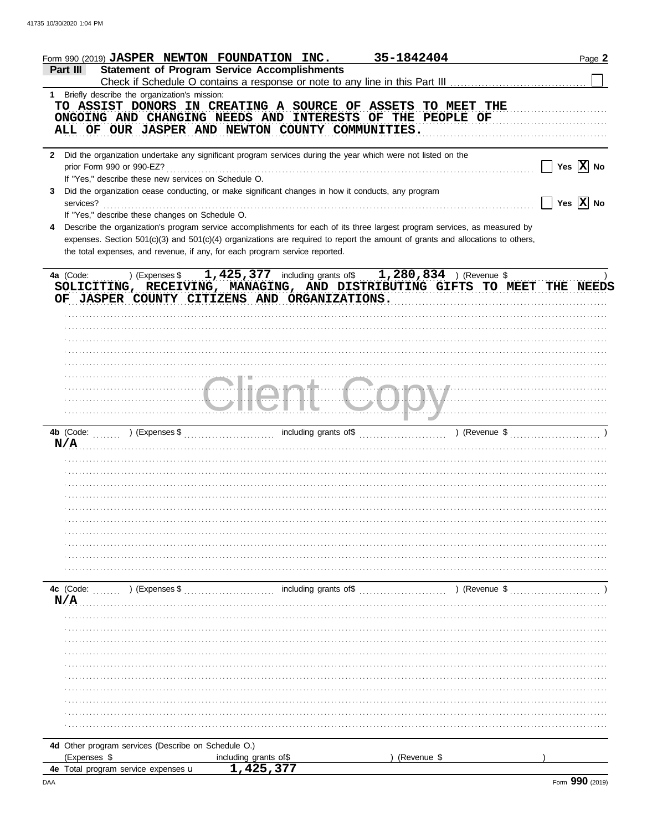| Form 990 (2019) JASPER NEWTON FOUNDATION INC.                                                                                                                                                                                                                                                                                |                                                                             | 35-1842404                                                                                                            | Page 2                                            |
|------------------------------------------------------------------------------------------------------------------------------------------------------------------------------------------------------------------------------------------------------------------------------------------------------------------------------|-----------------------------------------------------------------------------|-----------------------------------------------------------------------------------------------------------------------|---------------------------------------------------|
| <b>Statement of Program Service Accomplishments</b><br>Part III                                                                                                                                                                                                                                                              |                                                                             |                                                                                                                       |                                                   |
| 1 Briefly describe the organization's mission:<br>TO ASSIST DONORS IN CREATING A SOURCE OF ASSETS TO MEET THE<br>ONGOING AND CHANGING NEEDS AND INTERESTS OF THE PEOPLE OF<br>ALL OF OUR JASPER AND NEWTON COUNTY COMMUNITIES.                                                                                               |                                                                             |                                                                                                                       |                                                   |
| 2 Did the organization undertake any significant program services during the year which were not listed on the<br>If "Yes," describe these new services on Schedule O.<br>Did the organization cease conducting, or make significant changes in how it conducts, any program<br>3                                            |                                                                             |                                                                                                                       | Yes $\boxed{\mathbf{X}}$ No<br>$\perp$            |
| services?<br>If "Yes," describe these changes on Schedule O.<br>Describe the organization's program service accomplishments for each of its three largest program services, as measured by<br>expenses. Section 501(c)(3) and 501(c)(4) organizations are required to report the amount of grants and allocations to others, |                                                                             |                                                                                                                       | $\boxed{\phantom{1}}$ Yes $\boxed{\textbf{X}}$ No |
| the total expenses, and revenue, if any, for each program service reported.                                                                                                                                                                                                                                                  |                                                                             |                                                                                                                       |                                                   |
| 4a (Code:<br>SOLICITING, RECEIVING, MANAGING, AND DISTRIBUTING GIFTS TO MEET THE NEEDS<br>OF JASPER COUNTY CITIZENS AND ORGANIZATIONS.                                                                                                                                                                                       | ) (Expenses \$ $1,425,377$ including grants of \$ $1,280,834$ ) (Revenue \$ | <u>IVIII MARTIN MARTIN MARTIN MARTIN MARTIN MARTIN MARTIN MARTIN MARTIN MARTIN MARTIN MARTIN MARTIN MARTIN MARTIN</u> |                                                   |
|                                                                                                                                                                                                                                                                                                                              |                                                                             |                                                                                                                       |                                                   |
| N/A                                                                                                                                                                                                                                                                                                                          |                                                                             |                                                                                                                       |                                                   |
|                                                                                                                                                                                                                                                                                                                              |                                                                             |                                                                                                                       |                                                   |
|                                                                                                                                                                                                                                                                                                                              |                                                                             |                                                                                                                       |                                                   |
|                                                                                                                                                                                                                                                                                                                              |                                                                             |                                                                                                                       |                                                   |
|                                                                                                                                                                                                                                                                                                                              |                                                                             |                                                                                                                       |                                                   |
|                                                                                                                                                                                                                                                                                                                              |                                                                             |                                                                                                                       |                                                   |
|                                                                                                                                                                                                                                                                                                                              |                                                                             |                                                                                                                       |                                                   |
| 4c (Code:<br>) (Expenses \$<br>N/A                                                                                                                                                                                                                                                                                           | including grants of\$                                                       | ) (Revenue \$                                                                                                         |                                                   |
|                                                                                                                                                                                                                                                                                                                              |                                                                             |                                                                                                                       |                                                   |
|                                                                                                                                                                                                                                                                                                                              |                                                                             |                                                                                                                       |                                                   |
|                                                                                                                                                                                                                                                                                                                              |                                                                             |                                                                                                                       |                                                   |
|                                                                                                                                                                                                                                                                                                                              |                                                                             |                                                                                                                       |                                                   |
|                                                                                                                                                                                                                                                                                                                              |                                                                             |                                                                                                                       |                                                   |
|                                                                                                                                                                                                                                                                                                                              |                                                                             |                                                                                                                       |                                                   |
|                                                                                                                                                                                                                                                                                                                              |                                                                             |                                                                                                                       |                                                   |
|                                                                                                                                                                                                                                                                                                                              |                                                                             |                                                                                                                       |                                                   |
| 4d Other program services (Describe on Schedule O.)<br>(Expenses \$                                                                                                                                                                                                                                                          | including grants of\$                                                       | (Revenue \$                                                                                                           |                                                   |
| 4e Total program service expenses u                                                                                                                                                                                                                                                                                          | 425.377                                                                     |                                                                                                                       |                                                   |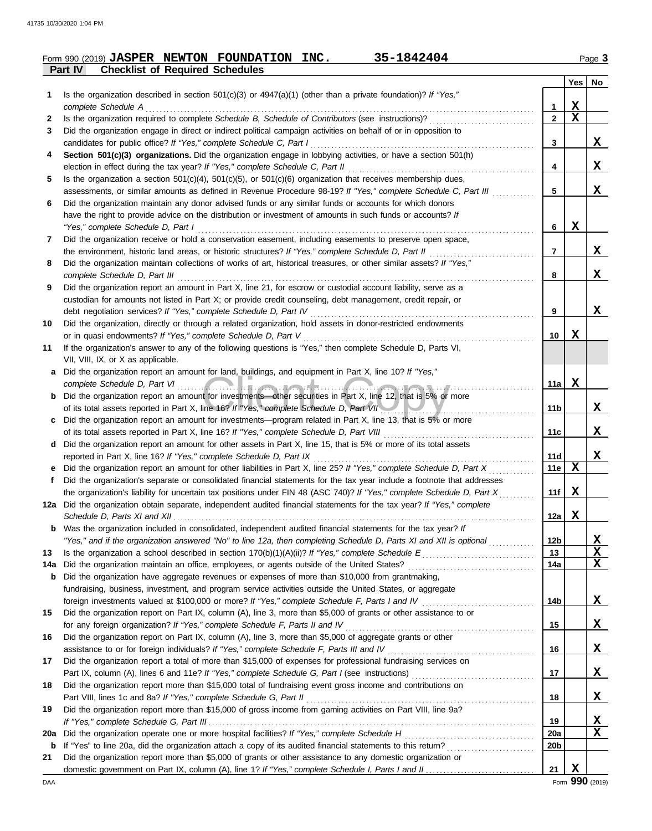| Form 990 (2019) JASPER NEWTON FOUNDATION INC.<br>35-1842404                                                       |  |            | Page 3 |  |  |
|-------------------------------------------------------------------------------------------------------------------|--|------------|--------|--|--|
| <b>Part IV</b><br><b>Checklist of Required Schedules</b>                                                          |  |            |        |  |  |
|                                                                                                                   |  | <b>Yes</b> |        |  |  |
| Is the organization described in section $501(c)(3)$ or $4947(a)(1)$ (other than a private foundation)? If "Yes," |  |            |        |  |  |
| complete Schedule A                                                                                               |  |            |        |  |  |

**2** Is the organization required to complete *Schedule B, Schedule of Contributors* (see instructions)? . . . . . . . . . . . . . . . . . . . . . . . . . . . . . .

| Did the organization engage in direct or indirect political campaign activities on behalf of or in opposition to |
|------------------------------------------------------------------------------------------------------------------|
| candidates for public office? If "Yes," complete Schedule C, Part I                                              |
| 4 Section 501(c)(3) organizations. Did the organization engage in lobbying activities, or have a section 501(h)  |
| election in effect during the tax year? If "Yes," complete Schedule C, Part II                                   |

| 5 Is the organization a section $501(c)(4)$ , $501(c)(5)$ , or $501(c)(6)$ organization that receives membership dues, |  |  |  |  |
|------------------------------------------------------------------------------------------------------------------------|--|--|--|--|
| assessments, or similar amounts as defined in Revenue Procedure 98-19? If "Yes," complete Schedule C, Part III         |  |  |  |  |

| 6 Did the organization maintain any donor advised funds or any similar funds or accounts for which donors   |
|-------------------------------------------------------------------------------------------------------------|
| have the right to provide advice on the distribution or investment of amounts in such funds or accounts? If |
| "Yes," complete Schedule D, Part I                                                                          |
|                                                                                                             |

res, complete schedule D, rate conservation easement, including easements to preserve open space, the environment, historic land areas, or historic structures? *If "Yes," complete Schedule D, Part II* . . . . . . . . . . . . . . . . . . . . . . . . . . . . . .

| 8 Did the organization maintain collections of works of art, historical treasures, or other similar assets? If "Yes,"    |
|--------------------------------------------------------------------------------------------------------------------------|
| complete Schedule D, Part III                                                                                            |
| <b>9</b> Did the organization report an amount in Part X, line 21, for escrow or custodial account liability, serve as a |

|    | debt negotiation services? If "Yes," complete Schedule D, Part IV                                            |
|----|--------------------------------------------------------------------------------------------------------------|
| 10 | Did the organization, directly or through a related organization, hold assets in donor-restricted endowments |
|    | or in quasi endowments? If "Yes," complete Schedule D, Part V                                                |

custodian for amounts not listed in Part X; or provide credit counseling, debt management, credit repair, or

| 11 If the organization's answer to any of the following questions is "Yes," then complete Schedule D, Parts VI,        |
|------------------------------------------------------------------------------------------------------------------------|
| VII, VIII, IX, or X as applicable.                                                                                     |
| <b>a</b> Did the organization report an amount for land, buildings, and equipment in Part X, line 10? If "Yes,"        |
| complete Schedule D, Part VI <b>Complete Schedule D, Part VI</b>                                                       |
| <b>b</b> Did the organization report an amount for investments—other securities in Part X, line 12, that is 5% or more |
| of its total assets reported in Part X, line 16? If "Yes," complete Schedule D, Part VII                               |
| n Did the arranization report an amount for investments program related in Part Y line 13 that is 5% or more           |

| c Did the organization report an amount for investments—program related in Part X, line 13, that is 5% or more             |
|----------------------------------------------------------------------------------------------------------------------------|
| of its total assets reported in Part X, line 16? If "Yes," complete Schedule D, Part VIII [[[[[[[[[[[[[[[[[[[[             |
| <b>d</b> Did the organization report an amount for other assets in Part X, line 15, that is 5% or more of its total assets |

**12a** Did the organization obtain separate, independent audited financial statements for the tax year? *If "Yes," complete* reported in Part X, line 16? *If "Yes," complete Schedule D, Part IX* . . . . . . . . . . . . . . . . . . . . . . . . . . . . . . . . . . . . . . . . . . . . . . . . . . . . . . . . . . . . . . . Did the organization report an amount for other liabilities in Part X, line 25? *If "Yes," complete Schedule D, Part X* . . . . . . . . . . . . . **e** Did the organization's separate or consolidated financial statements for the tax year include a footnote that addresses the organization's liability for uncertain tax positions under FIN 48 (ASC 740)? *If "Yes," complete Schedule D, Part X* . . . . . . . . . . **f**

*Schedule D, Parts XI and XII* . . . . . . . . . . . . . . . . . . . . . . . . . . . . . . . . . . . . . . . . . . . . . . . . . . . . . . . . . . . . . . . . . . . . . . . . . . . . . . . . . . . . . . . . . . . . . . . . . . . . . . . *"Yes," and if the organization answered "No" to line 12a, then completing Schedule D, Parts XI and XII is optional* Was the organization included in consolidated, independent audited financial statements for the tax year? *If* **b**

|    | $153$ , and if the organization answered those to line 12a, then completing Schedule D, I and All and All is optional | 14 Y |
|----|-----------------------------------------------------------------------------------------------------------------------|------|
|    | 13 Is the organization a school described in section $170(b)(1)(A)(ii)?$ If "Yes," complete Schedule E                | 13   |
|    | 14a Did the organization maintain an office, employees, or agents outside of the United States?                       | 14a  |
|    | <b>b</b> Did the organization have aggregate revenues or expenses of more than \$10,000 from grantmaking.             |      |
|    | fundraising, business, investment, and program service activities outside the United States, or aggregate             |      |
|    | foreign investments valued at \$100,000 or more? If "Yes," complete Schedule F, Parts I and IV                        | 14b  |
| 15 | Did the organization report on Part IX, column (A), line 3, more than \$5,000 of grants or other assistance to or     |      |
|    | for any foreign organization? If "Yes," complete Schedule F, Parts II and IV                                          | 15   |
| 16 | Did the organization report on Part IX, column (A), line 3, more than \$5,000 of aggregate grants or other            |      |
|    | assistance to or for foreign individuals? If "Yes," complete Schedule F, Parts III and IV                             | 16   |
| 17 | Did the organization report a total of more than \$15,000 of expenses for professional fundraising services on        |      |

**17** Part IX, column (A), lines 6 and 11e? *If "Yes," complete Schedule G, Part I* (see instructions) . . . . . . . . . . . . . . . . . . . . . . . . . . . . . . . . . . .

**18** Did the organization report more than \$15,000 total of fundraising event gross income and contributions on Part VIII, lines 1c and 8a? *If "Yes," complete Schedule G, Part II* . . . . . . . . . . . . . . . . . . . . . . . . . . . . . . . . . . . . . . . . . . . . . . . . . . . . . . . . . . . . . . . . .

**19** Did the organization report more than \$15,000 of gross income from gaming activities on Part VIII, line 9a? **19** *If "Yes," complete Schedule G, Part III* . . . . . . . . . . . . . . . . . . . . . . . . . . . . . . . . . . . . . . . . . . . . . . . . . . . . . . . . . . . . . . . . . . . . . . . . . . . . . . . . . . . . . . . . . . . . . **20a** Did the organization operate one or more hospital facilities? *If "Yes," complete Schedule H* . . . . . . . . . . . . . . . . . . . . . . . . . . . . . . . . . . . . . **b** If "Yes" to line 20a, did the organization attach a copy of its audited financial statements to this return? . . . . . . . . . . . . . . . . . . . . . . . . . **20a 20b 21** Did the organization report more than \$5,000 of grants or other assistance to any domestic organization or

**18**

**21**

**17**

**10**

**X**

**X**

**X**

**X**

**X**

**11a**

**11b**

**11c**

**11d 11e**

**11f**

**12a**

**12b**

**9**

**8**

**7**

**6**

**X**

**5**

**4**

**3**

**2 1**

**X**

**X**

**X**

**X**

**X**

**X**

**X**

**X**

**X**

**X X X**

**X**

**X**

**X**

**X**

**X**

**X X**

**X X**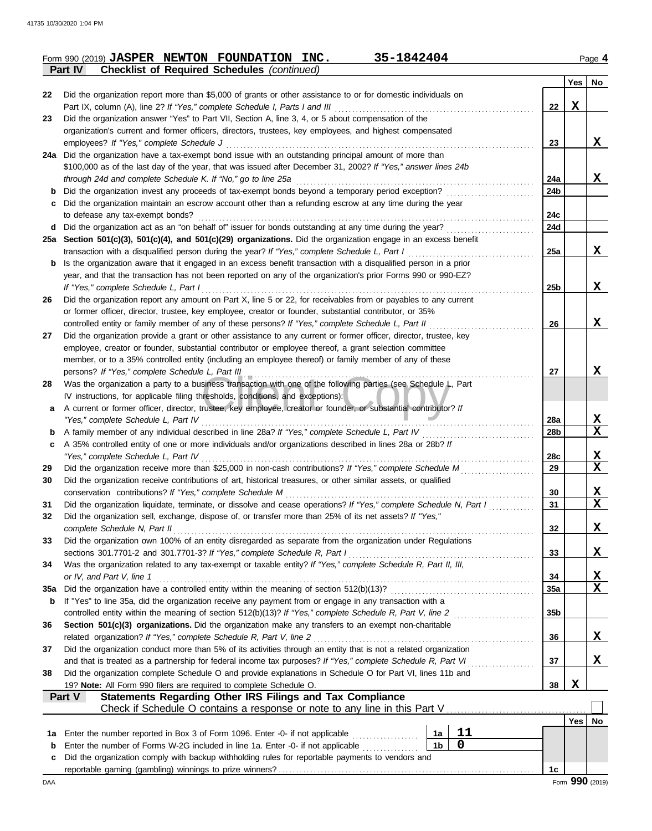|     | 35-1842404<br>Form 990 (2019) JASPER NEWTON FOUNDATION INC.                                                                                                                                  |                 |             | Page 4                  |  |  |  |  |  |  |
|-----|----------------------------------------------------------------------------------------------------------------------------------------------------------------------------------------------|-----------------|-------------|-------------------------|--|--|--|--|--|--|
|     | <b>Checklist of Required Schedules (continued)</b><br>Part IV                                                                                                                                |                 |             |                         |  |  |  |  |  |  |
|     |                                                                                                                                                                                              |                 | Yes         | No                      |  |  |  |  |  |  |
| 22  | Did the organization report more than \$5,000 of grants or other assistance to or for domestic individuals on<br>Part IX, column (A), line 2? If "Yes," complete Schedule I, Parts I and III | 22              | X           |                         |  |  |  |  |  |  |
| 23  | Did the organization answer "Yes" to Part VII, Section A, line 3, 4, or 5 about compensation of the                                                                                          |                 |             |                         |  |  |  |  |  |  |
|     | organization's current and former officers, directors, trustees, key employees, and highest compensated                                                                                      |                 |             |                         |  |  |  |  |  |  |
|     | employees? If "Yes," complete Schedule J                                                                                                                                                     | 23              |             | X                       |  |  |  |  |  |  |
|     | 24a Did the organization have a tax-exempt bond issue with an outstanding principal amount of more than                                                                                      |                 |             |                         |  |  |  |  |  |  |
|     | \$100,000 as of the last day of the year, that was issued after December 31, 2002? If "Yes," answer lines 24b                                                                                |                 |             |                         |  |  |  |  |  |  |
|     | through 24d and complete Schedule K. If "No," go to line 25a                                                                                                                                 | 24a             |             | X                       |  |  |  |  |  |  |
| b   | Did the organization invest any proceeds of tax-exempt bonds beyond a temporary period exception?                                                                                            | 24b             |             |                         |  |  |  |  |  |  |
|     | Did the organization maintain an escrow account other than a refunding escrow at any time during the year                                                                                    |                 |             |                         |  |  |  |  |  |  |
|     | to defease any tax-exempt bonds?                                                                                                                                                             | 24c             |             |                         |  |  |  |  |  |  |
| d   | Did the organization act as an "on behalf of" issuer for bonds outstanding at any time during the year?                                                                                      | 24d             |             |                         |  |  |  |  |  |  |
|     | 25a Section 501(c)(3), 501(c)(4), and 501(c)(29) organizations. Did the organization engage in an excess benefit                                                                             |                 |             |                         |  |  |  |  |  |  |
|     | transaction with a disqualified person during the year? If "Yes," complete Schedule L, Part I                                                                                                | 25a             |             | X                       |  |  |  |  |  |  |
| b   | Is the organization aware that it engaged in an excess benefit transaction with a disqualified person in a prior                                                                             |                 |             |                         |  |  |  |  |  |  |
|     | year, and that the transaction has not been reported on any of the organization's prior Forms 990 or 990-EZ?                                                                                 |                 |             | X                       |  |  |  |  |  |  |
|     | If "Yes," complete Schedule L, Part I<br>Did the organization report any amount on Part X, line 5 or 22, for receivables from or payables to any current                                     | 25 <sub>b</sub> |             |                         |  |  |  |  |  |  |
| 26  | or former officer, director, trustee, key employee, creator or founder, substantial contributor, or 35%                                                                                      |                 |             |                         |  |  |  |  |  |  |
|     | controlled entity or family member of any of these persons? If "Yes," complete Schedule L, Part II                                                                                           | 26              |             | X                       |  |  |  |  |  |  |
| 27  | Did the organization provide a grant or other assistance to any current or former officer, director, trustee, key                                                                            |                 |             |                         |  |  |  |  |  |  |
|     | employee, creator or founder, substantial contributor or employee thereof, a grant selection committee                                                                                       |                 |             |                         |  |  |  |  |  |  |
|     | member, or to a 35% controlled entity (including an employee thereof) or family member of any of these                                                                                       |                 |             |                         |  |  |  |  |  |  |
|     | persons? If "Yes," complete Schedule L, Part III                                                                                                                                             | 27              |             | X                       |  |  |  |  |  |  |
| 28  | Was the organization a party to a business transaction with one of the following parties (see Schedule L, Part                                                                               |                 |             |                         |  |  |  |  |  |  |
|     | IV instructions, for applicable filing thresholds, conditions, and exceptions):                                                                                                              |                 |             |                         |  |  |  |  |  |  |
| a   | A current or former officer, director, trustee, key employee, creator or founder, or substantial contributor? If                                                                             |                 |             |                         |  |  |  |  |  |  |
|     | "Yes," complete Schedule L, Part IV                                                                                                                                                          | 28a             |             | X                       |  |  |  |  |  |  |
| b   | A family member of any individual described in line 28a? If "Yes," complete Schedule L, Part IV                                                                                              | 28b             |             | X                       |  |  |  |  |  |  |
| c   | A 35% controlled entity of one or more individuals and/or organizations described in lines 28a or 28b? If                                                                                    |                 |             |                         |  |  |  |  |  |  |
|     | "Yes," complete Schedule L, Part IV                                                                                                                                                          | 28c             |             | <u>x</u>                |  |  |  |  |  |  |
| 29  | Did the organization receive more than \$25,000 in non-cash contributions? If "Yes," complete Schedule M                                                                                     | 29              |             | X                       |  |  |  |  |  |  |
| 30  | Did the organization receive contributions of art, historical treasures, or other similar assets, or qualified                                                                               |                 |             |                         |  |  |  |  |  |  |
|     | conservation contributions? If "Yes," complete Schedule M                                                                                                                                    | 30              |             | X                       |  |  |  |  |  |  |
| 31  | Did the organization liquidate, terminate, or dissolve and cease operations? If "Yes," complete Schedule N, Part I                                                                           | 31              |             | $\overline{\mathbf{x}}$ |  |  |  |  |  |  |
| 32  | Did the organization sell, exchange, dispose of, or transfer more than 25% of its net assets? If "Yes,"                                                                                      |                 |             |                         |  |  |  |  |  |  |
|     | complete Schedule N, Part II                                                                                                                                                                 | 32              |             | X                       |  |  |  |  |  |  |
| 33  | Did the organization own 100% of an entity disregarded as separate from the organization under Regulations                                                                                   |                 |             |                         |  |  |  |  |  |  |
|     | sections 301.7701-2 and 301.7701-3? If "Yes," complete Schedule R, Part I                                                                                                                    | 33              |             | X                       |  |  |  |  |  |  |
| 34  | Was the organization related to any tax-exempt or taxable entity? If "Yes," complete Schedule R, Part II, III,<br>or IV, and Part V, line 1                                                  | 34              |             | X                       |  |  |  |  |  |  |
| 35a | Did the organization have a controlled entity within the meaning of section 512(b)(13)?                                                                                                      | 35a             |             | $\mathbf x$             |  |  |  |  |  |  |
| b   | If "Yes" to line 35a, did the organization receive any payment from or engage in any transaction with a                                                                                      |                 |             |                         |  |  |  |  |  |  |
|     | controlled entity within the meaning of section 512(b)(13)? If "Yes," complete Schedule R, Part V, line 2                                                                                    | 35 <sub>b</sub> |             |                         |  |  |  |  |  |  |
| 36  | Section 501(c)(3) organizations. Did the organization make any transfers to an exempt non-charitable                                                                                         |                 |             |                         |  |  |  |  |  |  |
|     | related organization? If "Yes," complete Schedule R, Part V, line 2                                                                                                                          | 36              |             | X                       |  |  |  |  |  |  |
| 37  | Did the organization conduct more than 5% of its activities through an entity that is not a related organization                                                                             |                 |             |                         |  |  |  |  |  |  |
|     | and that is treated as a partnership for federal income tax purposes? If "Yes," complete Schedule R, Part VI                                                                                 | 37              |             | X                       |  |  |  |  |  |  |
| 38  | Did the organization complete Schedule O and provide explanations in Schedule O for Part VI, lines 11b and                                                                                   |                 |             |                         |  |  |  |  |  |  |
|     | 19? Note: All Form 990 filers are required to complete Schedule O.                                                                                                                           | 38              | $\mathbf x$ |                         |  |  |  |  |  |  |
|     | Statements Regarding Other IRS Filings and Tax Compliance<br>Part V                                                                                                                          |                 |             |                         |  |  |  |  |  |  |
|     |                                                                                                                                                                                              |                 |             |                         |  |  |  |  |  |  |
|     |                                                                                                                                                                                              |                 | Yes         | No.                     |  |  |  |  |  |  |
| 1a  | 11<br>Enter the number reported in Box 3 of Form 1096. Enter -0- if not applicable<br>1a                                                                                                     |                 |             |                         |  |  |  |  |  |  |
| b   | $\mathbf 0$<br>1 <sub>b</sub><br>Enter the number of Forms W-2G included in line 1a. Enter -0- if not applicable                                                                             |                 |             |                         |  |  |  |  |  |  |
| c   | Did the organization comply with backup withholding rules for reportable payments to vendors and                                                                                             |                 |             |                         |  |  |  |  |  |  |
|     |                                                                                                                                                                                              | 1c              |             |                         |  |  |  |  |  |  |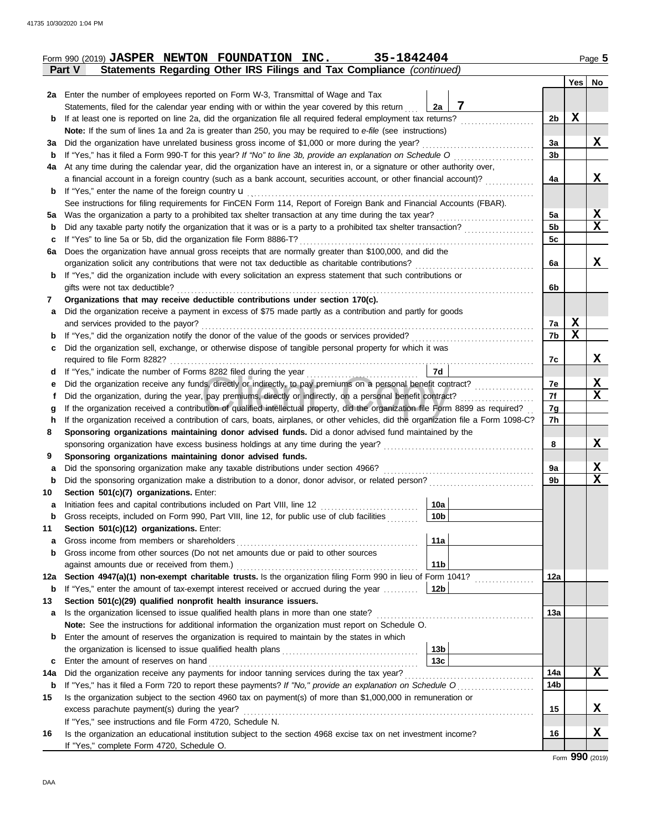|     | 35-1842404<br>Form 990 (2019) JASPER NEWTON FOUNDATION INC.                                                                        |                 |                |             | Page 5      |
|-----|------------------------------------------------------------------------------------------------------------------------------------|-----------------|----------------|-------------|-------------|
|     | Statements Regarding Other IRS Filings and Tax Compliance (continued)<br>Part V                                                    |                 |                |             |             |
|     |                                                                                                                                    |                 |                |             | Yes No      |
|     | 2a Enter the number of employees reported on Form W-3, Transmittal of Wage and Tax                                                 |                 |                |             |             |
|     | Statements, filed for the calendar year ending with or within the year covered by this return                                      | 7<br>2a         |                |             |             |
| b   | If at least one is reported on line 2a, did the organization file all required federal employment tax returns?                     |                 | 2b             | $\mathbf x$ |             |
|     | Note: If the sum of lines 1a and 2a is greater than 250, you may be required to e-file (see instructions)                          |                 |                |             |             |
| За  | Did the organization have unrelated business gross income of \$1,000 or more during the year?                                      |                 | За             |             | X           |
| b   | If "Yes," has it filed a Form 990-T for this year? If "No" to line 3b, provide an explanation on Schedule O                        |                 | 3 <sub>b</sub> |             |             |
| 4a  | At any time during the calendar year, did the organization have an interest in, or a signature or other authority over,            |                 |                |             |             |
|     | a financial account in a foreign country (such as a bank account, securities account, or other financial account)?                 |                 | 4a             |             | X           |
| b   | If "Yes," enter the name of the foreign country <b>u</b>                                                                           |                 |                |             |             |
|     | See instructions for filing requirements for FinCEN Form 114, Report of Foreign Bank and Financial Accounts (FBAR).                |                 |                |             |             |
| 5a  | Was the organization a party to a prohibited tax shelter transaction at any time during the tax year?                              |                 | 5a             |             | X           |
| b   | Did any taxable party notify the organization that it was or is a party to a prohibited tax shelter transaction?                   |                 | 5 <sub>b</sub> |             | X           |
| c   | If "Yes" to line 5a or 5b, did the organization file Form 8886-T?                                                                  |                 | 5c             |             |             |
| 6a  | Does the organization have annual gross receipts that are normally greater than \$100,000, and did the                             |                 |                |             |             |
|     | organization solicit any contributions that were not tax deductible as charitable contributions?                                   |                 | 6a             |             | X           |
| b   | If "Yes," did the organization include with every solicitation an express statement that such contributions or                     |                 |                |             |             |
|     | gifts were not tax deductible?                                                                                                     |                 | 6b             |             |             |
| 7   | Organizations that may receive deductible contributions under section 170(c).                                                      |                 |                |             |             |
| a   | Did the organization receive a payment in excess of \$75 made partly as a contribution and partly for goods                        |                 |                |             |             |
|     | and services provided to the payor?                                                                                                |                 | 7a             | $\mathbf X$ |             |
| b   |                                                                                                                                    |                 | 7b             | $\mathbf X$ |             |
| c   | Did the organization sell, exchange, or otherwise dispose of tangible personal property for which it was                           |                 |                |             |             |
|     | required to file Form 8282?                                                                                                        |                 | 7c             |             | X           |
| d   | If "Yes," indicate the number of Forms 8282 filed during the year                                                                  | 7d              |                |             |             |
| е   | Did the organization receive any funds, directly or indirectly, to pay premiums on a personal benefit contract?                    |                 | 7е             |             | X           |
| f   | Did the organization, during the year, pay premiums, directly or indirectly, on a personal benefit contract?                       |                 | 7f             |             | X           |
| g   | If the organization received a contribution of qualified intellectual property, did the organization file Form 8899 as required?   |                 | 7g             |             |             |
| h   | If the organization received a contribution of cars, boats, airplanes, or other vehicles, did the organization file a Form 1098-C? |                 | 7h             |             |             |
| 8   | Sponsoring organizations maintaining donor advised funds. Did a donor advised fund maintained by the                               |                 |                |             |             |
|     |                                                                                                                                    |                 | 8              |             | X           |
| 9   | Sponsoring organizations maintaining donor advised funds.                                                                          |                 |                |             |             |
| a   | Did the sponsoring organization make any taxable distributions under section 4966?                                                 |                 | 9a             |             | X           |
| b   | Did the sponsoring organization make a distribution to a donor, donor advisor, or related person?                                  |                 | 9b             |             | $\mathbf x$ |
| 10  | Section 501(c)(7) organizations. Enter:                                                                                            |                 |                |             |             |
|     | Initiation fees and capital contributions included on Part VIII, line 12 [10] [10] [10] [10] [10] [10] [11] [1                     | 10a             |                |             |             |
| b   | Gross receipts, included on Form 990, Part VIII, line 12, for public use of club facilities                                        | 10 <sub>b</sub> |                |             |             |
| 11  | Section 501(c)(12) organizations. Enter:                                                                                           |                 |                |             |             |
| a   | Gross income from members or shareholders                                                                                          | 11a             |                |             |             |
| b   | Gross income from other sources (Do not net amounts due or paid to other sources                                                   |                 |                |             |             |
|     | against amounts due or received from them.)                                                                                        | 11 <sub>b</sub> |                |             |             |
| 12a | Section 4947(a)(1) non-exempt charitable trusts. Is the organization filing Form 990 in lieu of Form 1041?                         |                 | 12a            |             |             |
| b   | If "Yes," enter the amount of tax-exempt interest received or accrued during the year                                              | 12 <sub>b</sub> |                |             |             |
| 13  | Section 501(c)(29) qualified nonprofit health insurance issuers.                                                                   |                 |                |             |             |
| а   | Is the organization licensed to issue qualified health plans in more than one state?                                               |                 | 13а            |             |             |
|     | Note: See the instructions for additional information the organization must report on Schedule O.                                  |                 |                |             |             |
| b   | Enter the amount of reserves the organization is required to maintain by the states in which                                       |                 |                |             |             |
|     |                                                                                                                                    | 13 <sub>b</sub> |                |             |             |
| c   | Enter the amount of reserves on hand                                                                                               | 13 <sub>c</sub> |                |             |             |
| 14a | Did the organization receive any payments for indoor tanning services during the tax year?                                         |                 | 14a            |             | X           |
| b   | If "Yes," has it filed a Form 720 to report these payments? If "No," provide an explanation on Schedule O                          |                 | 14b            |             |             |
| 15  | Is the organization subject to the section 4960 tax on payment(s) of more than \$1,000,000 in remuneration or                      |                 |                |             |             |
|     | excess parachute payment(s) during the year?                                                                                       |                 | 15             |             | X           |
|     | If "Yes," see instructions and file Form 4720, Schedule N.                                                                         |                 |                |             |             |
| 16  | Is the organization an educational institution subject to the section 4968 excise tax on net investment income?                    |                 | 16             |             | x           |
|     | If "Yes," complete Form 4720, Schedule O.                                                                                          |                 |                |             |             |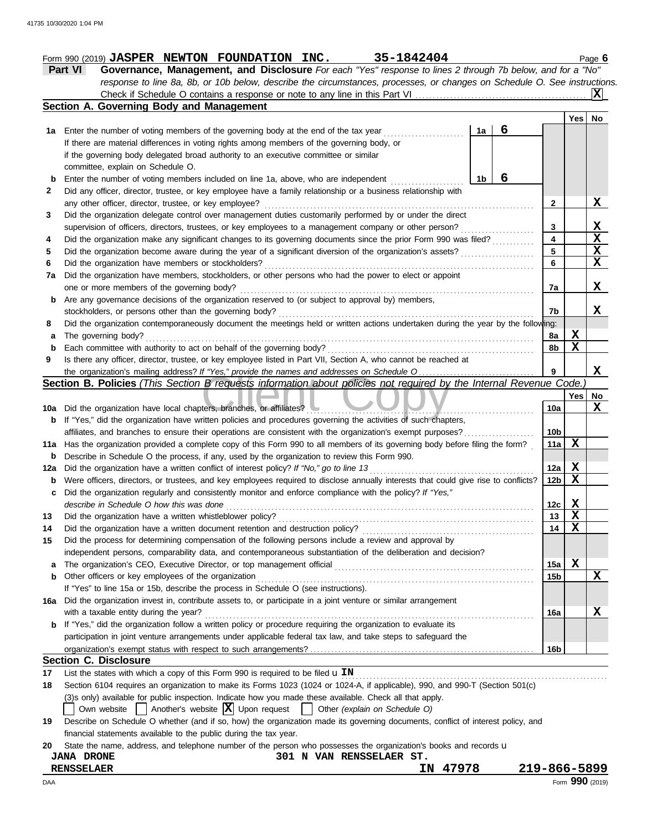# **Form 990 (2019) JASPER NEWTON FOUNDATION INC.** 35-1842404 Page 6

| <b>Part VI</b> | <b>Governance, Management, and Disclosure</b> For each "Yes" response to lines 2 through 7b below, and for a "No"         |
|----------------|---------------------------------------------------------------------------------------------------------------------------|
|                | response to line 8a, 8b, or 10b below, describe the circumstances, processes, or changes on Schedule O. See instructions. |
|                |                                                                                                                           |

|     | Section A. Governing Body and Management                                                                                            |    |   |                 |             |             |
|-----|-------------------------------------------------------------------------------------------------------------------------------------|----|---|-----------------|-------------|-------------|
|     |                                                                                                                                     |    |   |                 | Yes         | No          |
|     | 1a Enter the number of voting members of the governing body at the end of the tax year                                              | 1a | 6 |                 |             |             |
|     | If there are material differences in voting rights among members of the governing body, or                                          |    |   |                 |             |             |
|     | if the governing body delegated broad authority to an executive committee or similar                                                |    |   |                 |             |             |
|     | committee, explain on Schedule O.                                                                                                   |    |   |                 |             |             |
| b   | Enter the number of voting members included on line 1a, above, who are independent                                                  | 1b | 6 |                 |             |             |
| 2   | Did any officer, director, trustee, or key employee have a family relationship or a business relationship with                      |    |   |                 |             |             |
|     | any other officer, director, trustee, or key employee?                                                                              |    |   | $\mathbf{2}$    |             | $\mathbf x$ |
| 3   | Did the organization delegate control over management duties customarily performed by or under the direct                           |    |   |                 |             |             |
|     | supervision of officers, directors, trustees, or key employees to a management company or other person?                             |    |   | 3               |             | X           |
| 4   | Did the organization make any significant changes to its governing documents since the prior Form 990 was filed?                    |    |   | 4               |             | X           |
| 5   | Did the organization become aware during the year of a significant diversion of the organization's assets?                          |    |   | 5               |             | X           |
| 6   | Did the organization have members or stockholders?                                                                                  |    |   | 6               |             | $\mathbf x$ |
| 7a  | Did the organization have members, stockholders, or other persons who had the power to elect or appoint                             |    |   |                 |             |             |
|     | one or more members of the governing body?                                                                                          |    |   | 7a              |             | X           |
| b   | Are any governance decisions of the organization reserved to (or subject to approval by) members,                                   |    |   |                 |             |             |
|     | stockholders, or persons other than the governing body?                                                                             |    |   | 7b              |             | X.          |
| 8   | Did the organization contemporaneously document the meetings held or written actions undertaken during the year by the following:   |    |   |                 |             |             |
| а   | The governing body?                                                                                                                 |    |   | 8a              | Х           |             |
| b   | Each committee with authority to act on behalf of the governing body?                                                               |    |   | 8b              | X           |             |
| 9   | Is there any officer, director, trustee, or key employee listed in Part VII, Section A, who cannot be reached at                    |    |   |                 |             |             |
|     | the organization's mailing address? If "Yes," provide the names and addresses on Schedule O                                         |    |   | 9               |             | X           |
|     | <b>Section B. Policies</b> (This Section B requests information about policies not required by the Internal Revenue Code.           |    |   |                 |             |             |
|     |                                                                                                                                     |    |   |                 |             | Yes   No    |
| 10a | Did the organization have local chapters, branches, or affiliates?                                                                  |    |   | 10a             |             | X           |
| b   | If "Yes," did the organization have written policies and procedures governing the activities of such chapters,                      |    |   |                 |             |             |
|     | affiliates, and branches to ensure their operations are consistent with the organization's exempt purposes?                         |    |   | 10 <sub>b</sub> |             |             |
| 11a | Has the organization provided a complete copy of this Form 990 to all members of its governing body before filing the form?         |    |   | 11a             | X           |             |
| b   | Describe in Schedule O the process, if any, used by the organization to review this Form 990.                                       |    |   |                 |             |             |
| 12a | Did the organization have a written conflict of interest policy? If "No," go to line 13                                             |    |   | 12a             | $\mathbf x$ |             |
| b   | Were officers, directors, or trustees, and key employees required to disclose annually interests that could give rise to conflicts? |    |   | 12b             | X           |             |
| c   | Did the organization regularly and consistently monitor and enforce compliance with the policy? If "Yes,"                           |    |   |                 |             |             |
|     | describe in Schedule O how this was done                                                                                            |    |   | 12c             | Х           |             |
| 13  | Did the organization have a written whistleblower policy?                                                                           |    |   | 13              | X           |             |
| 14  | Did the organization have a written document retention and destruction policy?                                                      |    |   | 14              | X           |             |
| 15  | Did the process for determining compensation of the following persons include a review and approval by                              |    |   |                 |             |             |
|     | independent persons, comparability data, and contemporaneous substantiation of the deliberation and decision?                       |    |   |                 |             |             |
| a   |                                                                                                                                     |    |   | 15a             | X           |             |
| b   | Other officers or key employees of the organization                                                                                 |    |   | 15 <sub>b</sub> |             | X           |
|     | If "Yes" to line 15a or 15b, describe the process in Schedule O (see instructions).                                                 |    |   |                 |             |             |
| 16а | Did the organization invest in, contribute assets to, or participate in a joint venture or similar arrangement                      |    |   |                 |             |             |
|     | with a taxable entity during the year?                                                                                              |    |   | 16a             |             | X           |
| b   | If "Yes," did the organization follow a written policy or procedure requiring the organization to evaluate its                      |    |   |                 |             |             |
|     | participation in joint venture arrangements under applicable federal tax law, and take steps to safeguard the                       |    |   |                 |             |             |
|     |                                                                                                                                     |    |   | 16 <sub>b</sub> |             |             |
|     | <b>Section C. Disclosure</b>                                                                                                        |    |   |                 |             |             |
| 17  | List the states with which a copy of this Form 990 is required to be filed $\mathbf{u}$ IN                                          |    |   |                 |             |             |
| 18  | Section 6104 requires an organization to make its Forms 1023 (1024 or 1024-A, if applicable), 990, and 990-T (Section 501(c)        |    |   |                 |             |             |
|     | (3)s only) available for public inspection. Indicate how you made these available. Check all that apply.                            |    |   |                 |             |             |

| Own website $\Box$ Another's website $\boxed{\mathbf{X}}$ Upon request $\Box$ Other (explain on Schedule O) |  |  |
|-------------------------------------------------------------------------------------------------------------|--|--|
|-------------------------------------------------------------------------------------------------------------|--|--|

**19** Describe on Schedule O whether (and if so, how) the organization made its governing documents, conflict of interest policy, and financial statements available to the public during the tax year.

|  | 20 State the name, address, and telephone number of the person who possesses the organization's books and records u |  |  |  |  |  |  |  |  |  |  |  |  |
|--|---------------------------------------------------------------------------------------------------------------------|--|--|--|--|--|--|--|--|--|--|--|--|
|--|---------------------------------------------------------------------------------------------------------------------|--|--|--|--|--|--|--|--|--|--|--|--|

| <b>JANA DRONE</b> | 301<br>N VAN RENSSELAER ST. |              |
|-------------------|-----------------------------|--------------|
| <b>RENSSELAER</b> | 47978<br>IN                 | 219-866-5899 |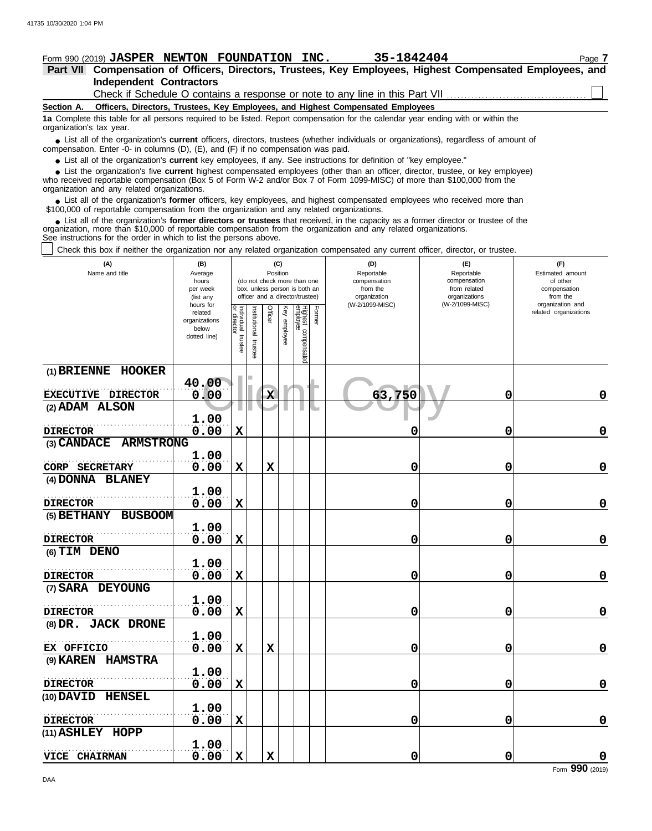# **Form 990 (2019) JASPER NEWTON FOUNDATION INC.** 35-1842404 Page 7

### **Independent Contractors Part VII Compensation of Officers, Directors, Trustees, Key Employees, Highest Compensated Employees, and**

Check if Schedule O contains a response or note to any line in this Part VII

**Section A. Officers, Directors, Trustees, Key Employees, and Highest Compensated Employees**

**1a** Complete this table for all persons required to be listed. Report compensation for the calendar year ending with or within the organization's tax year.

■ List all of the organization's **current** officers, directors, trustees (whether individuals or organizations), regardless of amount of the organization Enter -0- in columns (D), (E), and (E) if no compensation was paid compensation. Enter -0- in columns (D), (E), and (F) if no compensation was paid.

● List all of the organization's **current** key employees, if any. See instructions for definition of "key employee."

who received reportable compensation (Box 5 of Form W-2 and/or Box 7 of Form 1099-MISC) of more than \$100,000 from the organization and any related organizations. ■ List the organization's five **current** highest compensated employees (other than an officer, director, trustee, or key employee)<br>
a received reportable compensation (Box 5 of Form W-2 and/or Box 7 of Form 1099-MISC) of

■ List all of the organization's **former** officers, key employees, and highest compensated employees who received more than<br>00,000 of reportable compensation from the organization and any related organizations \$100,000 of reportable compensation from the organization and any related organizations.

■ List all of the organization's **former directors or trustees** that received, in the capacity as a former director or trustee of the<br>enization, more than \$10,000 of reportable compensation from the organization and any r organization, more than \$10,000 of reportable compensation from the organization and any related organizations. See instructions for the order in which to list the persons above.

Check this box if neither the organization nor any related organization compensated any current officer, director, or trustee.

| (A)<br>Name and title           | (B)<br>Average<br>hours<br>per week<br>(list any               | (C)<br>Position<br>(do not check more than one<br>box, unless person is both an<br>officer and a director/trustee) |                      |              |              |                                 |        | (D)<br>Reportable<br>compensation<br>from the<br>organization | (E)<br>Reportable<br>compensation<br>from related<br>organizations | (F)<br>Estimated amount<br>of other<br>compensation<br>from the |
|---------------------------------|----------------------------------------------------------------|--------------------------------------------------------------------------------------------------------------------|----------------------|--------------|--------------|---------------------------------|--------|---------------------------------------------------------------|--------------------------------------------------------------------|-----------------------------------------------------------------|
|                                 | hours for<br>related<br>organizations<br>below<br>dotted line) | Individual trustee<br>or director                                                                                  | nstitutional trustee | Officer      | Key employee | Highest compensated<br>employee | Former | (W-2/1099-MISC)                                               | (W-2/1099-MISC)                                                    | organization and<br>related organizations                       |
| (1) BRIENNE HOOKER              | 40.00                                                          |                                                                                                                    |                      |              |              |                                 |        |                                                               |                                                                    |                                                                 |
| EXECUTIVE DIRECTOR              | 0.00                                                           |                                                                                                                    |                      | $\mathbf{x}$ |              |                                 |        | 63,750                                                        | 0                                                                  | 0                                                               |
| (2) ADAM ALSON                  |                                                                |                                                                                                                    |                      |              |              |                                 |        |                                                               |                                                                    |                                                                 |
| <b>DIRECTOR</b>                 | 1.00<br>0.00                                                   | $\mathbf x$                                                                                                        |                      |              |              |                                 |        | 0                                                             | 0                                                                  | $\pmb{0}$                                                       |
| (3) CANDACE<br><b>ARMSTRONG</b> |                                                                |                                                                                                                    |                      |              |              |                                 |        |                                                               |                                                                    |                                                                 |
| CORP SECRETARY                  | 1.00<br>0.00                                                   | $\mathbf x$                                                                                                        |                      | $\mathbf x$  |              |                                 |        | 0                                                             | 0                                                                  | $\pmb{0}$                                                       |
| (4) DONNA BLANEY                |                                                                |                                                                                                                    |                      |              |              |                                 |        |                                                               |                                                                    |                                                                 |
| <b>DIRECTOR</b>                 | 1.00<br>0.00                                                   | $\mathbf x$                                                                                                        |                      |              |              |                                 |        | 0                                                             | 0                                                                  | $\mathbf 0$                                                     |
| (5) BETHANY BUSBOOM             |                                                                |                                                                                                                    |                      |              |              |                                 |        |                                                               |                                                                    |                                                                 |
|                                 | 1.00                                                           |                                                                                                                    |                      |              |              |                                 |        |                                                               |                                                                    |                                                                 |
| <b>DIRECTOR</b>                 | 0.00                                                           | $\mathbf x$                                                                                                        |                      |              |              |                                 |        | 0                                                             | 0                                                                  | $\pmb{0}$                                                       |
| (6) TIM DENO                    |                                                                |                                                                                                                    |                      |              |              |                                 |        |                                                               |                                                                    |                                                                 |
| <b>DIRECTOR</b>                 | 1.00<br>0.00                                                   | $\mathbf x$                                                                                                        |                      |              |              |                                 |        | 0                                                             | 0                                                                  | $\pmb{0}$                                                       |
| (7) SARA DEYOUNG                |                                                                |                                                                                                                    |                      |              |              |                                 |        |                                                               |                                                                    |                                                                 |
|                                 | 1.00                                                           |                                                                                                                    |                      |              |              |                                 |        |                                                               |                                                                    |                                                                 |
| <b>DIRECTOR</b>                 | 0.00                                                           | $\mathbf X$                                                                                                        |                      |              |              |                                 |        | 0                                                             | 0                                                                  | $\mathbf 0$                                                     |
| (8) DR. JACK DRONE              | 1.00                                                           |                                                                                                                    |                      |              |              |                                 |        |                                                               |                                                                    |                                                                 |
| EX OFFICIO                      | 0.00                                                           | $\mathbf x$                                                                                                        |                      | $\mathbf x$  |              |                                 |        | 0                                                             | 0                                                                  | $\pmb{0}$                                                       |
| (9) KAREN HAMSTRA               |                                                                |                                                                                                                    |                      |              |              |                                 |        |                                                               |                                                                    |                                                                 |
|                                 | 1.00                                                           |                                                                                                                    |                      |              |              |                                 |        |                                                               |                                                                    |                                                                 |
| <b>DIRECTOR</b>                 | 0.00                                                           | $\mathbf x$                                                                                                        |                      |              |              |                                 |        | 0                                                             | 0                                                                  | $\mathbf 0$                                                     |
| <b>HENSEL</b><br>$(10)$ DAVID   |                                                                |                                                                                                                    |                      |              |              |                                 |        |                                                               |                                                                    |                                                                 |
| <b>DIRECTOR</b>                 | 1.00<br>0.00                                                   | $\mathbf x$                                                                                                        |                      |              |              |                                 |        | 0                                                             | 0                                                                  | $\mathbf 0$                                                     |
| (11) ASHLEY HOPP                |                                                                |                                                                                                                    |                      |              |              |                                 |        |                                                               |                                                                    |                                                                 |
|                                 | 1.00                                                           |                                                                                                                    |                      |              |              |                                 |        |                                                               |                                                                    |                                                                 |
| VICE CHAIRMAN                   | 0.00                                                           | $\mathbf x$                                                                                                        |                      | $\mathbf x$  |              |                                 |        | 0                                                             | 0                                                                  | $\pmb{0}$                                                       |

DAA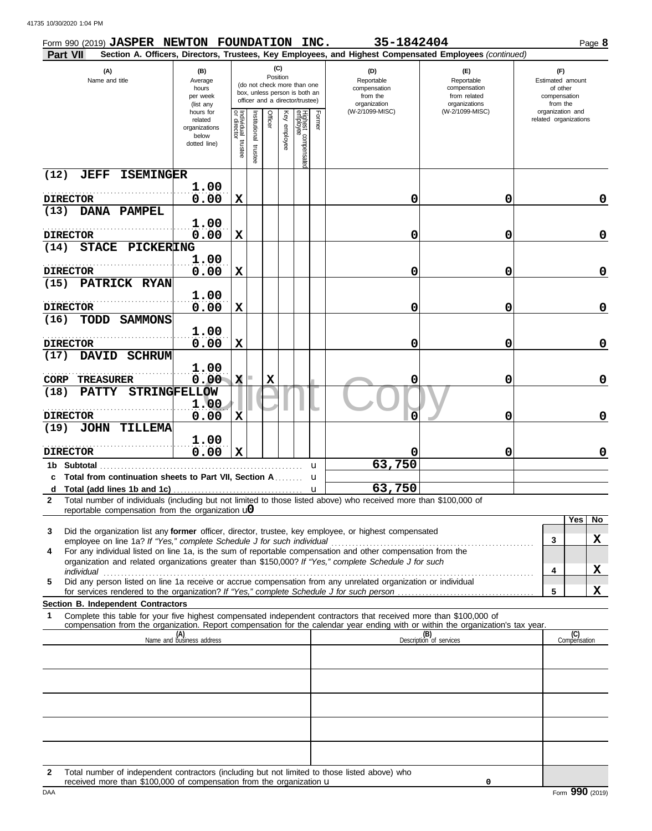41735 10/30/2020 1:04 PM

|                                         |                                    | Form 990 (2019) JASPER NEWTON FOUNDATION INC.                          |                                   |                         |         |                 |                                                                                                 |        | 35-1842404                                                                                                                                                                                                           |                                                                                                                                  | Page 8                                                          |
|-----------------------------------------|------------------------------------|------------------------------------------------------------------------|-----------------------------------|-------------------------|---------|-----------------|-------------------------------------------------------------------------------------------------|--------|----------------------------------------------------------------------------------------------------------------------------------------------------------------------------------------------------------------------|----------------------------------------------------------------------------------------------------------------------------------|-----------------------------------------------------------------|
| <b>Part VII</b>                         |                                    |                                                                        |                                   |                         |         |                 |                                                                                                 |        |                                                                                                                                                                                                                      | Section A. Officers, Directors, Trustees, Key Employees, and Highest Compensated Employees (continued)                           |                                                                 |
|                                         | (A)<br>Name and title              | (B)<br>Average<br>hours<br>per week<br>(list any                       |                                   |                         |         | (C)<br>Position | (do not check more than one<br>box, unless person is both an<br>officer and a director/trustee) |        | (D)<br>Reportable<br>compensation<br>from the<br>organization                                                                                                                                                        | (E)<br>Reportable<br>compensation<br>from related<br>organizations                                                               | (F)<br>Estimated amount<br>of other<br>compensation<br>from the |
|                                         |                                    | hours for<br>related<br>organizations<br>below<br>dotted line)         | Individual trustee<br>or director | hstitutional<br>trustee | Officer | Key employee    | Highest compensated<br>employee                                                                 | Former | (W-2/1099-MISC)                                                                                                                                                                                                      | (W-2/1099-MISC)                                                                                                                  | organization and<br>related organizations                       |
| (12)<br><b>JEFF</b>                     | <b>ISEMINGER</b>                   |                                                                        |                                   |                         |         |                 |                                                                                                 |        |                                                                                                                                                                                                                      |                                                                                                                                  |                                                                 |
| <b>DIRECTOR</b>                         |                                    | 1.00<br>0.00                                                           | $\mathbf x$                       |                         |         |                 |                                                                                                 |        | 0                                                                                                                                                                                                                    | 0                                                                                                                                | 0                                                               |
| (13)<br>DANA                            | <b>PAMPEL</b>                      |                                                                        |                                   |                         |         |                 |                                                                                                 |        |                                                                                                                                                                                                                      |                                                                                                                                  |                                                                 |
| <b>DIRECTOR</b>                         |                                    | 1.00<br>0.00                                                           | $\mathbf x$                       |                         |         |                 |                                                                                                 |        | 0                                                                                                                                                                                                                    | 0                                                                                                                                | 0                                                               |
| <b>STACE</b><br>(14)                    | PICKERING                          |                                                                        |                                   |                         |         |                 |                                                                                                 |        |                                                                                                                                                                                                                      |                                                                                                                                  |                                                                 |
| <b>DIRECTOR</b>                         |                                    | 1.00<br>0.00                                                           | $\mathbf x$                       |                         |         |                 |                                                                                                 |        | 0                                                                                                                                                                                                                    | 0                                                                                                                                | 0                                                               |
| (15)                                    | <b>PATRICK RYAN</b>                |                                                                        |                                   |                         |         |                 |                                                                                                 |        |                                                                                                                                                                                                                      |                                                                                                                                  |                                                                 |
| <b>DIRECTOR</b>                         |                                    | 1.00<br>0.00                                                           | $\mathbf x$                       |                         |         |                 |                                                                                                 |        | 0                                                                                                                                                                                                                    | 0                                                                                                                                | 0                                                               |
| (16)<br>TODD                            | <b>SAMMONS</b>                     |                                                                        |                                   |                         |         |                 |                                                                                                 |        |                                                                                                                                                                                                                      |                                                                                                                                  |                                                                 |
| <b>DIRECTOR</b>                         |                                    | 1.00<br>0.00                                                           | $\mathbf x$                       |                         |         |                 |                                                                                                 |        | 0                                                                                                                                                                                                                    | 0                                                                                                                                | 0                                                               |
| (17)<br><b>DAVID</b>                    | <b>SCHRUM</b>                      |                                                                        |                                   |                         |         |                 |                                                                                                 |        |                                                                                                                                                                                                                      |                                                                                                                                  |                                                                 |
|                                         |                                    | 1.00                                                                   |                                   |                         |         |                 |                                                                                                 |        |                                                                                                                                                                                                                      |                                                                                                                                  |                                                                 |
| CORP                                    | <b>TREASURER</b>                   | 0.00                                                                   | Х                                 |                         | X       |                 |                                                                                                 |        |                                                                                                                                                                                                                      | 0                                                                                                                                | 0                                                               |
| (18)<br><b>PATTY</b><br><b>DIRECTOR</b> |                                    | <b>STRINGFELLOW</b><br>1.00<br>0.00                                    | X                                 |                         |         |                 |                                                                                                 |        | ŋ                                                                                                                                                                                                                    | 0                                                                                                                                | 0                                                               |
| <b>JOHN</b><br>(19)                     | <b>TILLEMA</b>                     |                                                                        |                                   |                         |         |                 |                                                                                                 |        |                                                                                                                                                                                                                      |                                                                                                                                  |                                                                 |
| <b>DIRECTOR</b>                         |                                    | 1.00<br>0.00                                                           | $\mathbf X$                       |                         |         |                 |                                                                                                 |        |                                                                                                                                                                                                                      | 0                                                                                                                                | 0                                                               |
| 1b Subtotal                             |                                    |                                                                        |                                   |                         |         |                 |                                                                                                 | u      | 63,750                                                                                                                                                                                                               |                                                                                                                                  |                                                                 |
|                                         |                                    | c Total from continuation sheets to Part VII, Section A                |                                   |                         |         |                 |                                                                                                 | u      |                                                                                                                                                                                                                      |                                                                                                                                  |                                                                 |
| d<br>$\mathbf{2}$                       |                                    |                                                                        |                                   |                         |         |                 |                                                                                                 | u      | 63,750<br>Total number of individuals (including but not limited to those listed above) who received more than \$100,000 of                                                                                          |                                                                                                                                  |                                                                 |
|                                         |                                    | reportable compensation from the organization $\mathbf{u}$             |                                   |                         |         |                 |                                                                                                 |        |                                                                                                                                                                                                                      |                                                                                                                                  |                                                                 |
| 3                                       |                                    |                                                                        |                                   |                         |         |                 |                                                                                                 |        | Did the organization list any former officer, director, trustee, key employee, or highest compensated                                                                                                                |                                                                                                                                  | Yes<br>No                                                       |
|                                         |                                    | employee on line 1a? If "Yes," complete Schedule J for such individual |                                   |                         |         |                 |                                                                                                 |        |                                                                                                                                                                                                                      |                                                                                                                                  | X<br>3                                                          |
| 4                                       |                                    |                                                                        |                                   |                         |         |                 |                                                                                                 |        | For any individual listed on line 1a, is the sum of reportable compensation and other compensation from the<br>organization and related organizations greater than \$150,000? If "Yes," complete Schedule J for such |                                                                                                                                  |                                                                 |
| individual                              |                                    |                                                                        |                                   |                         |         |                 |                                                                                                 |        |                                                                                                                                                                                                                      |                                                                                                                                  | X<br>4                                                          |
| 5                                       |                                    |                                                                        |                                   |                         |         |                 |                                                                                                 |        | Did any person listed on line 1a receive or accrue compensation from any unrelated organization or individual                                                                                                        |                                                                                                                                  | X<br>5                                                          |
|                                         | Section B. Independent Contractors |                                                                        |                                   |                         |         |                 |                                                                                                 |        |                                                                                                                                                                                                                      |                                                                                                                                  |                                                                 |
| 1                                       |                                    |                                                                        |                                   |                         |         |                 |                                                                                                 |        | Complete this table for your five highest compensated independent contractors that received more than \$100,000 of                                                                                                   | compensation from the organization. Report compensation for the calendar year ending with or within the organization's tax year. |                                                                 |
|                                         |                                    | (A)<br>Name and business address                                       |                                   |                         |         |                 |                                                                                                 |        |                                                                                                                                                                                                                      | (B)<br>Description of services                                                                                                   | (C)<br>Compensation                                             |
|                                         |                                    |                                                                        |                                   |                         |         |                 |                                                                                                 |        |                                                                                                                                                                                                                      |                                                                                                                                  |                                                                 |
|                                         |                                    |                                                                        |                                   |                         |         |                 |                                                                                                 |        |                                                                                                                                                                                                                      |                                                                                                                                  |                                                                 |
|                                         |                                    |                                                                        |                                   |                         |         |                 |                                                                                                 |        |                                                                                                                                                                                                                      |                                                                                                                                  |                                                                 |
|                                         |                                    |                                                                        |                                   |                         |         |                 |                                                                                                 |        |                                                                                                                                                                                                                      |                                                                                                                                  |                                                                 |
|                                         |                                    |                                                                        |                                   |                         |         |                 |                                                                                                 |        |                                                                                                                                                                                                                      |                                                                                                                                  |                                                                 |
|                                         |                                    |                                                                        |                                   |                         |         |                 |                                                                                                 |        |                                                                                                                                                                                                                      |                                                                                                                                  |                                                                 |
|                                         |                                    |                                                                        |                                   |                         |         |                 |                                                                                                 |        |                                                                                                                                                                                                                      |                                                                                                                                  |                                                                 |

**2** Total number of independent contractors (including but not limited to those listed above) who received more than \$100,000 of compensation from the organization u

**0**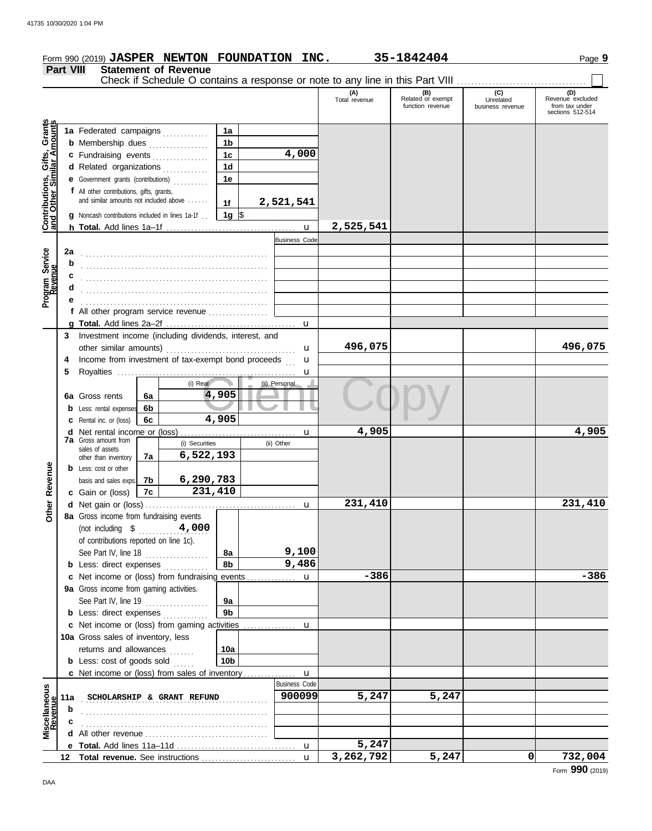# **Form 990 (2019) JASPER NEWTON FOUNDATION INC.** 35-1842404 Page 9

**Part VIII Statement of Revenue**

|                                                                  |             | Check if Schedule O contains a response or note to any line in this Part VIII |                |                  |  |                      |                      |                                              |                                      |                                                        |
|------------------------------------------------------------------|-------------|-------------------------------------------------------------------------------|----------------|------------------|--|----------------------|----------------------|----------------------------------------------|--------------------------------------|--------------------------------------------------------|
|                                                                  |             |                                                                               |                |                  |  |                      | (A)<br>Total revenue | (B)<br>Related or exempt<br>function revenue | (C)<br>Unrelated<br>business revenue | Revenue excluded<br>from tax under<br>sections 512-514 |
|                                                                  |             | 1a Federated campaigns                                                        |                | 1a               |  |                      |                      |                                              |                                      |                                                        |
|                                                                  |             | <b>b</b> Membership dues                                                      |                | 1 <sub>b</sub>   |  |                      |                      |                                              |                                      |                                                        |
|                                                                  |             | c Fundraising events                                                          |                | 1 <sub>c</sub>   |  | 4,000                |                      |                                              |                                      |                                                        |
|                                                                  |             | d Related organizations                                                       |                | 1 <sub>d</sub>   |  |                      |                      |                                              |                                      |                                                        |
| <b>Contributions, Gifts, Grants</b><br>and Other Similar Amounts |             | <b>e</b> Government grants (contributions)                                    |                | 1e               |  |                      |                      |                                              |                                      |                                                        |
|                                                                  |             | f All other contributions, gifts, grants,                                     |                |                  |  |                      |                      |                                              |                                      |                                                        |
|                                                                  |             | and similar amounts not included above                                        |                | 1f               |  | 2,521,541            |                      |                                              |                                      |                                                        |
|                                                                  |             |                                                                               |                |                  |  |                      |                      |                                              |                                      |                                                        |
|                                                                  |             | <b>g</b> Noncash contributions included in lines 1a-1f                        |                | 1g $\frac{1}{3}$ |  |                      | 2,525,541            |                                              |                                      |                                                        |
|                                                                  |             |                                                                               |                |                  |  |                      |                      |                                              |                                      |                                                        |
|                                                                  |             |                                                                               |                |                  |  | <b>Business Code</b> |                      |                                              |                                      |                                                        |
|                                                                  | 2a          |                                                                               |                |                  |  |                      |                      |                                              |                                      |                                                        |
| Program Service<br>Revenue                                       | $\mathbf b$ |                                                                               |                |                  |  |                      |                      |                                              |                                      |                                                        |
|                                                                  | с           |                                                                               |                |                  |  |                      |                      |                                              |                                      |                                                        |
|                                                                  |             |                                                                               |                |                  |  |                      |                      |                                              |                                      |                                                        |
|                                                                  |             |                                                                               |                |                  |  |                      |                      |                                              |                                      |                                                        |
|                                                                  |             | f All other program service revenue                                           |                |                  |  |                      |                      |                                              |                                      |                                                        |
|                                                                  |             |                                                                               |                |                  |  |                      |                      |                                              |                                      |                                                        |
|                                                                  | 3           | Investment income (including dividends, interest, and                         |                |                  |  |                      |                      |                                              |                                      |                                                        |
|                                                                  |             | other similar amounts)                                                        |                |                  |  | u                    | 496,075              |                                              |                                      | 496,075                                                |
|                                                                  | 4           | Income from investment of tax-exempt bond proceeds                            |                |                  |  | u                    |                      |                                              |                                      |                                                        |
|                                                                  | 5           |                                                                               |                |                  |  | u                    |                      |                                              |                                      |                                                        |
|                                                                  |             |                                                                               | $(i)$ Real     |                  |  | (ii) Personal        |                      |                                              |                                      |                                                        |
|                                                                  |             | 6a Gross rents<br>6a                                                          |                | 4,905            |  |                      |                      |                                              |                                      |                                                        |
|                                                                  |             | <b>b</b> Less: rental expenses<br>6b                                          |                |                  |  |                      |                      |                                              |                                      |                                                        |
|                                                                  |             | 6с<br><b>c</b> Rental inc. or (loss)                                          |                | 4,905            |  |                      |                      |                                              |                                      |                                                        |
|                                                                  |             | d Net rental income or (loss).<br><b>7a</b> Gross amount from                 |                |                  |  | u                    | 4,905                |                                              |                                      | 4,905                                                  |
|                                                                  |             | sales of assets                                                               | (i) Securities |                  |  | (ii) Other           |                      |                                              |                                      |                                                        |
|                                                                  |             | 7a<br>other than inventory                                                    | 6,522,193      |                  |  |                      |                      |                                              |                                      |                                                        |
| Revenue                                                          |             | <b>b</b> Less: cost or other                                                  |                |                  |  |                      |                      |                                              |                                      |                                                        |
|                                                                  |             | 7b<br>basis and sales exps.                                                   | 6,290,783      |                  |  |                      |                      |                                              |                                      |                                                        |
|                                                                  |             | 7c<br>c Gain or (loss)                                                        | 231,410        |                  |  |                      |                      |                                              |                                      |                                                        |
| <b>Other</b>                                                     |             |                                                                               |                |                  |  | $\mathbf u$          | 231,410              |                                              |                                      | 231,410                                                |
|                                                                  |             | 8a Gross income from fundraising events                                       |                |                  |  |                      |                      |                                              |                                      |                                                        |
|                                                                  |             | (not including \$                                                             | 4,000          |                  |  |                      |                      |                                              |                                      |                                                        |
|                                                                  |             | of contributions reported on line 1c).                                        |                |                  |  |                      |                      |                                              |                                      |                                                        |
|                                                                  |             | See Part IV, line 18                                                          | .              | 8a               |  | 9,100                |                      |                                              |                                      |                                                        |
|                                                                  |             | <b>b</b> Less: direct expenses                                                |                | 8b               |  | 9,486                |                      |                                              |                                      |                                                        |
|                                                                  |             | c Net income or (loss) from fundraising events                                |                |                  |  | u                    | $-386$               |                                              |                                      | $-386$                                                 |
|                                                                  |             | 9a Gross income from gaming activities.                                       |                |                  |  |                      |                      |                                              |                                      |                                                        |
|                                                                  |             | See Part IV, line 19                                                          |                | 9a               |  |                      |                      |                                              |                                      |                                                        |
|                                                                  |             | <b>b</b> Less: direct expenses                                                |                | 9b               |  |                      |                      |                                              |                                      |                                                        |
|                                                                  |             | c Net income or (loss) from gaming activities                                 |                |                  |  | u                    |                      |                                              |                                      |                                                        |
|                                                                  |             | 10a Gross sales of inventory, less                                            |                |                  |  |                      |                      |                                              |                                      |                                                        |
|                                                                  |             | returns and allowances                                                        |                | 10a              |  |                      |                      |                                              |                                      |                                                        |
|                                                                  |             | <b>b</b> Less: $cost$ of goods sold $\ldots$                                  |                | 10b              |  |                      |                      |                                              |                                      |                                                        |
|                                                                  |             | <b>c</b> Net income or (loss) from sales of inventory                         |                |                  |  | $\mathbf u$          |                      |                                              |                                      |                                                        |
|                                                                  |             |                                                                               |                |                  |  | <b>Business Code</b> |                      |                                              |                                      |                                                        |
|                                                                  | 11a         | SCHOLARSHIP & GRANT REFUND                                                    |                |                  |  | 900099               | 5,247                | 5,247                                        |                                      |                                                        |
| Miscellaneous<br>Revenue                                         | b           |                                                                               |                |                  |  |                      |                      |                                              |                                      |                                                        |
|                                                                  |             |                                                                               |                |                  |  |                      |                      |                                              |                                      |                                                        |
|                                                                  |             |                                                                               |                |                  |  |                      |                      |                                              |                                      |                                                        |
|                                                                  |             |                                                                               |                |                  |  | u                    | 5,247                |                                              |                                      |                                                        |
|                                                                  |             |                                                                               |                |                  |  | $\mathbf{u}$         | 3,262,792            | 5,247                                        | 0                                    | 732,004                                                |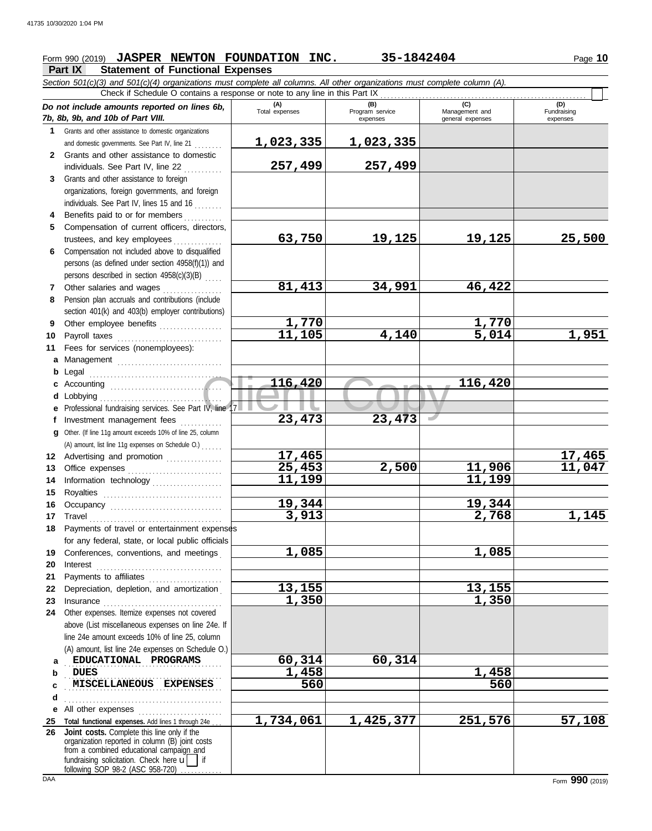### **Part IX Statement of Functional Expenses Form 990 (2019) JASPER NEWTON FOUNDATION INC. 35-1842404** Page 10

|              | Section 501(c)(3) and 501(c)(4) organizations must complete all columns. All other organizations must complete column (A).<br>Check if Schedule O contains a response or note to any line in this Part IX                                                                                                                                                                                                                                                                                           |                       |                             |                                    |                         |
|--------------|-----------------------------------------------------------------------------------------------------------------------------------------------------------------------------------------------------------------------------------------------------------------------------------------------------------------------------------------------------------------------------------------------------------------------------------------------------------------------------------------------------|-----------------------|-----------------------------|------------------------------------|-------------------------|
|              | Do not include amounts reported on lines 6b,                                                                                                                                                                                                                                                                                                                                                                                                                                                        |                       | (B)                         | (C)                                | (D)                     |
|              | 7b, 8b, 9b, and 10b of Part VIII.                                                                                                                                                                                                                                                                                                                                                                                                                                                                   | (A)<br>Total expenses | Program service<br>expenses | Management and<br>general expenses | Fundraising<br>expenses |
| 1            | Grants and other assistance to domestic organizations                                                                                                                                                                                                                                                                                                                                                                                                                                               |                       |                             |                                    |                         |
|              | and domestic governments. See Part IV, line 21                                                                                                                                                                                                                                                                                                                                                                                                                                                      | 1,023,335             | 1,023,335                   |                                    |                         |
| $\mathbf{2}$ | Grants and other assistance to domestic                                                                                                                                                                                                                                                                                                                                                                                                                                                             |                       |                             |                                    |                         |
|              | individuals. See Part IV, line 22                                                                                                                                                                                                                                                                                                                                                                                                                                                                   | 257,499               | 257,499                     |                                    |                         |
| 3            | Grants and other assistance to foreign                                                                                                                                                                                                                                                                                                                                                                                                                                                              |                       |                             |                                    |                         |
|              | organizations, foreign governments, and foreign                                                                                                                                                                                                                                                                                                                                                                                                                                                     |                       |                             |                                    |                         |
|              | individuals. See Part IV, lines 15 and 16                                                                                                                                                                                                                                                                                                                                                                                                                                                           |                       |                             |                                    |                         |
| 4            | Benefits paid to or for members                                                                                                                                                                                                                                                                                                                                                                                                                                                                     |                       |                             |                                    |                         |
| 5            | Compensation of current officers, directors,                                                                                                                                                                                                                                                                                                                                                                                                                                                        |                       |                             |                                    |                         |
|              | trustees, and key employees                                                                                                                                                                                                                                                                                                                                                                                                                                                                         | 63,750                | 19,125                      | 19,125                             | 25,500                  |
| 6            | Compensation not included above to disqualified                                                                                                                                                                                                                                                                                                                                                                                                                                                     |                       |                             |                                    |                         |
|              | persons (as defined under section 4958(f)(1)) and                                                                                                                                                                                                                                                                                                                                                                                                                                                   |                       |                             |                                    |                         |
|              | persons described in section 4958(c)(3)(B)                                                                                                                                                                                                                                                                                                                                                                                                                                                          |                       |                             |                                    |                         |
| 7            | Other salaries and wages                                                                                                                                                                                                                                                                                                                                                                                                                                                                            | 81,413                | 34,991                      | 46,422                             |                         |
| 8            | Pension plan accruals and contributions (include                                                                                                                                                                                                                                                                                                                                                                                                                                                    |                       |                             |                                    |                         |
|              | section 401(k) and 403(b) employer contributions)                                                                                                                                                                                                                                                                                                                                                                                                                                                   |                       |                             |                                    |                         |
| 9            | Other employee benefits                                                                                                                                                                                                                                                                                                                                                                                                                                                                             | 1,770                 |                             | 1,770                              |                         |
| 10           | Payroll taxes                                                                                                                                                                                                                                                                                                                                                                                                                                                                                       | $\overline{11,105}$   | 4,140                       | 5,014                              | 1,951                   |
| 11           | Fees for services (nonemployees):                                                                                                                                                                                                                                                                                                                                                                                                                                                                   |                       |                             |                                    |                         |
|              | a Management                                                                                                                                                                                                                                                                                                                                                                                                                                                                                        |                       |                             |                                    |                         |
|              |                                                                                                                                                                                                                                                                                                                                                                                                                                                                                                     |                       |                             |                                    |                         |
|              |                                                                                                                                                                                                                                                                                                                                                                                                                                                                                                     | 116,420               |                             | 116,420                            |                         |
|              | <b>d</b> Lobbying                                                                                                                                                                                                                                                                                                                                                                                                                                                                                   |                       |                             |                                    |                         |
|              | e Professional fundraising services. See Part IV, line 17                                                                                                                                                                                                                                                                                                                                                                                                                                           |                       |                             |                                    |                         |
|              | Investment management fees                                                                                                                                                                                                                                                                                                                                                                                                                                                                          | 23,473                | 23,473                      | $\mathcal{L}$                      |                         |
|              | g Other. (If line 11g amount exceeds 10% of line 25, column                                                                                                                                                                                                                                                                                                                                                                                                                                         |                       |                             |                                    |                         |
|              | (A) amount, list line 11g expenses on Schedule O.)                                                                                                                                                                                                                                                                                                                                                                                                                                                  |                       |                             |                                    |                         |
|              | 12 Advertising and promotion                                                                                                                                                                                                                                                                                                                                                                                                                                                                        | 17,465                |                             |                                    | <u>17,465</u>           |
| 13           |                                                                                                                                                                                                                                                                                                                                                                                                                                                                                                     | 25,453                | 2,500                       | 11,906                             | 11,047                  |
| 14           | Information technology                                                                                                                                                                                                                                                                                                                                                                                                                                                                              | 11,199                |                             | 11,199                             |                         |
| 15           |                                                                                                                                                                                                                                                                                                                                                                                                                                                                                                     |                       |                             |                                    |                         |
| 16           |                                                                                                                                                                                                                                                                                                                                                                                                                                                                                                     | 19,344                |                             | 19,344                             |                         |
| 17           | Travel                                                                                                                                                                                                                                                                                                                                                                                                                                                                                              | 3,913                 |                             | 2,768                              | 1,145                   |
| 18           | Payments of travel or entertainment expenses                                                                                                                                                                                                                                                                                                                                                                                                                                                        |                       |                             |                                    |                         |
|              | for any federal, state, or local public officials                                                                                                                                                                                                                                                                                                                                                                                                                                                   |                       |                             |                                    |                         |
| 19           | Conferences, conventions, and meetings                                                                                                                                                                                                                                                                                                                                                                                                                                                              | 1,085                 |                             | 1,085                              |                         |
| 20           | $\textbf{Interest} \hspace{2em} \begin{minipage}{1em} \begin{minipage}{1em} \begin{minipage}{1em} \begin{minipage}{1em} \end{minipage} \end{minipage} \end{minipage} \begin{minipage}{1em} \begin{minipage}{1em} \begin{minipage}{1em} \begin{minipage}{1em} \end{minipage} \end{minipage} \end{minipage} \end{minipage} \begin{minipage}{1em} \begin{minipage}{1em} \begin{minipage}{1em} \begin{minipage}{1em} \end{minipage} \end{minipage} \end{minipage} \end{minipage} \begin{minipage}{1em}$ |                       |                             |                                    |                         |
| 21           | Payments to affiliates                                                                                                                                                                                                                                                                                                                                                                                                                                                                              |                       |                             |                                    |                         |
| 22           | Depreciation, depletion, and amortization                                                                                                                                                                                                                                                                                                                                                                                                                                                           | 13,155<br>1,350       |                             | <u>13,155</u><br>1,350             |                         |
| 23<br>24     | Insurance with the continuum of the continuum of the continuum of the continuum of the continuum of the continuum of the continuum of the continuum of the continuum of the continuum of the continuum of the continuum of the<br>Other expenses. Itemize expenses not covered                                                                                                                                                                                                                      |                       |                             |                                    |                         |
|              | above (List miscellaneous expenses on line 24e. If                                                                                                                                                                                                                                                                                                                                                                                                                                                  |                       |                             |                                    |                         |
|              | line 24e amount exceeds 10% of line 25, column                                                                                                                                                                                                                                                                                                                                                                                                                                                      |                       |                             |                                    |                         |
|              | (A) amount, list line 24e expenses on Schedule O.)                                                                                                                                                                                                                                                                                                                                                                                                                                                  |                       |                             |                                    |                         |
| a            | EDUCATIONAL PROGRAMS                                                                                                                                                                                                                                                                                                                                                                                                                                                                                | 60,314                | 60,314                      |                                    |                         |
| b            | <b>DUES</b>                                                                                                                                                                                                                                                                                                                                                                                                                                                                                         | 1,458                 |                             | 1,458                              |                         |
| c            | MISCELLANEOUS EXPENSES                                                                                                                                                                                                                                                                                                                                                                                                                                                                              | 560                   |                             | 560                                |                         |
| d            |                                                                                                                                                                                                                                                                                                                                                                                                                                                                                                     |                       |                             |                                    |                         |
| е            | All other expenses                                                                                                                                                                                                                                                                                                                                                                                                                                                                                  |                       |                             |                                    |                         |
| 25           | Total functional expenses. Add lines 1 through 24e                                                                                                                                                                                                                                                                                                                                                                                                                                                  | 1,734,061             | 1,425,377                   | 251,576                            | 57,108                  |
| 26           | Joint costs. Complete this line only if the                                                                                                                                                                                                                                                                                                                                                                                                                                                         |                       |                             |                                    |                         |
|              | organization reported in column (B) joint costs                                                                                                                                                                                                                                                                                                                                                                                                                                                     |                       |                             |                                    |                         |
|              | from a combined educational campaign and<br>fundraising solicitation. Check here $\mathbf{u}$   if                                                                                                                                                                                                                                                                                                                                                                                                  |                       |                             |                                    |                         |
|              | following SOP 98-2 (ASC 958-720).                                                                                                                                                                                                                                                                                                                                                                                                                                                                   |                       |                             |                                    |                         |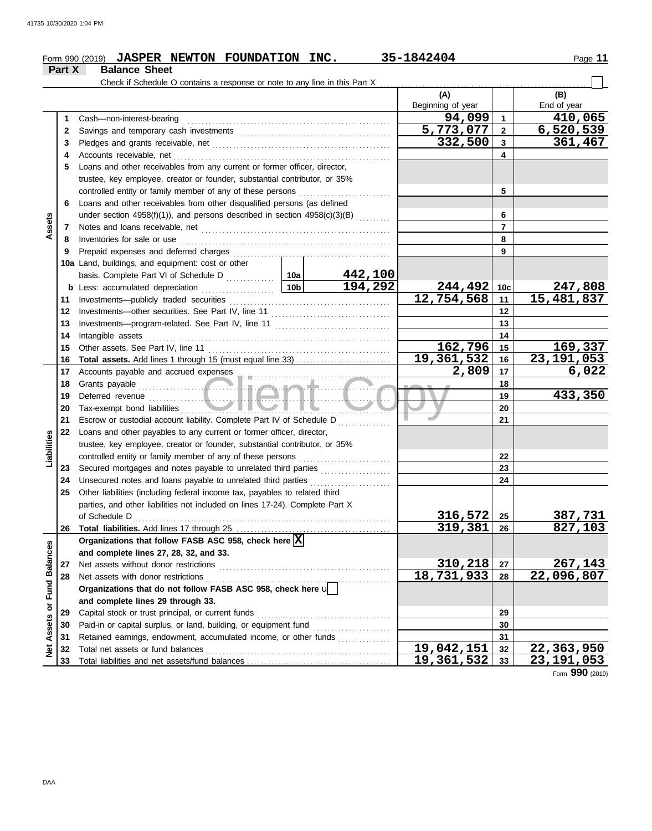#### $F$ orm 990 (2019) JASPER NEWTON FOUNDATION INC.  $35-1842404$  Page 11 **JASPER NEWTON FOUNDATION INC. 35-1842404**

|                      | Part X | <b>Balance Sheet</b>                                                                                                                                                                                                           |                 |         |                          |                |                    |
|----------------------|--------|--------------------------------------------------------------------------------------------------------------------------------------------------------------------------------------------------------------------------------|-----------------|---------|--------------------------|----------------|--------------------|
|                      |        | Check if Schedule O contains a response or note to any line in this Part X                                                                                                                                                     |                 |         |                          |                |                    |
|                      |        |                                                                                                                                                                                                                                |                 |         | (A)<br>Beginning of year |                | (B)<br>End of year |
|                      | 1      | Cash-non-interest-bearing                                                                                                                                                                                                      |                 |         | 94,099                   | $\mathbf{1}$   | 410,065            |
|                      | 2      |                                                                                                                                                                                                                                |                 |         | 5,773,077                | $\mathbf 2$    | 6,520,539          |
|                      | 3      |                                                                                                                                                                                                                                |                 |         | 332,500                  | $\mathbf{3}$   | 361,467            |
|                      | 4      |                                                                                                                                                                                                                                |                 |         |                          | 4              |                    |
|                      | 5      | Loans and other receivables from any current or former officer, director,                                                                                                                                                      |                 |         |                          |                |                    |
|                      |        | trustee, key employee, creator or founder, substantial contributor, or 35%                                                                                                                                                     |                 |         |                          |                |                    |
|                      |        | controlled entity or family member of any of these persons                                                                                                                                                                     |                 |         |                          | 5              |                    |
|                      | 6      | Loans and other receivables from other disqualified persons (as defined                                                                                                                                                        |                 |         |                          |                |                    |
|                      |        | under section 4958(f)(1)), and persons described in section $4958(c)(3)(B)$                                                                                                                                                    |                 |         |                          | 6              |                    |
| Assets               | 7      |                                                                                                                                                                                                                                |                 |         |                          | $\overline{7}$ |                    |
|                      | 8      | Inventories for sale or use                                                                                                                                                                                                    |                 |         |                          | 8              |                    |
|                      | 9      | Prepaid expenses and deferred charges                                                                                                                                                                                          |                 |         |                          | 9              |                    |
|                      |        | 10a Land, buildings, and equipment: cost or other                                                                                                                                                                              |                 |         |                          |                |                    |
|                      |        |                                                                                                                                                                                                                                |                 | 442,100 |                          |                |                    |
|                      |        | <b>b</b> Less: accumulated depreciation<br>.                                                                                                                                                                                   | 10 <sub>b</sub> | 194,292 | 244, 492                 | 10c            | 247,808            |
|                      | 11     | Investments-publicly traded securities                                                                                                                                                                                         |                 |         | 12,754,568               | 11             | 15,481,837         |
|                      | 12     |                                                                                                                                                                                                                                |                 | 12      |                          |                |                    |
|                      | 13     |                                                                                                                                                                                                                                |                 | 13      |                          |                |                    |
|                      | 14     | Intangible assets                                                                                                                                                                                                              |                 |         |                          | 14             |                    |
|                      | 15     | Other assets. See Part IV, line 11                                                                                                                                                                                             |                 |         | 162,796                  | 15             | 169,337            |
|                      | 16     | <b>Total assets.</b> Add lines 1 through 15 (must equal line 33)                                                                                                                                                               |                 |         | 19, 361, 532             | 16             | 23, 191, 053       |
|                      | 17     | Accounts payable and accrued expenses production and accrued expenses production of the set of the set of the set of the set of the set of the set of the set of the set of the set of the set of the set of the set of the se |                 |         | 2,809                    | 17             | 6,022              |
|                      | 18     | <u> Estados de la companya de la compa</u><br>Grants payable                                                                                                                                                                   |                 |         |                          | 18             |                    |
|                      | 19     |                                                                                                                                                                                                                                |                 |         |                          | 19             | 433,350            |
|                      | 20     | Tax-exempt bond liabilities                                                                                                                                                                                                    |                 | 20      |                          |                |                    |
|                      | 21     | Escrow or custodial account liability. Complete Part IV of Schedule D                                                                                                                                                          |                 |         | $\overline{\phantom{a}}$ | 21             |                    |
|                      | 22     | Loans and other payables to any current or former officer, director,                                                                                                                                                           |                 |         |                          |                |                    |
|                      |        | trustee, key employee, creator or founder, substantial contributor, or 35%                                                                                                                                                     |                 |         |                          |                |                    |
| Liabilities          |        |                                                                                                                                                                                                                                |                 |         |                          | 22             |                    |
|                      | 23     | Secured mortgages and notes payable to unrelated third parties                                                                                                                                                                 |                 |         |                          | 23             |                    |
|                      | 24     | Unsecured notes and loans payable to unrelated third parties                                                                                                                                                                   |                 |         |                          | 24             |                    |
|                      | 25     | Other liabilities (including federal income tax, payables to related third                                                                                                                                                     |                 |         |                          |                |                    |
|                      |        | parties, and other liabilities not included on lines 17-24). Complete Part X                                                                                                                                                   |                 |         |                          |                |                    |
|                      |        | of Schedule D                                                                                                                                                                                                                  |                 |         | 316,572                  | 25             | <u>387,731</u>     |
|                      | 26     |                                                                                                                                                                                                                                |                 |         | 319,381                  | - 26           | 827,103            |
|                      |        | Organizations that follow FASB ASC 958, check here $\boxed{\mathbf{X}}$                                                                                                                                                        |                 |         |                          |                |                    |
|                      |        | and complete lines 27, 28, 32, and 33.                                                                                                                                                                                         |                 |         |                          |                |                    |
|                      | 27     | Net assets without donor restrictions                                                                                                                                                                                          |                 |         | 310,218                  | 27             | <u>267,143</u>     |
| <b>Fund Balances</b> | 28     | Net assets with donor restrictions                                                                                                                                                                                             |                 |         | 18,731,933               | 28             | 22,096,807         |
|                      |        | Organizations that do not follow FASB ASC 958, check here u                                                                                                                                                                    |                 |         |                          |                |                    |
|                      |        | and complete lines 29 through 33.                                                                                                                                                                                              |                 |         |                          |                |                    |
| Net Assets or        | 29     | Capital stock or trust principal, or current funds                                                                                                                                                                             |                 |         |                          | 29             |                    |
|                      | 30     | Paid-in or capital surplus, or land, building, or equipment fund                                                                                                                                                               |                 |         |                          | 30             |                    |
|                      | 31     | Retained earnings, endowment, accumulated income, or other funds                                                                                                                                                               |                 |         |                          | 31             |                    |
|                      | 32     | Total net assets or fund balances                                                                                                                                                                                              |                 |         | 19,042,151               | 32             | 22,363,950         |
|                      | 33     |                                                                                                                                                                                                                                |                 |         | <u>19,361,532 33</u>     |                | <u>23,191,053</u>  |

Form **990** (2019)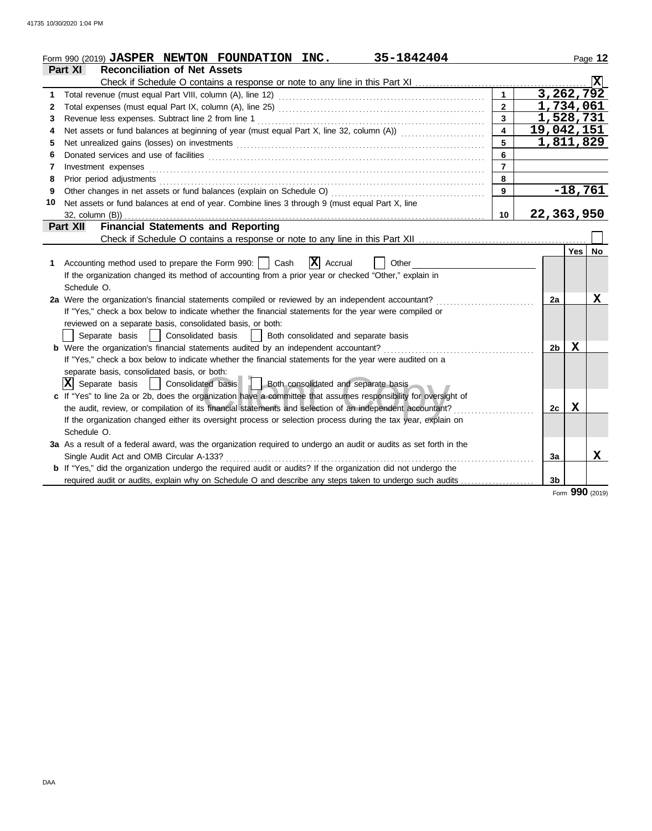|    | 35-1842404<br>Form 990 (2019) $JASPER$ NEWTON FOUNDATION INC.                                                                                                                                                                  |                         |                   | Page 12 |
|----|--------------------------------------------------------------------------------------------------------------------------------------------------------------------------------------------------------------------------------|-------------------------|-------------------|---------|
|    | <b>Reconciliation of Net Assets</b><br>Part XI                                                                                                                                                                                 |                         |                   |         |
|    |                                                                                                                                                                                                                                |                         |                   | Ixl     |
| 1  |                                                                                                                                                                                                                                | $\mathbf{1}$            | 3,262,792         |         |
| 2  |                                                                                                                                                                                                                                | $\overline{2}$          | 1,734,061         |         |
| 3  | Revenue less expenses. Subtract line 2 from line 1                                                                                                                                                                             | $\overline{\mathbf{3}}$ | 1,528,731         |         |
| 4  | Net assets or fund balances at beginning of year (must equal Part X, line 32, column (A))                                                                                                                                      | $\blacktriangle$        | <u>19,042,151</u> |         |
| 5  | Net unrealized gains (losses) on investments [11] matter contracts and the state of the state of the state of the state of the state of the state of the state of the state of the state of the state of the state of the stat | 5                       | 1,811,829         |         |
| 6  |                                                                                                                                                                                                                                | 6                       |                   |         |
| 7  | Investment expenses                                                                                                                                                                                                            | $\overline{7}$          |                   |         |
| 8  | Prior period adjustments [11, 12] and the contract of the contract of the contract of the contract of the contract of the contract of the contract of the contract of the contract of the contract of the contract of the cont | 8                       |                   |         |
| 9  | Other changes in net assets or fund balances (explain on Schedule O)                                                                                                                                                           | 9                       | $-18,761$         |         |
| 10 | Net assets or fund balances at end of year. Combine lines 3 through 9 (must equal Part X, line                                                                                                                                 |                         |                   |         |
|    | 32, column (B))                                                                                                                                                                                                                | 10                      | 22,363,950        |         |
|    | <b>Financial Statements and Reporting</b><br>Part XII                                                                                                                                                                          |                         |                   |         |
|    |                                                                                                                                                                                                                                |                         |                   |         |
|    |                                                                                                                                                                                                                                |                         | Yes               | No.     |
| 1  | $ \mathbf{X} $ Accrual<br>Accounting method used to prepare the Form 990:     Cash<br>Other                                                                                                                                    |                         |                   |         |
|    | If the organization changed its method of accounting from a prior year or checked "Other," explain in                                                                                                                          |                         |                   |         |
|    | Schedule O.                                                                                                                                                                                                                    |                         |                   |         |
|    | 2a Were the organization's financial statements compiled or reviewed by an independent accountant?                                                                                                                             |                         | 2a                | X       |
|    | If "Yes," check a box below to indicate whether the financial statements for the year were compiled or                                                                                                                         |                         |                   |         |
|    | reviewed on a separate basis, consolidated basis, or both:                                                                                                                                                                     |                         |                   |         |
|    | Consolidated basis<br>Both consolidated and separate basis<br>Separate basis<br>$\mathbf{1}$                                                                                                                                   |                         |                   |         |
|    | <b>b</b> Were the organization's financial statements audited by an independent accountant?                                                                                                                                    |                         | x<br>2b           |         |
|    | If "Yes," check a box below to indicate whether the financial statements for the year were audited on a                                                                                                                        |                         |                   |         |
|    | separate basis, consolidated basis, or both:                                                                                                                                                                                   |                         |                   |         |
|    | $ \mathbf{X} $ Separate basis $ \cdot $ Consolidated basis $ \cdot $ Both consolidated and separate basis                                                                                                                      |                         |                   |         |
|    | c If "Yes" to line 2a or 2b, does the organization have a committee that assumes responsibility for oversight of                                                                                                               |                         |                   |         |
|    | the audit, review, or compilation of its financial statements and selection of an independent accountant?                                                                                                                      |                         | $\mathbf X$<br>2с |         |
|    | If the organization changed either its oversight process or selection process during the tax year, explain on                                                                                                                  |                         |                   |         |
|    | Schedule O.                                                                                                                                                                                                                    |                         |                   |         |
|    | 3a As a result of a federal award, was the organization required to undergo an audit or audits as set forth in the                                                                                                             |                         |                   |         |
|    | Single Audit Act and OMB Circular A-133?                                                                                                                                                                                       |                         | 3a                | X       |
|    | b If "Yes," did the organization undergo the required audit or audits? If the organization did not undergo the                                                                                                                 |                         |                   |         |
|    | required audit or audits, explain why on Schedule O and describe any steps taken to undergo such audits                                                                                                                        |                         | 3 <sub>b</sub>    |         |
|    |                                                                                                                                                                                                                                |                         | nnn.              |         |

Form **990** (2019)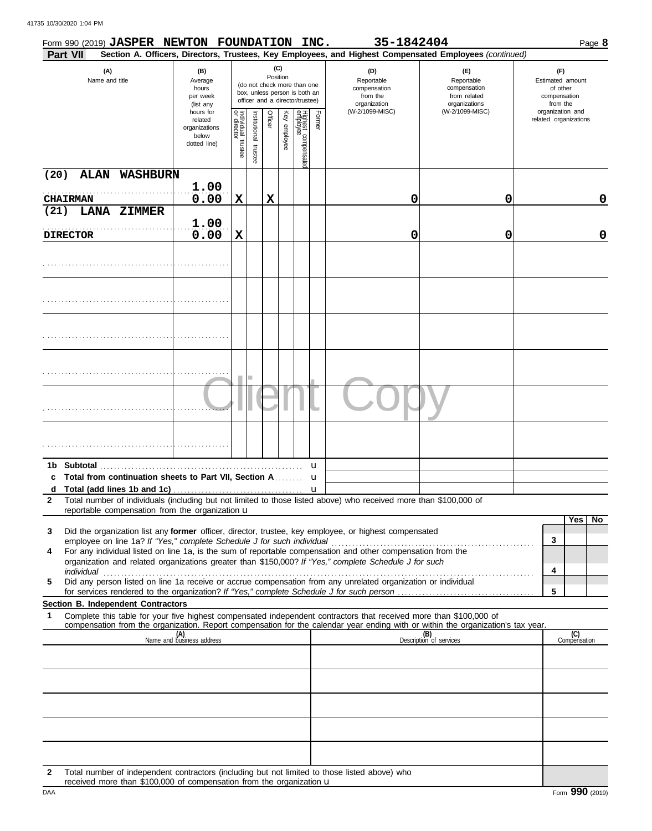|              |                 | Form 990 (2019) JASPER NEWTON FOUNDATION INC.             |                                                                |                                   |                          |         |                 |                                                                                                 |        | 35-1842404                                                                                                                                                                                                           |                                                                                                                                                                    |                                                                 |                     | Page 8 |
|--------------|-----------------|-----------------------------------------------------------|----------------------------------------------------------------|-----------------------------------|--------------------------|---------|-----------------|-------------------------------------------------------------------------------------------------|--------|----------------------------------------------------------------------------------------------------------------------------------------------------------------------------------------------------------------------|--------------------------------------------------------------------------------------------------------------------------------------------------------------------|-----------------------------------------------------------------|---------------------|--------|
|              | Part VII        |                                                           |                                                                |                                   |                          |         |                 |                                                                                                 |        |                                                                                                                                                                                                                      | Section A. Officers, Directors, Trustees, Key Employees, and Highest Compensated Employees (continued)                                                             |                                                                 |                     |        |
|              |                 | (A)<br>Name and title                                     | (B)<br>Average<br>hours<br>per week<br>(list any               |                                   |                          |         | (C)<br>Position | (do not check more than one<br>box, unless person is both an<br>officer and a director/trustee) |        | (D)<br>Reportable<br>compensation<br>from the<br>organization                                                                                                                                                        | (E)<br>Reportable<br>compensation<br>from related<br>organizations                                                                                                 | (F)<br>Estimated amount<br>of other<br>compensation<br>from the |                     |        |
|              |                 |                                                           | hours for<br>related<br>organizations<br>below<br>dotted line) | Individual trustee<br>or director | Institutional<br>trustee | Officer | Key employee    | Highest compensate<br>employee                                                                  | Former | (W-2/1099-MISC)                                                                                                                                                                                                      | (W-2/1099-MISC)                                                                                                                                                    | organization and<br>related organizations                       |                     |        |
| (20)         |                 | <b>ALAN WASHBURN</b>                                      |                                                                |                                   |                          |         |                 |                                                                                                 |        |                                                                                                                                                                                                                      |                                                                                                                                                                    |                                                                 |                     |        |
|              |                 |                                                           | 1.00                                                           |                                   |                          |         |                 |                                                                                                 |        |                                                                                                                                                                                                                      |                                                                                                                                                                    |                                                                 |                     |        |
| (21)         | <b>CHAIRMAN</b> | <b>LANA ZIMMER</b>                                        | 0.00                                                           | $\mathbf X$                       |                          | X       |                 |                                                                                                 |        | 0                                                                                                                                                                                                                    | 0                                                                                                                                                                  |                                                                 |                     | 0      |
|              |                 |                                                           | 1.00                                                           |                                   |                          |         |                 |                                                                                                 |        |                                                                                                                                                                                                                      |                                                                                                                                                                    |                                                                 |                     |        |
|              | <b>DIRECTOR</b> |                                                           | 0.00                                                           | $\mathbf X$                       |                          |         |                 |                                                                                                 |        | 0                                                                                                                                                                                                                    | 0                                                                                                                                                                  |                                                                 |                     | 0      |
|              |                 |                                                           |                                                                |                                   |                          |         |                 |                                                                                                 |        |                                                                                                                                                                                                                      |                                                                                                                                                                    |                                                                 |                     |        |
|              |                 |                                                           |                                                                |                                   |                          |         |                 |                                                                                                 |        |                                                                                                                                                                                                                      |                                                                                                                                                                    |                                                                 |                     |        |
|              |                 |                                                           |                                                                |                                   |                          |         |                 |                                                                                                 |        |                                                                                                                                                                                                                      |                                                                                                                                                                    |                                                                 |                     |        |
|              |                 |                                                           |                                                                |                                   |                          |         |                 |                                                                                                 |        |                                                                                                                                                                                                                      |                                                                                                                                                                    |                                                                 |                     |        |
|              |                 |                                                           |                                                                |                                   |                          |         |                 |                                                                                                 |        |                                                                                                                                                                                                                      |                                                                                                                                                                    |                                                                 |                     |        |
|              |                 |                                                           |                                                                |                                   |                          |         |                 |                                                                                                 |        |                                                                                                                                                                                                                      |                                                                                                                                                                    |                                                                 |                     |        |
|              |                 |                                                           |                                                                |                                   |                          |         |                 |                                                                                                 |        |                                                                                                                                                                                                                      |                                                                                                                                                                    |                                                                 |                     |        |
|              |                 |                                                           |                                                                |                                   |                          |         |                 |                                                                                                 |        |                                                                                                                                                                                                                      |                                                                                                                                                                    |                                                                 |                     |        |
|              |                 |                                                           |                                                                |                                   |                          |         |                 |                                                                                                 | u      |                                                                                                                                                                                                                      |                                                                                                                                                                    |                                                                 |                     |        |
|              |                 | Total from continuation sheets to Part VII, Section A     |                                                                |                                   |                          |         |                 |                                                                                                 | u      |                                                                                                                                                                                                                      |                                                                                                                                                                    |                                                                 |                     |        |
|              |                 |                                                           |                                                                |                                   |                          |         |                 |                                                                                                 |        |                                                                                                                                                                                                                      |                                                                                                                                                                    |                                                                 |                     |        |
| $\mathbf{2}$ |                 | reportable compensation from the organization $\mathbf u$ |                                                                |                                   |                          |         |                 |                                                                                                 |        | Total number of individuals (including but not limited to those listed above) who received more than \$100,000 of                                                                                                    |                                                                                                                                                                    |                                                                 |                     |        |
|              |                 |                                                           |                                                                |                                   |                          |         |                 |                                                                                                 |        |                                                                                                                                                                                                                      |                                                                                                                                                                    |                                                                 | Yes   No            |        |
| 3            |                 |                                                           |                                                                |                                   |                          |         |                 |                                                                                                 |        | Did the organization list any former officer, director, trustee, key employee, or highest compensated                                                                                                                |                                                                                                                                                                    | 3                                                               |                     |        |
| 4            |                 |                                                           |                                                                |                                   |                          |         |                 |                                                                                                 |        | For any individual listed on line 1a, is the sum of reportable compensation and other compensation from the<br>organization and related organizations greater than \$150,000? If "Yes," complete Schedule J for such |                                                                                                                                                                    |                                                                 |                     |        |
|              |                 |                                                           |                                                                |                                   |                          |         |                 |                                                                                                 |        |                                                                                                                                                                                                                      |                                                                                                                                                                    | 4                                                               |                     |        |
| 5            |                 |                                                           |                                                                |                                   |                          |         |                 |                                                                                                 |        | Did any person listed on line 1a receive or accrue compensation from any unrelated organization or individual                                                                                                        |                                                                                                                                                                    | 5                                                               |                     |        |
|              |                 | Section B. Independent Contractors                        |                                                                |                                   |                          |         |                 |                                                                                                 |        |                                                                                                                                                                                                                      |                                                                                                                                                                    |                                                                 |                     |        |
| 1            |                 |                                                           |                                                                |                                   |                          |         |                 |                                                                                                 |        | Complete this table for your five highest compensated independent contractors that received more than \$100,000 of                                                                                                   |                                                                                                                                                                    |                                                                 |                     |        |
|              |                 |                                                           | (A)<br>Name and business address                               |                                   |                          |         |                 |                                                                                                 |        |                                                                                                                                                                                                                      | compensation from the organization. Report compensation for the calendar year ending with or within the organization's tax year.<br>(B)<br>Description of services |                                                                 | (C)<br>Compensation |        |
|              |                 |                                                           |                                                                |                                   |                          |         |                 |                                                                                                 |        |                                                                                                                                                                                                                      |                                                                                                                                                                    |                                                                 |                     |        |
|              |                 |                                                           |                                                                |                                   |                          |         |                 |                                                                                                 |        |                                                                                                                                                                                                                      |                                                                                                                                                                    |                                                                 |                     |        |
|              |                 |                                                           |                                                                |                                   |                          |         |                 |                                                                                                 |        |                                                                                                                                                                                                                      |                                                                                                                                                                    |                                                                 |                     |        |
|              |                 |                                                           |                                                                |                                   |                          |         |                 |                                                                                                 |        |                                                                                                                                                                                                                      |                                                                                                                                                                    |                                                                 |                     |        |
|              |                 |                                                           |                                                                |                                   |                          |         |                 |                                                                                                 |        |                                                                                                                                                                                                                      |                                                                                                                                                                    |                                                                 |                     |        |
|              |                 |                                                           |                                                                |                                   |                          |         |                 |                                                                                                 |        |                                                                                                                                                                                                                      |                                                                                                                                                                    |                                                                 |                     |        |
|              |                 |                                                           |                                                                |                                   |                          |         |                 |                                                                                                 |        |                                                                                                                                                                                                                      |                                                                                                                                                                    |                                                                 |                     |        |
|              |                 |                                                           |                                                                |                                   |                          |         |                 |                                                                                                 |        |                                                                                                                                                                                                                      |                                                                                                                                                                    |                                                                 |                     |        |

**2** Total number of independent contractors (including but not limited to those listed above) who received more than \$100,000 of compensation from the organization u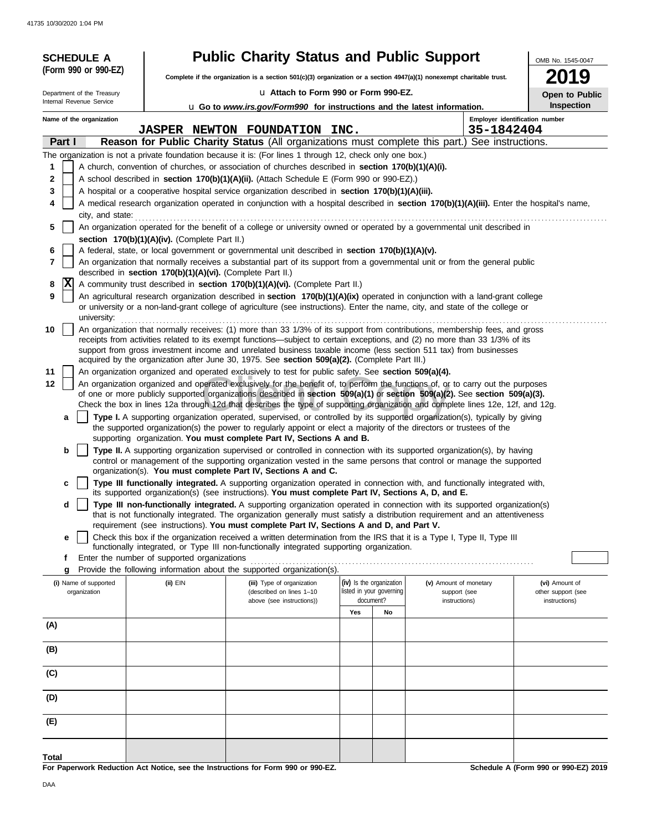|       |        | <b>SCHEDULE A</b>                     |                                                            | <b>Public Charity Status and Public Support</b>                                                                                                                                                                                                                 |     |                                                      |                                        |            | OMB No. 1545-0047                    |
|-------|--------|---------------------------------------|------------------------------------------------------------|-----------------------------------------------------------------------------------------------------------------------------------------------------------------------------------------------------------------------------------------------------------------|-----|------------------------------------------------------|----------------------------------------|------------|--------------------------------------|
|       |        | (Form 990 or 990-EZ)                  |                                                            | Complete if the organization is a section $501(c)(3)$ organization or a section $4947(a)(1)$ nonexempt charitable trust.                                                                                                                                        |     |                                                      |                                        |            | 9                                    |
|       |        | Department of the Treasury            |                                                            | La Attach to Form 990 or Form 990-EZ.                                                                                                                                                                                                                           |     |                                                      |                                        |            | Open to Public                       |
|       |        | Internal Revenue Service              |                                                            | u Go to www.irs.gov/Form990 for instructions and the latest information.                                                                                                                                                                                        |     |                                                      |                                        |            | Inspection                           |
|       |        | Name of the organization              |                                                            |                                                                                                                                                                                                                                                                 |     |                                                      |                                        |            | Employer identification number       |
|       |        |                                       |                                                            | <b>JASPER NEWTON FOUNDATION INC.</b>                                                                                                                                                                                                                            |     |                                                      |                                        | 35-1842404 |                                      |
|       | Part I |                                       |                                                            | Reason for Public Charity Status (All organizations must complete this part.) See instructions.<br>The organization is not a private foundation because it is: (For lines 1 through 12, check only one box.)                                                    |     |                                                      |                                        |            |                                      |
| 1     |        |                                       |                                                            | A church, convention of churches, or association of churches described in section 170(b)(1)(A)(i).                                                                                                                                                              |     |                                                      |                                        |            |                                      |
| 2     |        |                                       |                                                            | A school described in section 170(b)(1)(A)(ii). (Attach Schedule E (Form 990 or 990-EZ).)                                                                                                                                                                       |     |                                                      |                                        |            |                                      |
| 3     |        |                                       |                                                            | A hospital or a cooperative hospital service organization described in section 170(b)(1)(A)(iii).                                                                                                                                                               |     |                                                      |                                        |            |                                      |
| 4     |        |                                       |                                                            | A medical research organization operated in conjunction with a hospital described in section 170(b)(1)(A)(iii). Enter the hospital's name,                                                                                                                      |     |                                                      |                                        |            |                                      |
| 5     |        |                                       | city, and state: expression and state:                     | An organization operated for the benefit of a college or university owned or operated by a governmental unit described in                                                                                                                                       |     |                                                      |                                        |            |                                      |
|       |        |                                       | section 170(b)(1)(A)(iv). (Complete Part II.)              |                                                                                                                                                                                                                                                                 |     |                                                      |                                        |            |                                      |
| 6     |        |                                       |                                                            | A federal, state, or local government or governmental unit described in section 170(b)(1)(A)(v).                                                                                                                                                                |     |                                                      |                                        |            |                                      |
| 7     |        |                                       | described in section 170(b)(1)(A)(vi). (Complete Part II.) | An organization that normally receives a substantial part of its support from a governmental unit or from the general public                                                                                                                                    |     |                                                      |                                        |            |                                      |
| 8     | x      |                                       |                                                            | A community trust described in section 170(b)(1)(A)(vi). (Complete Part II.)                                                                                                                                                                                    |     |                                                      |                                        |            |                                      |
| 9     |        | university:                           |                                                            | An agricultural research organization described in section 170(b)(1)(A)(ix) operated in conjunction with a land-grant college<br>or university or a non-land-grant college of agriculture (see instructions). Enter the name, city, and state of the college or |     |                                                      |                                        |            |                                      |
| 10    |        |                                       |                                                            | An organization that normally receives: (1) more than 33 1/3% of its support from contributions, membership fees, and gross                                                                                                                                     |     |                                                      |                                        |            |                                      |
|       |        |                                       |                                                            | receipts from activities related to its exempt functions—subject to certain exceptions, and (2) no more than 33 1/3% of its<br>support from gross investment income and unrelated business taxable income (less section 511 tax) from businesses                |     |                                                      |                                        |            |                                      |
|       |        |                                       |                                                            | acquired by the organization after June 30, 1975. See section 509(a)(2). (Complete Part III.)                                                                                                                                                                   |     |                                                      |                                        |            |                                      |
| 11    |        |                                       |                                                            | An organization organized and operated exclusively to test for public safety. See section 509(a)(4).                                                                                                                                                            |     |                                                      |                                        |            |                                      |
| 12    |        |                                       |                                                            | An organization organized and operated exclusively for the benefit of, to perform the functions of, or to carry out the purposes<br>of one or more publicly supported organizations described in section 509(a)(1) or section 509(a)(2). See section 509(a)(3). |     |                                                      |                                        |            |                                      |
|       |        |                                       |                                                            | Check the box in lines 12a through 12d that describes the type of supporting organization and complete lines 12e, 12f, and 12g.                                                                                                                                 |     |                                                      |                                        |            |                                      |
|       | a      |                                       |                                                            | Type I. A supporting organization operated, supervised, or controlled by its supported organization(s), typically by giving                                                                                                                                     |     |                                                      |                                        |            |                                      |
|       |        |                                       |                                                            | the supported organization(s) the power to regularly appoint or elect a majority of the directors or trustees of the<br>supporting organization. You must complete Part IV, Sections A and B.                                                                   |     |                                                      |                                        |            |                                      |
|       | b      |                                       |                                                            | Type II. A supporting organization supervised or controlled in connection with its supported organization(s), by having                                                                                                                                         |     |                                                      |                                        |            |                                      |
|       |        |                                       |                                                            | control or management of the supporting organization vested in the same persons that control or manage the supported<br>organization(s). You must complete Part IV, Sections A and C.                                                                           |     |                                                      |                                        |            |                                      |
|       | c      |                                       |                                                            | Type III functionally integrated. A supporting organization operated in connection with, and functionally integrated with,                                                                                                                                      |     |                                                      |                                        |            |                                      |
|       | d      |                                       |                                                            | its supported organization(s) (see instructions). You must complete Part IV, Sections A, D, and E.<br>Type III non-functionally integrated. A supporting organization operated in connection with its supported organization(s)                                 |     |                                                      |                                        |            |                                      |
|       |        |                                       |                                                            | that is not functionally integrated. The organization generally must satisfy a distribution requirement and an attentiveness                                                                                                                                    |     |                                                      |                                        |            |                                      |
|       |        |                                       |                                                            | requirement (see instructions). You must complete Part IV, Sections A and D, and Part V.                                                                                                                                                                        |     |                                                      |                                        |            |                                      |
|       | е      |                                       |                                                            | Check this box if the organization received a written determination from the IRS that it is a Type I, Type II, Type III<br>functionally integrated, or Type III non-functionally integrated supporting organization.                                            |     |                                                      |                                        |            |                                      |
|       | f      |                                       | Enter the number of supported organizations                |                                                                                                                                                                                                                                                                 |     |                                                      |                                        |            |                                      |
|       | g      |                                       |                                                            | Provide the following information about the supported organization(s).                                                                                                                                                                                          |     |                                                      |                                        |            |                                      |
|       |        | (i) Name of supported<br>organization | (ii) EIN                                                   | (iii) Type of organization<br>(described on lines 1-10                                                                                                                                                                                                          |     | (iv) Is the organization<br>listed in your governing | (v) Amount of monetary<br>support (see |            | (vi) Amount of<br>other support (see |
|       |        |                                       |                                                            | above (see instructions))                                                                                                                                                                                                                                       | Yes | document?<br>No                                      | instructions)                          |            | instructions)                        |
| (A)   |        |                                       |                                                            |                                                                                                                                                                                                                                                                 |     |                                                      |                                        |            |                                      |
|       |        |                                       |                                                            |                                                                                                                                                                                                                                                                 |     |                                                      |                                        |            |                                      |
| (B)   |        |                                       |                                                            |                                                                                                                                                                                                                                                                 |     |                                                      |                                        |            |                                      |
| (C)   |        |                                       |                                                            |                                                                                                                                                                                                                                                                 |     |                                                      |                                        |            |                                      |
| (D)   |        |                                       |                                                            |                                                                                                                                                                                                                                                                 |     |                                                      |                                        |            |                                      |
| (E)   |        |                                       |                                                            |                                                                                                                                                                                                                                                                 |     |                                                      |                                        |            |                                      |
|       |        |                                       |                                                            |                                                                                                                                                                                                                                                                 |     |                                                      |                                        |            |                                      |
| Total |        |                                       |                                                            |                                                                                                                                                                                                                                                                 |     |                                                      |                                        |            |                                      |
|       |        |                                       |                                                            | For Paperwork Reduction Act Notice, see the Instructions for Form 990 or 990-F7                                                                                                                                                                                 |     |                                                      |                                        |            | Schodule A (Form 990 or 990-F7) 2019 |

**For Paperwork Reduction Act Notice, see the Instructions for Form 990 or 990-EZ.**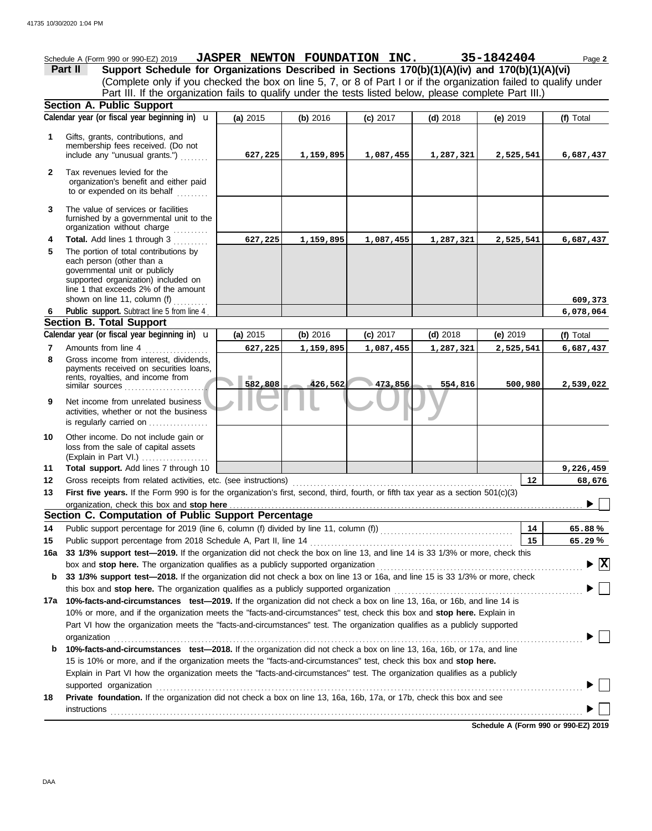582,808 426,562 473,856 55 (Explain in Part VI.) . . . . . . . . . . . . . . . . . . . governmental unit or publicly **Section A. Public Support Total support.** Add lines 7 through 10 loss from the sale of capital assets Other income. Do not include gain or is regularly carried on . . . . . . . . . . . . . . . . activities, whether or not the business Net income from unrelated business rents, royalties, and income from payments received on securities loans, Gross income from interest, dividends, line 1 that exceeds 2% of the amount supported organization) included on each person (other than a The portion of total contributions by **Total.** Add lines 1 through 3 .......... The value of services or facilities to or expended on its behalf ......... organization's benefit and either paid Tax revenues levied for the First five years. If the Form 990 is for the organization's first, second, third, fourth, or fifth tax year as a section 501(c)(3) Gross receipts from related activities, etc. (see instructions) . . . . . . . . . . . . . . . . . . . . . . . . . . . . . . . . . . . . . . . . . . . . . . . . . . . . . . . . . . . . . . . Amounts from line 4 Public support. Subtract line 5 from line 4 include any "unusual grants.") . . . . . . . . membership fees received. (Do not Gifts, grants, contributions, and Schedule A (Form 990 or 990-EZ) 2019 **JASPER NEWTON FOUNDATION INC.** 35-1842404 Page 2 **13 12 11 9 8 6 4 3 2 1 (a)** 2015 **(b)** 2016 **(c)** 2017 **(d)** 2018 **(e)** 2019 (Complete only if you checked the box on line 5, 7, or 8 of Part I or if the organization failed to qualify under **Part II Support Schedule for Organizations Described in Sections 170(b)(1)(A)(iv) and 170(b)(1)(A)(vi)** Calendar year (or fiscal year beginning in) **\u** | (a) 2015 | (b) 2016 | (c) 2017 | (d) 2018 | (e) 2019 | (f) Total furnished by a governmental unit to the organization without charge **5 Section B. Total Support 7** similar sources **10** organization, check this box and stop here **Section C. Computation of Public Support Percentage 12 14** Public support percentage for 2019 (line 6, column (f) divided by line 11, column (f)) . . . . . . . . . . . . . . . . . . . . . . . . . . . . . . . . . . . . . . Public support percentage from 2018 Schedule A, Part II, line 14 . . . . . . . . . . . . . . . . . . . . . . . . . . . . . . . . . . . . . . . . . . . . . . . . . . . . . . . . . . **15 16a 33 1/3% support test—2019.** If the organization did not check the box on line 13, and line 14 is 33 1/3% or more, check this box and stop here. The organization qualifies as a publicly supported organization ............... **b 33 1/3% support test—2018.** If the organization did not check a box on line 13 or 16a, and line 15 is 33 1/3% or more, check this box and **stop here.** The organization qualifies as a publicly supported organization . . . . . . . . . . . . . . . . . . . . . . . . . . . . . . . . . . . . . . . . . . . . . . . . . . . . . . **17a 10%-facts-and-circumstances test—2019.** If the organization did not check a box on line 13, 16a, or 16b, and line 14 is 10% or more, and if the organization meets the "facts-and-circumstances" test, check this box and **stop here.** Explain in Part VI how the organization meets the "facts-and-circumstances" test. The organization qualifies as a publicly supported **b 10%-facts-and-circumstances test—2018.** If the organization did not check a box on line 13, 16a, 16b, or 17a, and line Explain in Part VI how the organization meets the "facts-and-circumstances" test. The organization qualifies as a publicly 15 is 10% or more, and if the organization meets the "facts-and-circumstances" test, check this box and **stop here. 18 Private foundation.** If the organization did not check a box on line 13, 16a, 16b, 17a, or 17b, check this box and see **14 15 % 65.88 % 65.29** Calendar year (or fiscal year beginning in)  $\mathbf{u}$  (a) 2015 (b) 2016 (c) 2017 (d) 2018 (e) 2019 (f) Total Part III. If the organization fails to qualify under the tests listed below, please complete Part III.) **(a)** 2015 shown on line 11, column (f)  $\ldots$ organization content to the content of the content of the content of the content of the content of the content of the content of the content of the content of the content of the content of the content of the content of the supported organization . . . . . . . . . . . . . . . . . . . . . . . . . . . . . . . . . . . . . . . . . . . . . . . . . . . . . . . . . . . . . . . . . . . . . . . . . . . . . . . . . . . . . . . . . . . . . . . . . . . . . . . . . . . . . . . . . . . . . . . . . . **instructions** u **(b)** 2016 **(c)** 2017 **(d)** 2018 **(e)** 2019 **627,225 1,159,895 1,087,455 1,287,321 2,525,541 6,687,437 627,225 1,159,895 1,087,455 1,287,321 2,525,541 6,687,437 609,373 6,078,064 627,225 1,159,895 1,087,455 1,287,321 2,525,541 6,687,437 582,808 426,562 473,856 554,816 500,980 2,539,022 9,226,459 68,676 X**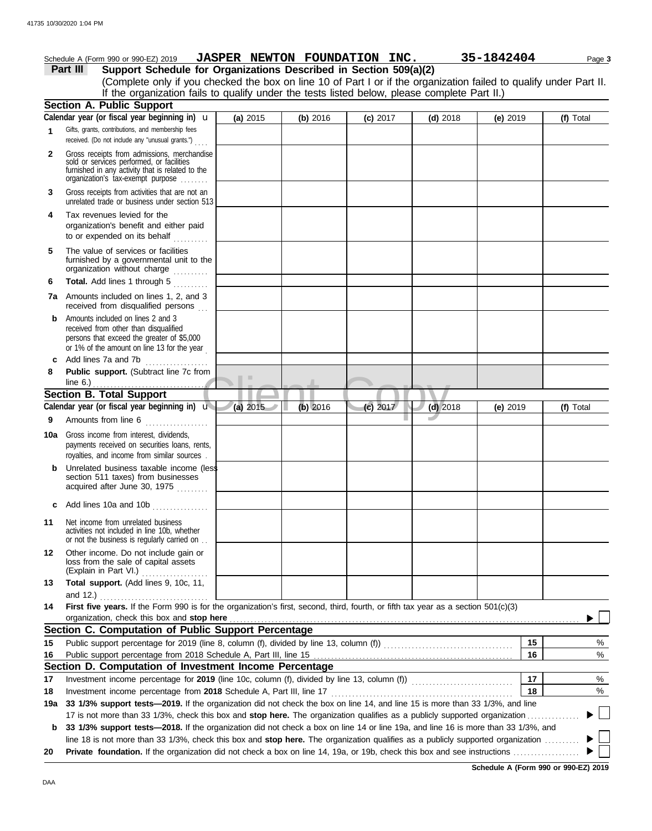|     | Schedule A (Form 990 or 990-EZ) 2019                                                                                                                                              | JASPER NEWTON FOUNDATION INC. |            |            |            | 35-1842404 | Page 3    |
|-----|-----------------------------------------------------------------------------------------------------------------------------------------------------------------------------------|-------------------------------|------------|------------|------------|------------|-----------|
|     | Support Schedule for Organizations Described in Section 509(a)(2)<br>Part III                                                                                                     |                               |            |            |            |            |           |
|     | (Complete only if you checked the box on line 10 of Part I or if the organization failed to qualify under Part II.                                                                |                               |            |            |            |            |           |
|     | If the organization fails to qualify under the tests listed below, please complete Part II.)                                                                                      |                               |            |            |            |            |           |
|     | <b>Section A. Public Support</b>                                                                                                                                                  |                               |            |            |            |            |           |
|     | Calendar year (or fiscal year beginning in) $\mathbf u$                                                                                                                           | (a) 2015                      | (b) 2016   | $(c)$ 2017 | $(d)$ 2018 | (e) $2019$ | (f) Total |
| 1   | Gifts, grants, contributions, and membership fees<br>received. (Do not include any "unusual grants.")                                                                             |                               |            |            |            |            |           |
| 2   | Gross receipts from admissions, merchandise<br>sold or services performed, or facilities<br>furnished in any activity that is related to the<br>organization's tax-exempt purpose |                               |            |            |            |            |           |
| 3   | Gross receipts from activities that are not an<br>unrelated trade or business under section 513                                                                                   |                               |            |            |            |            |           |
| 4   | Tax revenues levied for the<br>organization's benefit and either paid<br>to or expended on its behalf                                                                             |                               |            |            |            |            |           |
| 5   | The value of services or facilities<br>furnished by a governmental unit to the<br>organization without charge<br>an de la calendar                                                |                               |            |            |            |            |           |
| 6   | Total. Add lines 1 through 5<br><u>.</u>                                                                                                                                          |                               |            |            |            |            |           |
|     | 7a Amounts included on lines 1, 2, and 3<br>received from disqualified persons                                                                                                    |                               |            |            |            |            |           |
| b   | Amounts included on lines 2 and 3<br>received from other than disqualified<br>persons that exceed the greater of \$5,000<br>or 1% of the amount on line 13 for the year           |                               |            |            |            |            |           |
| c   | Add lines 7a and 7b<br>.                                                                                                                                                          |                               |            |            |            |            |           |
| 8   | Public support. (Subtract line 7c from                                                                                                                                            | ш                             |            |            |            |            |           |
|     | <b>Section B. Total Support</b>                                                                                                                                                   |                               |            |            |            |            |           |
|     | Calendar year (or fiscal year beginning in) u                                                                                                                                     | (a) 2015                      | $(b)$ 2016 | (c) 2017   | $(d)$ 2018 | (e) $2019$ | (f) Total |
| 9   | Amounts from line 6                                                                                                                                                               |                               |            |            |            |            |           |
| 10a | Gross income from interest, dividends,<br>payments received on securities loans, rents,<br>royalties, and income from similar sources.                                            |                               |            |            |            |            |           |
|     | Unrelated business taxable income (less<br>section 511 taxes) from businesses<br>acquired after June 30, 1975                                                                     |                               |            |            |            |            |           |
|     | c Add lines 10a and 10b                                                                                                                                                           |                               |            |            |            |            |           |
| 11  | Net income from unrelated business<br>activities not included in line 10b, whether<br>or not the business is regularly carried on                                                 |                               |            |            |            |            |           |
| 12  | Other income. Do not include gain or<br>loss from the sale of capital assets<br>(Explain in Part VI.)                                                                             |                               |            |            |            |            |           |
| 13  | Total support. (Add lines 9, 10c, 11,<br>and $12.$ )                                                                                                                              |                               |            |            |            |            |           |
| 14  | First five years. If the Form 990 is for the organization's first, second, third, fourth, or fifth tax year as a section 501(c)(3)<br>organization, check this box and stop here  |                               |            |            |            |            |           |
|     | Section C. Computation of Public Support Percentage                                                                                                                               |                               |            |            |            |            |           |
| 15  |                                                                                                                                                                                   |                               |            |            |            | 15         | %         |
| 16  |                                                                                                                                                                                   |                               |            |            |            | 16         | %         |
|     | Section D. Computation of Investment Income Percentage                                                                                                                            |                               |            |            |            |            |           |
| 17  |                                                                                                                                                                                   |                               |            |            |            | 17         | %         |
| 18  |                                                                                                                                                                                   |                               |            |            |            | 18         | %         |
| 19a | 33 1/3% support tests—2019. If the organization did not check the box on line 14, and line 15 is more than 33 1/3%, and line                                                      |                               |            |            |            |            |           |
|     | 17 is not more than 33 1/3%, check this box and stop here. The organization qualifies as a publicly supported organization                                                        |                               |            |            |            |            |           |
| b   | 33 1/3% support tests—2018. If the organization did not check a box on line 14 or line 19a, and line 16 is more than 33 1/3%, and                                                 |                               |            |            |            |            |           |
|     | line 18 is not more than 33 1/3%, check this box and stop here. The organization qualifies as a publicly supported organization                                                   |                               |            |            |            |            |           |
| 20  |                                                                                                                                                                                   |                               |            |            |            |            |           |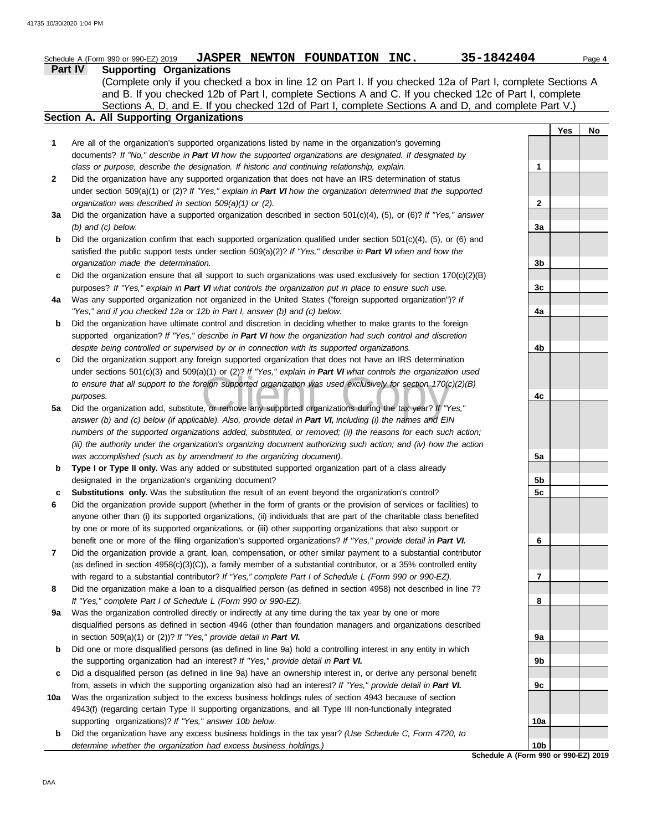|     | 35-1842404<br><b>JASPER NEWTON FOUNDATION INC.</b><br>Schedule A (Form 990 or 990-EZ) 2019                                                                                                                                     |                 |     | Page 4 |
|-----|--------------------------------------------------------------------------------------------------------------------------------------------------------------------------------------------------------------------------------|-----------------|-----|--------|
|     | <b>Supporting Organizations</b><br>Part IV                                                                                                                                                                                     |                 |     |        |
|     | (Complete only if you checked a box in line 12 on Part I. If you checked 12a of Part I, complete Sections A                                                                                                                    |                 |     |        |
|     | and B. If you checked 12b of Part I, complete Sections A and C. If you checked 12c of Part I, complete                                                                                                                         |                 |     |        |
|     | Sections A, D, and E. If you checked 12d of Part I, complete Sections A and D, and complete Part V.)                                                                                                                           |                 |     |        |
|     | Section A. All Supporting Organizations                                                                                                                                                                                        |                 |     |        |
|     |                                                                                                                                                                                                                                |                 | Yes | No     |
| 1   | Are all of the organization's supported organizations listed by name in the organization's governing                                                                                                                           |                 |     |        |
|     | documents? If "No," describe in Part VI how the supported organizations are designated. If designated by                                                                                                                       |                 |     |        |
|     | class or purpose, describe the designation. If historic and continuing relationship, explain.                                                                                                                                  | 1               |     |        |
| 2   | Did the organization have any supported organization that does not have an IRS determination of status                                                                                                                         |                 |     |        |
|     | under section 509(a)(1) or (2)? If "Yes," explain in Part VI how the organization determined that the supported                                                                                                                |                 |     |        |
|     | organization was described in section 509(a)(1) or (2).                                                                                                                                                                        | $\mathbf{2}$    |     |        |
| За  | Did the organization have a supported organization described in section 501(c)(4), (5), or (6)? If "Yes," answer                                                                                                               |                 |     |        |
|     | $(b)$ and $(c)$ below.                                                                                                                                                                                                         | За              |     |        |
| b   | Did the organization confirm that each supported organization qualified under section $501(c)(4)$ , (5), or (6) and                                                                                                            |                 |     |        |
|     | satisfied the public support tests under section 509(a)(2)? If "Yes," describe in Part VI when and how the                                                                                                                     |                 |     |        |
|     | organization made the determination.                                                                                                                                                                                           | 3b              |     |        |
| c   | Did the organization ensure that all support to such organizations was used exclusively for section $170(c)(2)(B)$                                                                                                             |                 |     |        |
|     | purposes? If "Yes," explain in Part VI what controls the organization put in place to ensure such use.                                                                                                                         | 3c              |     |        |
| 4a  | Was any supported organization not organized in the United States ("foreign supported organization")? If                                                                                                                       |                 |     |        |
|     | "Yes," and if you checked 12a or 12b in Part I, answer (b) and (c) below.                                                                                                                                                      | 4a              |     |        |
| b   | Did the organization have ultimate control and discretion in deciding whether to make grants to the foreign                                                                                                                    |                 |     |        |
|     | supported organization? If "Yes," describe in Part VI how the organization had such control and discretion                                                                                                                     |                 |     |        |
|     |                                                                                                                                                                                                                                | 4b              |     |        |
|     | despite being controlled or supervised by or in connection with its supported organizations.                                                                                                                                   |                 |     |        |
| c   | Did the organization support any foreign supported organization that does not have an IRS determination<br>under sections $501(c)(3)$ and $509(a)(1)$ or (2)? If "Yes," explain in Part VI what controls the organization used |                 |     |        |
|     |                                                                                                                                                                                                                                |                 |     |        |
|     | to ensure that all support to the foreign supported organization was used exclusively for section 170(c)(2)(B)                                                                                                                 |                 |     |        |
|     | purposes.                                                                                                                                                                                                                      | 4c              |     |        |
| 5a  | Did the organization add, substitute, or remove any supported organizations during the tax year? If "Yes,"                                                                                                                     |                 |     |        |
|     | answer (b) and (c) below (if applicable). Also, provide detail in Part VI, including (i) the names and EIN                                                                                                                     |                 |     |        |
|     | numbers of the supported organizations added, substituted, or removed; (ii) the reasons for each such action;                                                                                                                  |                 |     |        |
|     | (iii) the authority under the organization's organizing document authorizing such action; and (iv) how the action                                                                                                              |                 |     |        |
|     | was accomplished (such as by amendment to the organizing document).                                                                                                                                                            | 5a              |     |        |
| b   | Type I or Type II only. Was any added or substituted supported organization part of a class already                                                                                                                            |                 |     |        |
|     | designated in the organization's organizing document?                                                                                                                                                                          | 5b              |     |        |
| c   | Substitutions only. Was the substitution the result of an event beyond the organization's control?                                                                                                                             | 5c              |     |        |
| 6   | Did the organization provide support (whether in the form of grants or the provision of services or facilities) to                                                                                                             |                 |     |        |
|     | anyone other than (i) its supported organizations, (ii) individuals that are part of the charitable class benefited                                                                                                            |                 |     |        |
|     | by one or more of its supported organizations, or (iii) other supporting organizations that also support or                                                                                                                    |                 |     |        |
|     | benefit one or more of the filing organization's supported organizations? If "Yes," provide detail in Part VI.                                                                                                                 | 6               |     |        |
| 7   | Did the organization provide a grant, loan, compensation, or other similar payment to a substantial contributor                                                                                                                |                 |     |        |
|     | (as defined in section 4958(c)(3)(C)), a family member of a substantial contributor, or a 35% controlled entity                                                                                                                |                 |     |        |
|     | with regard to a substantial contributor? If "Yes," complete Part I of Schedule L (Form 990 or 990-EZ).                                                                                                                        | 7               |     |        |
| 8   | Did the organization make a loan to a disqualified person (as defined in section 4958) not described in line 7?                                                                                                                |                 |     |        |
|     | If "Yes," complete Part I of Schedule L (Form 990 or 990-EZ).                                                                                                                                                                  | 8               |     |        |
| 9а  | Was the organization controlled directly or indirectly at any time during the tax year by one or more                                                                                                                          |                 |     |        |
|     | disqualified persons as defined in section 4946 (other than foundation managers and organizations described                                                                                                                    |                 |     |        |
|     | in section 509(a)(1) or (2))? If "Yes," provide detail in Part VI.                                                                                                                                                             | 9а              |     |        |
| b   | Did one or more disqualified persons (as defined in line 9a) hold a controlling interest in any entity in which                                                                                                                |                 |     |        |
|     | the supporting organization had an interest? If "Yes," provide detail in Part VI.                                                                                                                                              | 9b              |     |        |
| c   | Did a disqualified person (as defined in line 9a) have an ownership interest in, or derive any personal benefit                                                                                                                |                 |     |        |
|     | from, assets in which the supporting organization also had an interest? If "Yes," provide detail in Part VI.                                                                                                                   | 9c              |     |        |
| 10a | Was the organization subject to the excess business holdings rules of section 4943 because of section                                                                                                                          |                 |     |        |
|     | 4943(f) (regarding certain Type II supporting organizations, and all Type III non-functionally integrated                                                                                                                      |                 |     |        |
|     | supporting organizations)? If "Yes," answer 10b below.                                                                                                                                                                         | 10a             |     |        |
| b   | Did the organization have any excess business holdings in the tax year? (Use Schedule C, Form 4720, to                                                                                                                         |                 |     |        |
|     | determine whether the organization had excess business holdings.)                                                                                                                                                              | 10 <sub>b</sub> |     |        |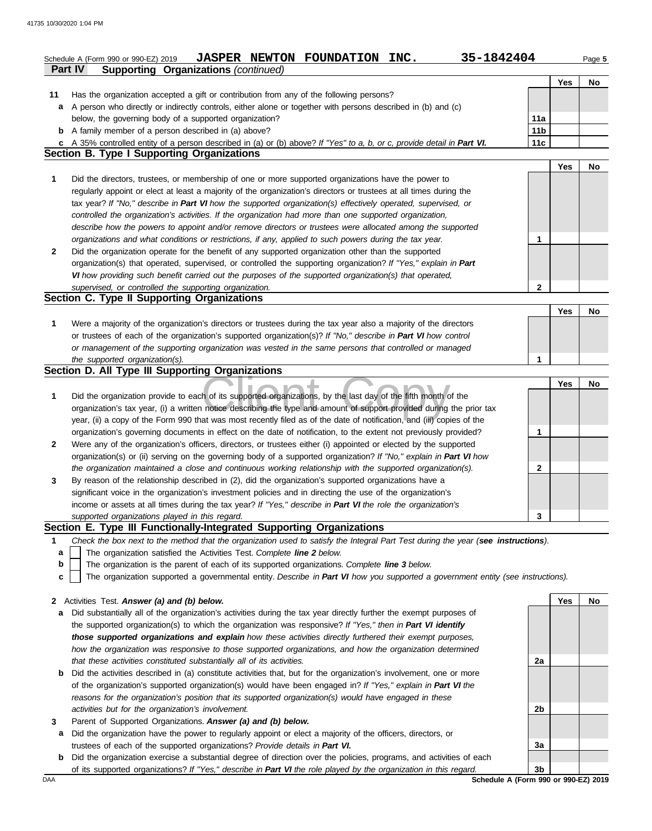|              | 35-1842404<br>JASPER NEWTON FOUNDATION INC.<br>Schedule A (Form 990 or 990-EZ) 2019                                                                                                                                  |                 |     | Page 5    |
|--------------|----------------------------------------------------------------------------------------------------------------------------------------------------------------------------------------------------------------------|-----------------|-----|-----------|
|              | Part IV<br><b>Supporting Organizations (continued)</b>                                                                                                                                                               |                 |     |           |
|              |                                                                                                                                                                                                                      |                 | Yes | <b>No</b> |
| 11<br>a      | Has the organization accepted a gift or contribution from any of the following persons?<br>A person who directly or indirectly controls, either alone or together with persons described in (b) and (c)              |                 |     |           |
|              | below, the governing body of a supported organization?                                                                                                                                                               | 11a             |     |           |
|              | <b>b</b> A family member of a person described in (a) above?                                                                                                                                                         | 11 <sub>b</sub> |     |           |
|              | c A 35% controlled entity of a person described in (a) or (b) above? If "Yes" to a, b, or c, provide detail in Part VI.                                                                                              | 11c             |     |           |
|              | <b>Section B. Type I Supporting Organizations</b>                                                                                                                                                                    |                 |     |           |
|              |                                                                                                                                                                                                                      |                 | Yes | No        |
| 1            | Did the directors, trustees, or membership of one or more supported organizations have the power to                                                                                                                  |                 |     |           |
|              | regularly appoint or elect at least a majority of the organization's directors or trustees at all times during the                                                                                                   |                 |     |           |
|              | tax year? If "No," describe in Part VI how the supported organization(s) effectively operated, supervised, or                                                                                                        |                 |     |           |
|              | controlled the organization's activities. If the organization had more than one supported organization,                                                                                                              |                 |     |           |
|              | describe how the powers to appoint and/or remove directors or trustees were allocated among the supported                                                                                                            |                 |     |           |
|              | organizations and what conditions or restrictions, if any, applied to such powers during the tax year.                                                                                                               | 1               |     |           |
| $\mathbf{2}$ | Did the organization operate for the benefit of any supported organization other than the supported                                                                                                                  |                 |     |           |
|              | organization(s) that operated, supervised, or controlled the supporting organization? If "Yes," explain in Part                                                                                                      |                 |     |           |
|              | VI how providing such benefit carried out the purposes of the supported organization(s) that operated,                                                                                                               |                 |     |           |
|              | supervised, or controlled the supporting organization.                                                                                                                                                               | 2               |     |           |
|              | Section C. Type II Supporting Organizations                                                                                                                                                                          |                 |     |           |
|              |                                                                                                                                                                                                                      |                 | Yes | No        |
| 1            | Were a majority of the organization's directors or trustees during the tax year also a majority of the directors                                                                                                     |                 |     |           |
|              | or trustees of each of the organization's supported organization(s)? If "No," describe in Part VI how control                                                                                                        |                 |     |           |
|              | or management of the supporting organization was vested in the same persons that controlled or managed                                                                                                               |                 |     |           |
|              | the supported organization(s).                                                                                                                                                                                       | 1               |     |           |
|              | Section D. All Type III Supporting Organizations                                                                                                                                                                     |                 |     |           |
|              |                                                                                                                                                                                                                      |                 | Yes | No        |
| 1            | Did the organization provide to each of its supported organizations, by the last day of the fifth month of the                                                                                                       |                 |     |           |
|              | organization's tax year, (i) a written notice describing the type and amount of support provided during the prior tax                                                                                                |                 |     |           |
|              | year, (ii) a copy of the Form 990 that was most recently filed as of the date of notification, and (iii) copies of the                                                                                               |                 |     |           |
|              | organization's governing documents in effect on the date of notification, to the extent not previously provided?                                                                                                     | 1               |     |           |
| $\mathbf{2}$ | Were any of the organization's officers, directors, or trustees either (i) appointed or elected by the supported                                                                                                     |                 |     |           |
|              | organization(s) or (ii) serving on the governing body of a supported organization? If "No," explain in Part VI how                                                                                                   | 2               |     |           |
|              | the organization maintained a close and continuous working relationship with the supported organization(s).<br>By reason of the relationship described in (2), did the organization's supported organizations have a |                 |     |           |
| 3            | significant voice in the organization's investment policies and in directing the use of the organization's                                                                                                           |                 |     |           |
|              | income or assets at all times during the tax year? If "Yes," describe in Part VI the role the organization's                                                                                                         |                 |     |           |
|              | supported organizations played in this regard.                                                                                                                                                                       | 3               |     |           |
|              | Section E. Type III Functionally-Integrated Supporting Organizations                                                                                                                                                 |                 |     |           |
| 1            | Check the box next to the method that the organization used to satisfy the Integral Part Test during the year (see instructions).                                                                                    |                 |     |           |
| a            | The organization satisfied the Activities Test. Complete line 2 below.                                                                                                                                               |                 |     |           |
| b            | The organization is the parent of each of its supported organizations. Complete line 3 below.                                                                                                                        |                 |     |           |
| c            | The organization supported a governmental entity. Describe in Part VI how you supported a government entity (see instructions).                                                                                      |                 |     |           |
|              |                                                                                                                                                                                                                      |                 |     |           |
| $\mathbf{2}$ | Activities Test. Answer (a) and (b) below.                                                                                                                                                                           |                 | Yes | No        |
| а            | Did substantially all of the organization's activities during the tax year directly further the exempt purposes of                                                                                                   |                 |     |           |
|              | the supported organization(s) to which the organization was responsive? If "Yes," then in Part VI identify                                                                                                           |                 |     |           |
|              | those supported organizations and explain how these activities directly furthered their exempt purposes,                                                                                                             |                 |     |           |
|              | how the organization was responsive to those supported organizations, and how the organization determined                                                                                                            |                 |     |           |
|              | that these activities constituted substantially all of its activities.                                                                                                                                               | 2a              |     |           |
| b            | Did the activities described in (a) constitute activities that, but for the organization's involvement, one or more                                                                                                  |                 |     |           |
|              | of the organization's supported organization(s) would have been engaged in? If "Yes," explain in Part VI the                                                                                                         |                 |     |           |

- *reasons for the organization's position that its supported organization(s) would have engaged in these activities but for the organization's involvement.*
- **3** Parent of Supported Organizations. *Answer (a) and (b) below.*
	- **a** Did the organization have the power to regularly appoint or elect a majority of the officers, directors, or trustees of each of the supported organizations? *Provide details in Part VI.*
- **b** Did the organization exercise a substantial degree of direction over the policies, programs, and activities of each of its supported organizations? *If "Yes," describe in Part VI the role played by the organization in this regard.*

**2b 3a 3b**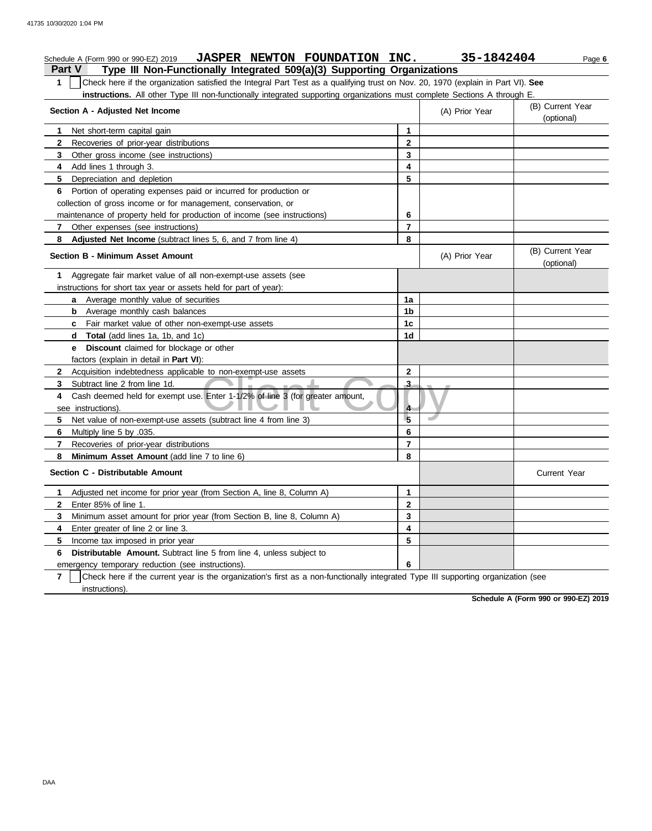#### Enter 1-1/2% of line 3 (for greater amount, **Part V Type III Non-Functionally Integrated 509(a)(3) Supporting Organizations** Schedule A (Form 990 or 990-EZ) 2019 **JASPER NEWTON FOUNDATION INC.** 35-1842404 Page 6 **1** Check here if the organization satisfied the Integral Part Test as a qualifying trust on Nov. 20, 1970 (explain in Part VI). **See instructions.** All other Type III non-functionally integrated supporting organizations must complete Sections A through E. **1** Net short-term capital gain **2 3 4** Add lines 1 through 3. **5** Depreciation and depletion **6** Portion of operating expenses paid or incurred for production or **7** Other expenses (see instructions) **8 Adjusted Net Income** (subtract lines 5, 6, and 7 from line 4) **1** Aggregate fair market value of all non-exempt-use assets (see **Section A - Adjusted Net Income** Recoveries of prior-year distributions Other gross income (see instructions) collection of gross income or for management, conservation, or maintenance of property held for production of income (see instructions) **Section B - Minimum Asset Amount** instructions for short tax year or assets held for part of year): **a** Average monthly value of securities **b** Average monthly cash balances **c** Fair market value of other non-exempt-use assets **d Total** (add lines 1a, 1b, and 1c) **e Discount** claimed for blockage or other factors (explain in detail in **Part VI**): **8 Minimum Asset Amount** (add line 7 to line 6) **7 6** Multiply line 5 by .035. **5** Net value of non-exempt-use assets (subtract line 4 from line 3) **4** Cash deemed held for exempt use. Enter 1-1/2% of line 3 (for greater amount, **3** Subtract line 2 from line 1d. **2** Acquisition indebtedness applicable to non-exempt-use assets see instructions). Recoveries of prior-year distributions **Section C - Distributable Amount 7 6 Distributable Amount.** Subtract line 5 from line 4, unless subject to **5** Income tax imposed in prior year **4** Enter greater of line 2 or line 3. **3 2** Enter 85% of line 1. **1** Adjusted net income for prior year (from Section A, line 8, Column A) Minimum asset amount for prior year (from Section B, line 8, Column A) emergency temporary reduction (see instructions). Check here if the current year is the organization's first as a non-functionally integrated Type III supporting organization (see **8 7 6 5 4 3 2 1** (A) Prior Year (B) Current Year (optional) (optional) (B) Current Year (A) Prior Year **1a 1b 1c 1d 2 3 4 5 6 7 8 3 2 1 6 5 4** Current Year

instructions).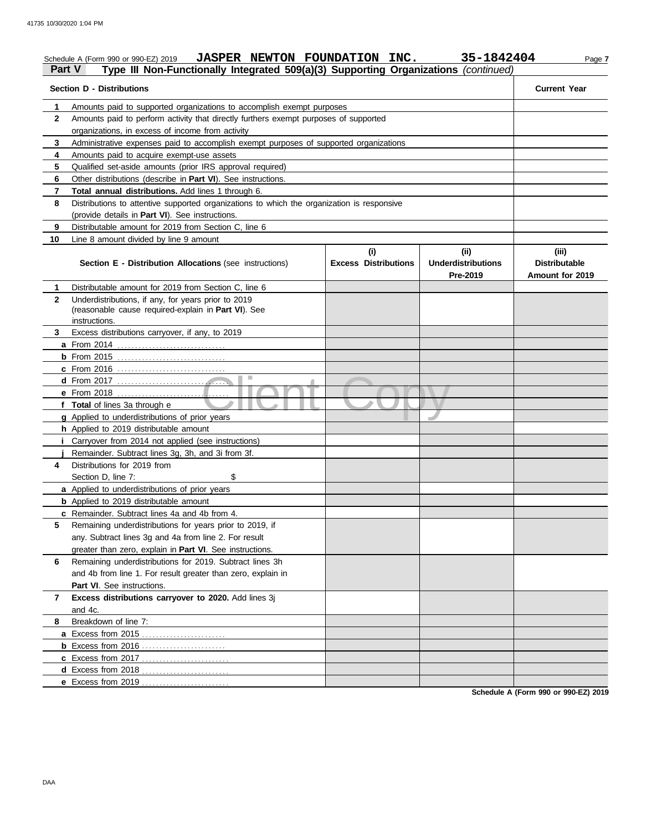### Client Copy Schedule A (Form 990 or 990-EZ) 2019 **JASPER NEWTON FOUNDATION INC.** 35-1842404 Page 7 **Part V Type III Non-Functionally Integrated 509(a)(3) Supporting Organizations** *(continued)* **Section D - Distributions Current Year 1 2 3 4 5 6 7 8 9 10** Amounts paid to supported organizations to accomplish exempt purposes Amounts paid to perform activity that directly furthers exempt purposes of supported organizations, in excess of income from activity Administrative expenses paid to accomplish exempt purposes of supported organizations Amounts paid to acquire exempt-use assets Qualified set-aside amounts (prior IRS approval required) Other distributions (describe in **Part VI**). See instructions. **Total annual distributions.** Add lines 1 through 6. Distributions to attentive supported organizations to which the organization is responsive (provide details in **Part VI**). See instructions. Distributable amount for 2019 from Section C, line 6 Line 8 amount divided by line 9 amount **Section E - Distribution Allocations** (see instructions) **Excess Distributions (i) (ii) Underdistributions Pre-2019 (iii) Distributable Amount for 2019 8** Breakdown of line 7: **7 6** Remaining underdistributions for 2019. Subtract lines 3h **5 4** Distributions for 2019 from **3 2 1 a** From 2014 . . . . . . . . . . . . . . . . . . . . . . . . . . . . . . . **b** From 2015 . . . . . . . . . . . . . . . . . . . . . . . . . . . . . . . **c** From 2016 . . . . . . . . . . . . . . . . . . . . . . . . . . . . . . . **d** From 2017 . . . . . . . . . . . . . . . . . . . . . . . . . . . . . . . . **e** From 2018 . . . . . . . . . . . . . . . . . . . . . . . . . . . . . . . . **f Total** of lines 3a through e **g** Applied to underdistributions of prior years **h** Applied to 2019 distributable amount **i** Carryover from 2014 not applied (see instructions) **j** Remainder. Subtract lines 3g, 3h, and 3i from 3f. **a** Applied to underdistributions of prior years **b** Applied to 2019 distributable amount **c** Remainder. Subtract lines 4a and 4b from 4. **a** Excess from 2015 . . . . . . . . . . . . . . . . . . . . . . . . **b** Excess from 2016 . . . . . . . . . . . . . . . . . . . . . . . . **c** Excess from 2017 . . . . . . . . . . . . . . . . . . . . . . . . . **d** Excess from 2018 . . . . . . . . . . . . . . . . . . . . . . . . . **e** Excess from 2019 . . . . . . . . . . . . . . . . . . . . . . . . . Distributable amount for 2019 from Section C, line 6 Underdistributions, if any, for years prior to 2019 (reasonable cause required-explain in **Part VI**). See Excess distributions carryover, if any, to 2019 Section D, line 7: \$ Remaining underdistributions for years prior to 2019, if any. Subtract lines 3g and 4a from line 2. For result greater than zero, explain in **Part VI**. See instructions. and 4b from line 1. For result greater than zero, explain in Part VI. See instructions. **Excess distributions carryover to 2020.** Add lines 3j and 4c. instructions.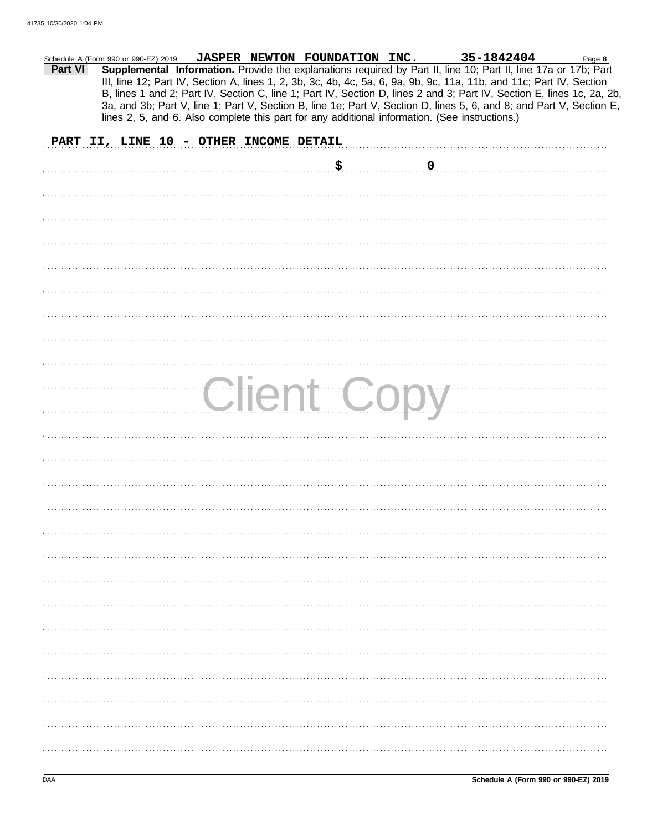| Schedule A (Form 990 or 990-EZ) 2019 |  | <b>JASPER NEWTON FOUNDATION INC.</b>   |    |             | 35-1842404                                                                                                                                                                                                                              | Page 8 |
|--------------------------------------|--|----------------------------------------|----|-------------|-----------------------------------------------------------------------------------------------------------------------------------------------------------------------------------------------------------------------------------------|--------|
| Part VI                              |  |                                        |    |             | Supplemental Information. Provide the explanations required by Part II, line 10; Part II, line 17a or 17b; Part<br>III, line 12; Part IV, Section A, lines 1, 2, 3b, 3c, 4b, 4c, 5a, 6, 9a, 9b, 9c, 11a, 11b, and 11c; Part IV, Section |        |
|                                      |  |                                        |    |             | B, lines 1 and 2; Part IV, Section C, line 1; Part IV, Section D, lines 2 and 3; Part IV, Section E, lines 1c, 2a, 2b,                                                                                                                  |        |
|                                      |  |                                        |    |             | 3a, and 3b; Part V, line 1; Part V, Section B, line 1e; Part V, Section D, lines 5, 6, and 8; and Part V, Section E,<br>lines 2, 5, and 6. Also complete this part for any additional information. (See instructions.)                  |        |
|                                      |  |                                        |    |             |                                                                                                                                                                                                                                         |        |
|                                      |  | PART II, LINE 10 - OTHER INCOME DETAIL |    |             |                                                                                                                                                                                                                                         |        |
|                                      |  |                                        | \$ | $\mathbf 0$ |                                                                                                                                                                                                                                         |        |
|                                      |  |                                        |    |             |                                                                                                                                                                                                                                         |        |
|                                      |  |                                        |    |             |                                                                                                                                                                                                                                         |        |
|                                      |  |                                        |    |             |                                                                                                                                                                                                                                         |        |
|                                      |  |                                        |    |             |                                                                                                                                                                                                                                         |        |
|                                      |  |                                        |    |             |                                                                                                                                                                                                                                         |        |
|                                      |  |                                        |    |             |                                                                                                                                                                                                                                         |        |
|                                      |  |                                        |    |             |                                                                                                                                                                                                                                         |        |
|                                      |  |                                        |    |             |                                                                                                                                                                                                                                         |        |
|                                      |  |                                        |    |             |                                                                                                                                                                                                                                         |        |
|                                      |  |                                        |    |             |                                                                                                                                                                                                                                         |        |
|                                      |  |                                        |    |             |                                                                                                                                                                                                                                         |        |
|                                      |  | Client Co                              |    |             |                                                                                                                                                                                                                                         |        |
|                                      |  |                                        |    |             |                                                                                                                                                                                                                                         |        |
|                                      |  |                                        |    |             |                                                                                                                                                                                                                                         |        |
|                                      |  |                                        |    |             |                                                                                                                                                                                                                                         |        |
|                                      |  |                                        |    |             |                                                                                                                                                                                                                                         |        |
|                                      |  |                                        |    |             |                                                                                                                                                                                                                                         |        |
|                                      |  |                                        |    |             |                                                                                                                                                                                                                                         |        |
|                                      |  |                                        |    |             |                                                                                                                                                                                                                                         |        |
|                                      |  |                                        |    |             |                                                                                                                                                                                                                                         |        |
|                                      |  |                                        |    |             |                                                                                                                                                                                                                                         |        |
|                                      |  |                                        |    |             |                                                                                                                                                                                                                                         |        |
|                                      |  |                                        |    |             |                                                                                                                                                                                                                                         |        |
|                                      |  |                                        |    |             |                                                                                                                                                                                                                                         |        |
|                                      |  |                                        |    |             |                                                                                                                                                                                                                                         |        |
|                                      |  |                                        |    |             |                                                                                                                                                                                                                                         |        |
|                                      |  |                                        |    |             |                                                                                                                                                                                                                                         |        |
|                                      |  |                                        |    |             |                                                                                                                                                                                                                                         |        |
|                                      |  |                                        |    |             |                                                                                                                                                                                                                                         |        |
|                                      |  |                                        |    |             |                                                                                                                                                                                                                                         |        |
|                                      |  |                                        |    |             |                                                                                                                                                                                                                                         |        |
|                                      |  |                                        |    |             |                                                                                                                                                                                                                                         |        |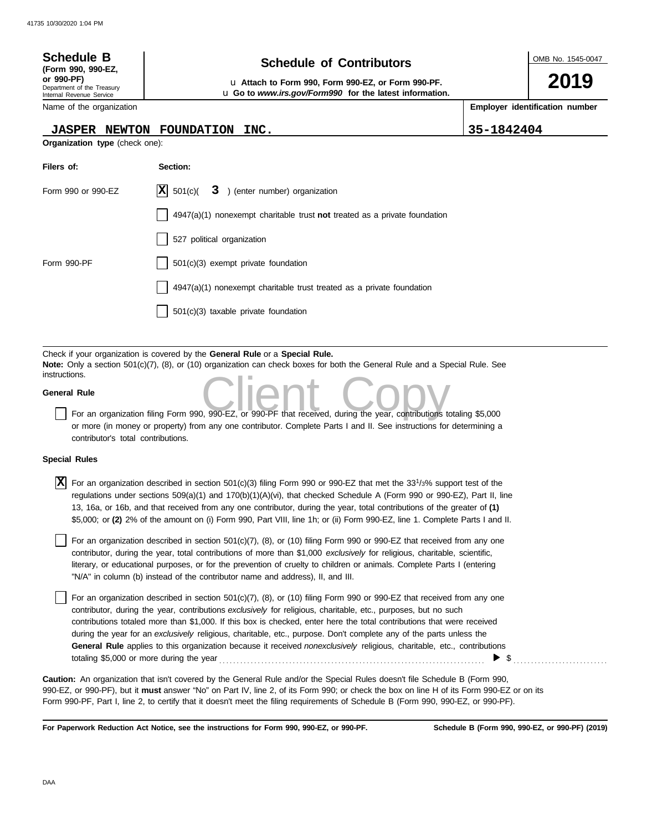| <b>Schedule B</b>                                              | <b>Schedule of Contributors</b>                                                                                                                                                                                                                                                                                                                                                                                                                                                                                            |            | OMB No. 1545-0047              |  |  |  |  |
|----------------------------------------------------------------|----------------------------------------------------------------------------------------------------------------------------------------------------------------------------------------------------------------------------------------------------------------------------------------------------------------------------------------------------------------------------------------------------------------------------------------------------------------------------------------------------------------------------|------------|--------------------------------|--|--|--|--|
| (Form 990, 990-EZ,<br>or 990-PF)<br>Department of the Treasury | u Attach to Form 990, Form 990-EZ, or Form 990-PF.                                                                                                                                                                                                                                                                                                                                                                                                                                                                         |            |                                |  |  |  |  |
| Internal Revenue Service                                       | u Go to www.irs.gov/Form990 for the latest information.                                                                                                                                                                                                                                                                                                                                                                                                                                                                    |            |                                |  |  |  |  |
| Name of the organization                                       |                                                                                                                                                                                                                                                                                                                                                                                                                                                                                                                            |            | Employer identification number |  |  |  |  |
| <b>JASPER NEWTON</b>                                           | FOUNDATION INC.                                                                                                                                                                                                                                                                                                                                                                                                                                                                                                            | 35-1842404 |                                |  |  |  |  |
| Organization type (check one):                                 |                                                                                                                                                                                                                                                                                                                                                                                                                                                                                                                            |            |                                |  |  |  |  |
| Filers of:                                                     | Section:                                                                                                                                                                                                                                                                                                                                                                                                                                                                                                                   |            |                                |  |  |  |  |
| Form 990 or 990-EZ                                             | 3 ) (enter number) organization<br>$ \mathbf{X} $ 501(c)(                                                                                                                                                                                                                                                                                                                                                                                                                                                                  |            |                                |  |  |  |  |
|                                                                | $4947(a)(1)$ nonexempt charitable trust not treated as a private foundation                                                                                                                                                                                                                                                                                                                                                                                                                                                |            |                                |  |  |  |  |
|                                                                | 527 political organization                                                                                                                                                                                                                                                                                                                                                                                                                                                                                                 |            |                                |  |  |  |  |
| Form 990-PF                                                    | 501(c)(3) exempt private foundation                                                                                                                                                                                                                                                                                                                                                                                                                                                                                        |            |                                |  |  |  |  |
|                                                                | 4947(a)(1) nonexempt charitable trust treated as a private foundation                                                                                                                                                                                                                                                                                                                                                                                                                                                      |            |                                |  |  |  |  |
|                                                                | 501(c)(3) taxable private foundation                                                                                                                                                                                                                                                                                                                                                                                                                                                                                       |            |                                |  |  |  |  |
|                                                                |                                                                                                                                                                                                                                                                                                                                                                                                                                                                                                                            |            |                                |  |  |  |  |
| instructions.                                                  | Check if your organization is covered by the General Rule or a Special Rule.<br>Note: Only a section 501(c)(7), (8), or (10) organization can check boxes for both the General Rule and a Special Rule. See                                                                                                                                                                                                                                                                                                                |            |                                |  |  |  |  |
| <b>General Rule</b>                                            |                                                                                                                                                                                                                                                                                                                                                                                                                                                                                                                            |            |                                |  |  |  |  |
| contributor's total contributions.                             | For an organization filing Form 990, 990-EZ, or 990-PF that received, during the year, contributions totaling \$5,000<br>or more (in money or property) from any one contributor. Complete Parts I and II. See instructions for determining a                                                                                                                                                                                                                                                                              |            |                                |  |  |  |  |
| <b>Special Rules</b>                                           |                                                                                                                                                                                                                                                                                                                                                                                                                                                                                                                            |            |                                |  |  |  |  |
| X                                                              | For an organization described in section 501(c)(3) filing Form 990 or 990-EZ that met the 33 <sup>1</sup> /3% support test of the<br>regulations under sections $509(a)(1)$ and $170(b)(1)(A)(vi)$ , that checked Schedule A (Form 990 or 990-EZ), Part II, line<br>13, 16a, or 16b, and that received from any one contributor, during the year, total contributions of the greater of (1)<br>\$5,000; or (2) 2% of the amount on (i) Form 990, Part VIII, line 1h; or (ii) Form 990-EZ, line 1. Complete Parts I and II. |            |                                |  |  |  |  |
|                                                                | For an organization described in section 501(c)(7), (8), or (10) filing Form 990 or 990-EZ that received from any one<br>contributor, during the year, total contributions of more than \$1,000 exclusively for religious, charitable, scientific,                                                                                                                                                                                                                                                                         |            |                                |  |  |  |  |

literary, or educational purposes, or for the prevention of cruelty to children or animals. Complete Parts I (entering contributor, during the year, total contributions of more than \$1,000 *exclusively* for religious, charitable, scientific, "N/A" in column (b) instead of the contributor name and address), II, and III.

For an organization described in section  $501(c)(7)$ ,  $(8)$ , or  $(10)$  filing Form 990 or 990-EZ that received from any one contributor, during the year, contributions *exclusively* for religious, charitable, etc., purposes, but no such contributions totaled more than \$1,000. If this box is checked, enter here the total contributions that were received during the year for an *exclusively* religious, charitable, etc., purpose. Don't complete any of the parts unless the **General Rule** applies to this organization because it received *nonexclusively* religious, charitable, etc., contributions totaling \$5,000 or more during the year . . . . . . . . . . . . . . . . . . . . . . . . . . . . . . . . . . . . . . . . . . . . . . . . . . . . . . . . . . . . . . . . . . . . . . . . . . . . \$ . . . . . . . . . . . . . . . . . . . . . . . . . . .

990-EZ, or 990-PF), but it **must** answer "No" on Part IV, line 2, of its Form 990; or check the box on line H of its Form 990-EZ or on its Form 990-PF, Part I, line 2, to certify that it doesn't meet the filing requirements of Schedule B (Form 990, 990-EZ, or 990-PF). **Caution:** An organization that isn't covered by the General Rule and/or the Special Rules doesn't file Schedule B (Form 990,

**For Paperwork Reduction Act Notice, see the instructions for Form 990, 990-EZ, or 990-PF.**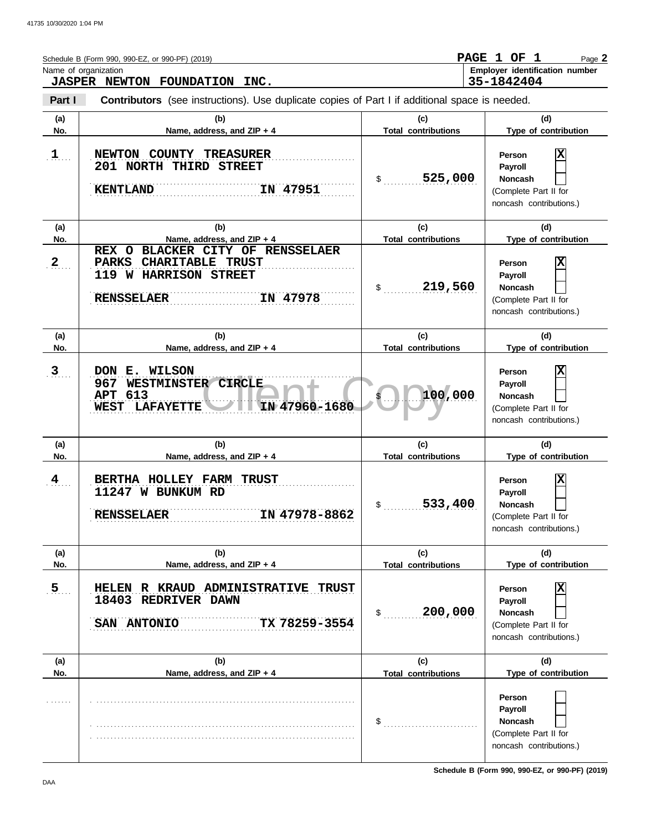|                 | Schedule B (Form 990, 990-EZ, or 990-PF) (2019)<br>Name of organization                                                           |                                   | PAGE 1 OF 1<br>Page 2<br>Employer identification number                                                            |
|-----------------|-----------------------------------------------------------------------------------------------------------------------------------|-----------------------------------|--------------------------------------------------------------------------------------------------------------------|
|                 | <b>JASPER NEWTON FOUNDATION</b><br>INC.                                                                                           |                                   | 35-1842404                                                                                                         |
| Part I          | <b>Contributors</b> (see instructions). Use duplicate copies of Part I if additional space is needed.                             |                                   |                                                                                                                    |
| (a)<br>No.      | (b)<br>Name, address, and ZIP + 4                                                                                                 | (c)<br><b>Total contributions</b> | (d)<br>Type of contribution                                                                                        |
| $1$             | NEWTON COUNTY TREASURER<br>201 NORTH THIRD STREET<br>IN 47951<br><b>KENTLAND</b>                                                  | 525,000<br>$\mathsf{\$}$          | X<br>Person<br>Payroll<br><b>Noncash</b><br>(Complete Part II for<br>noncash contributions.)                       |
| (a)<br>No.      | (b)<br>Name, address, and ZIP + 4                                                                                                 | (c)<br><b>Total contributions</b> | (d)<br>Type of contribution                                                                                        |
| $\frac{2}{\pi}$ | BLACKER CITY OF RENSSELAER<br>REX O<br>CHARITABLE TRUST<br><b>PARKS</b><br>119 W HARRISON STREET<br>IN 47978<br><b>RENSSELAER</b> | 219,560<br>\$                     | X<br>Person<br>Payroll<br><b>Noncash</b><br>(Complete Part II for<br>noncash contributions.)                       |
| (a)<br>No.      | (b)<br>Name, address, and ZIP + 4                                                                                                 | (c)<br><b>Total contributions</b> | (d)<br>Type of contribution                                                                                        |
| $3$             | DON E. WILSON<br>967<br><b>WESTMINSTER CIRCLE</b><br><b>APT 613</b><br>WEST LAFAYETTE<br>IN 47960-1680                            | 100,000                           | $\overline{\mathbf{x}}$<br>Person<br>Payroll<br><b>Noncash</b><br>(Complete Part II for<br>noncash contributions.) |
| (a)<br>No.      | (b)<br>Name, address, and ZIP + 4                                                                                                 | (c)<br><b>Total contributions</b> | (d)<br>Type of contribution                                                                                        |
| $\frac{4}{2}$   | HOLLEY FARM TRUST<br><b>BERTHA</b><br>11247<br><b>W BUNKUM RD</b><br>IN 47978-8862<br><b>RENSSELAER</b>                           | 533,400<br>\$                     | X<br>Person<br>Payroll<br><b>Noncash</b><br>(Complete Part II for<br>noncash contributions.)                       |
| (a)<br>No.      | (b)<br>Name, address, and ZIP + 4                                                                                                 | (c)<br><b>Total contributions</b> | (d)<br>Type of contribution                                                                                        |
| $\overline{5}$  | R KRAUD ADMINISTRATIVE<br><b>HELEN</b><br><b>TRUST</b><br>18403 REDRIVER DAWN<br>TX 78259-3554<br>SAN ANTONIO                     | 200,000<br>\$                     | X<br>Person<br>Payroll<br><b>Noncash</b><br>(Complete Part II for<br>noncash contributions.)                       |
| (a)<br>No.      | (b)<br>Name, address, and ZIP + 4                                                                                                 | (c)<br><b>Total contributions</b> | (d)<br>Type of contribution                                                                                        |
|                 |                                                                                                                                   | \$                                | Person<br>Payroll<br><b>Noncash</b><br>(Complete Part II for<br>noncash contributions.)                            |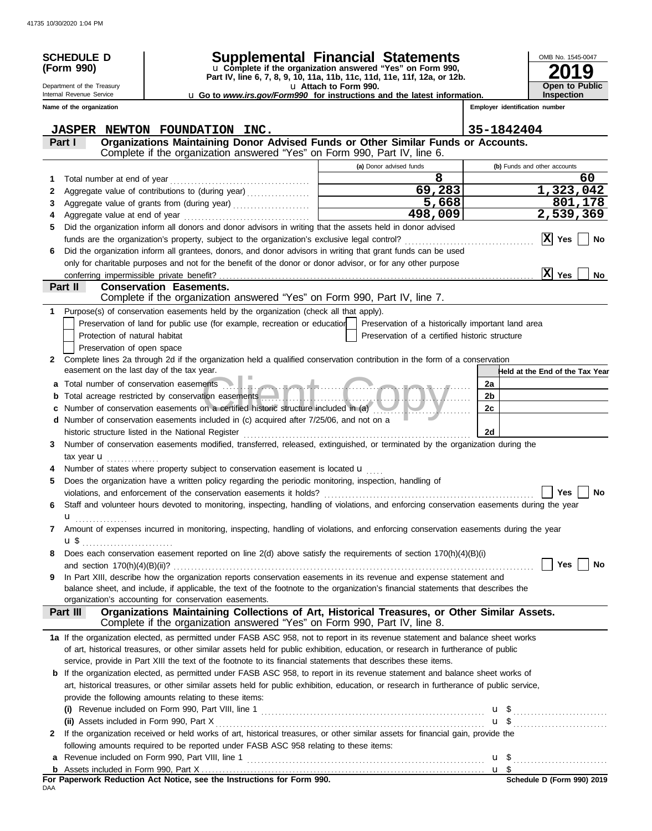|              |                                                        |                                                                                                                                                                                                   |                                                                                                   |          | OMB No. 1545-0047               |
|--------------|--------------------------------------------------------|---------------------------------------------------------------------------------------------------------------------------------------------------------------------------------------------------|---------------------------------------------------------------------------------------------------|----------|---------------------------------|
|              | <b>SCHEDULE D</b><br>(Form 990)                        |                                                                                                                                                                                                   | Supplemental Financial Statements<br>u Complete if the organization answered "Yes" on Form 990,   |          |                                 |
|              |                                                        |                                                                                                                                                                                                   | Part IV, line 6, 7, 8, 9, 10, 11a, 11b, 11c, 11d, 11e, 11f, 12a, or 12b.                          |          | 9                               |
|              | Department of the Treasury<br>Internal Revenue Service |                                                                                                                                                                                                   | u Attach to Form 990.<br>u Go to www.irs.gov/Form990 for instructions and the latest information. |          | Open to Public<br>Inspection    |
|              | Name of the organization                               |                                                                                                                                                                                                   |                                                                                                   |          | Employer identification number  |
|              |                                                        |                                                                                                                                                                                                   |                                                                                                   |          |                                 |
|              |                                                        | JASPER NEWTON FOUNDATION INC.                                                                                                                                                                     |                                                                                                   |          | 35-1842404                      |
|              | Part I                                                 | Organizations Maintaining Donor Advised Funds or Other Similar Funds or Accounts.<br>Complete if the organization answered "Yes" on Form 990, Part IV, line 6.                                    |                                                                                                   |          |                                 |
|              |                                                        |                                                                                                                                                                                                   | (a) Donor advised funds                                                                           |          | (b) Funds and other accounts    |
| 1            |                                                        |                                                                                                                                                                                                   | 8                                                                                                 |          | 60                              |
| 2            |                                                        |                                                                                                                                                                                                   | 69,283                                                                                            |          | 1,323,042                       |
| 3            |                                                        |                                                                                                                                                                                                   | 5,668                                                                                             |          | 801,178                         |
| 4            |                                                        |                                                                                                                                                                                                   | 498,009                                                                                           |          | 2,539,369                       |
| 5            |                                                        | Did the organization inform all donors and donor advisors in writing that the assets held in donor advised                                                                                        |                                                                                                   |          |                                 |
|              |                                                        |                                                                                                                                                                                                   |                                                                                                   |          | X Yes<br><b>No</b>              |
| 6            |                                                        | Did the organization inform all grantees, donors, and donor advisors in writing that grant funds can be used                                                                                      |                                                                                                   |          |                                 |
|              |                                                        | only for charitable purposes and not for the benefit of the donor or donor advisor, or for any other purpose                                                                                      |                                                                                                   |          | $ X $ Yes<br>No.                |
|              | Part II                                                | <b>Conservation Easements.</b>                                                                                                                                                                    |                                                                                                   |          |                                 |
|              |                                                        | Complete if the organization answered "Yes" on Form 990, Part IV, line 7.                                                                                                                         |                                                                                                   |          |                                 |
| 1            |                                                        | Purpose(s) of conservation easements held by the organization (check all that apply).                                                                                                             |                                                                                                   |          |                                 |
|              |                                                        | Preservation of land for public use (for example, recreation or education                                                                                                                         | Preservation of a historically important land area                                                |          |                                 |
|              | Protection of natural habitat                          |                                                                                                                                                                                                   | Preservation of a certified historic structure                                                    |          |                                 |
|              | Preservation of open space                             |                                                                                                                                                                                                   |                                                                                                   |          |                                 |
| $\mathbf{2}$ |                                                        | Complete lines 2a through 2d if the organization held a qualified conservation contribution in the form of a conservation                                                                         |                                                                                                   |          |                                 |
|              | easement on the last day of the tax year.              |                                                                                                                                                                                                   |                                                                                                   |          | Held at the End of the Tax Year |
|              |                                                        | <b>a</b> Total number of conservation easements<br><b>b</b> Total acreage restricted by conservation easements                                                                                    |                                                                                                   | 2a<br>2b |                                 |
| c            |                                                        | Number of conservation easements on a certified historic structure included in (a)                                                                                                                |                                                                                                   | 2c       |                                 |
| d            |                                                        | Number of conservation easements included in (c) acquired after 7/25/06, and not on a                                                                                                             |                                                                                                   |          |                                 |
|              |                                                        | historic structure listed in the National Register                                                                                                                                                |                                                                                                   | 2d       |                                 |
| 3            |                                                        | Number of conservation easements modified, transferred, released, extinguished, or terminated by the organization during the                                                                      |                                                                                                   |          |                                 |
|              | tax year <b>u</b><br>.                                 |                                                                                                                                                                                                   |                                                                                                   |          |                                 |
|              |                                                        | Number of states where property subject to conservation easement is located <b>u</b>                                                                                                              |                                                                                                   |          |                                 |
| 5            |                                                        | Does the organization have a written policy regarding the periodic monitoring, inspection, handling of                                                                                            |                                                                                                   |          |                                 |
|              |                                                        | violations, and enforcement of the conservation easements it holds?                                                                                                                               |                                                                                                   |          | Yes<br>No                       |
| 6            |                                                        | Staff and volunteer hours devoted to monitoring, inspecting, handling of violations, and enforcing conservation easements during the year                                                         |                                                                                                   |          |                                 |
| 7            | u <sub></sub>                                          | Amount of expenses incurred in monitoring, inspecting, handling of violations, and enforcing conservation easements during the year                                                               |                                                                                                   |          |                                 |
|              |                                                        |                                                                                                                                                                                                   |                                                                                                   |          |                                 |
| 8            |                                                        | Does each conservation easement reported on line 2(d) above satisfy the requirements of section 170(h)(4)(B)(i)                                                                                   |                                                                                                   |          |                                 |
|              |                                                        |                                                                                                                                                                                                   |                                                                                                   |          | Yes<br>No                       |
| 9            |                                                        | In Part XIII, describe how the organization reports conservation easements in its revenue and expense statement and                                                                               |                                                                                                   |          |                                 |
|              |                                                        | balance sheet, and include, if applicable, the text of the footnote to the organization's financial statements that describes the                                                                 |                                                                                                   |          |                                 |
|              |                                                        | organization's accounting for conservation easements.                                                                                                                                             |                                                                                                   |          |                                 |
|              | Part III                                               | Organizations Maintaining Collections of Art, Historical Treasures, or Other Similar Assets.<br>Complete if the organization answered "Yes" on Form 990, Part IV, line 8.                         |                                                                                                   |          |                                 |
|              |                                                        | 1a If the organization elected, as permitted under FASB ASC 958, not to report in its revenue statement and balance sheet works                                                                   |                                                                                                   |          |                                 |
|              |                                                        | of art, historical treasures, or other similar assets held for public exhibition, education, or research in furtherance of public                                                                 |                                                                                                   |          |                                 |
|              |                                                        | service, provide in Part XIII the text of the footnote to its financial statements that describes these items.                                                                                    |                                                                                                   |          |                                 |
|              |                                                        | b If the organization elected, as permitted under FASB ASC 958, to report in its revenue statement and balance sheet works of                                                                     |                                                                                                   |          |                                 |
|              |                                                        | art, historical treasures, or other similar assets held for public exhibition, education, or research in furtherance of public service,<br>provide the following amounts relating to these items: |                                                                                                   |          |                                 |
|              | (i)                                                    |                                                                                                                                                                                                   |                                                                                                   |          |                                 |
|              |                                                        |                                                                                                                                                                                                   |                                                                                                   |          | $\mathbf{u}$ \$                 |
| 2            |                                                        | If the organization received or held works of art, historical treasures, or other similar assets for financial gain, provide the                                                                  |                                                                                                   |          |                                 |
|              |                                                        | following amounts required to be reported under FASB ASC 958 relating to these items:                                                                                                             |                                                                                                   |          |                                 |
| a            |                                                        |                                                                                                                                                                                                   |                                                                                                   |          |                                 |
| b            |                                                        |                                                                                                                                                                                                   |                                                                                                   |          |                                 |
|              |                                                        | For Paperwork Reduction Act Notice, see the Instructions for Form 990.                                                                                                                            |                                                                                                   |          | Schedule D (Form 990) 2019      |

**For Paperwork Reduction Act Notice, see the Instructions for Form 990.**<br><sub>DAA</sub>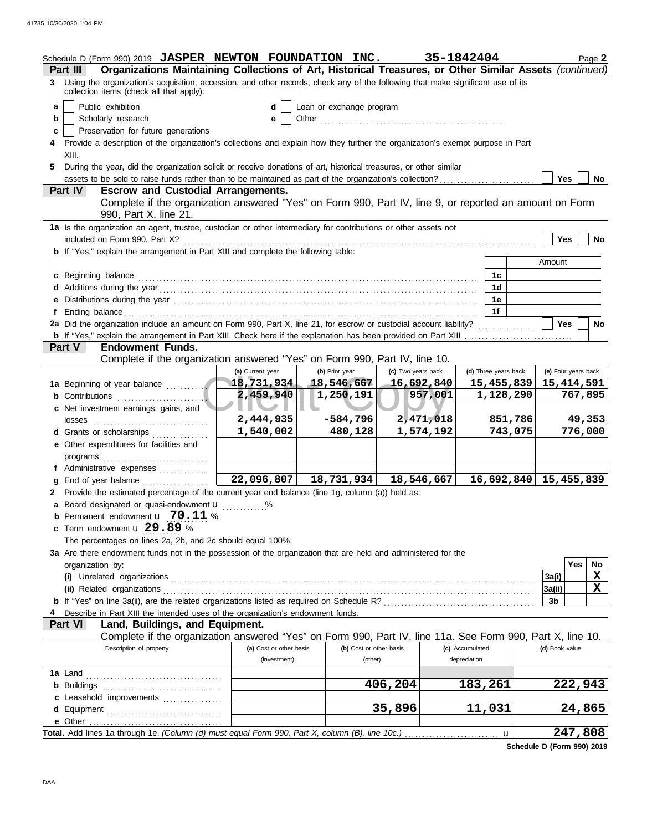|    | Schedule D (Form 990) 2019 JASPER NEWTON FOUNDATION INC.<br>Part III                                                                                                                                                                         |                         |                          |                        | 35-1842404           | Page 2                 |  |  |  |  |
|----|----------------------------------------------------------------------------------------------------------------------------------------------------------------------------------------------------------------------------------------------|-------------------------|--------------------------|------------------------|----------------------|------------------------|--|--|--|--|
|    | Organizations Maintaining Collections of Art, Historical Treasures, or Other Similar Assets (continued)<br>3 Using the organization's acquisition, accession, and other records, check any of the following that make significant use of its |                         |                          |                        |                      |                        |  |  |  |  |
|    | collection items (check all that apply):                                                                                                                                                                                                     |                         |                          |                        |                      |                        |  |  |  |  |
| a  | Public exhibition                                                                                                                                                                                                                            | d                       | Loan or exchange program |                        |                      |                        |  |  |  |  |
| b  | Scholarly research                                                                                                                                                                                                                           | е                       |                          |                        |                      |                        |  |  |  |  |
| c  | Preservation for future generations                                                                                                                                                                                                          |                         |                          |                        |                      |                        |  |  |  |  |
|    | 4 Provide a description of the organization's collections and explain how they further the organization's exempt purpose in Part<br>XIII.                                                                                                    |                         |                          |                        |                      |                        |  |  |  |  |
| 5. | During the year, did the organization solicit or receive donations of art, historical treasures, or other similar                                                                                                                            |                         |                          |                        |                      |                        |  |  |  |  |
|    | assets to be sold to raise funds rather than to be maintained as part of the organization's collection?                                                                                                                                      |                         |                          |                        |                      | Yes<br><b>No</b>       |  |  |  |  |
|    | <b>Escrow and Custodial Arrangements.</b><br><b>Part IV</b>                                                                                                                                                                                  |                         |                          |                        |                      |                        |  |  |  |  |
|    | Complete if the organization answered "Yes" on Form 990, Part IV, line 9, or reported an amount on Form                                                                                                                                      |                         |                          |                        |                      |                        |  |  |  |  |
|    | 990, Part X, line 21.                                                                                                                                                                                                                        |                         |                          |                        |                      |                        |  |  |  |  |
|    | 1a Is the organization an agent, trustee, custodian or other intermediary for contributions or other assets not                                                                                                                              |                         |                          |                        |                      |                        |  |  |  |  |
|    | included on Form 990, Part X?                                                                                                                                                                                                                |                         |                          |                        |                      | Yes<br>No              |  |  |  |  |
|    | <b>b</b> If "Yes," explain the arrangement in Part XIII and complete the following table:                                                                                                                                                    |                         |                          |                        |                      |                        |  |  |  |  |
|    |                                                                                                                                                                                                                                              |                         |                          |                        |                      | Amount                 |  |  |  |  |
|    | c Beginning balance                                                                                                                                                                                                                          |                         |                          |                        | 1c                   |                        |  |  |  |  |
|    |                                                                                                                                                                                                                                              |                         |                          |                        | 1d<br>1e             |                        |  |  |  |  |
|    |                                                                                                                                                                                                                                              |                         |                          |                        | 1f                   |                        |  |  |  |  |
|    | 2a Did the organization include an amount on Form 990, Part X, line 21, for escrow or custodial account liability?                                                                                                                           |                         |                          |                        |                      | <b>Yes</b><br>No       |  |  |  |  |
|    |                                                                                                                                                                                                                                              |                         |                          |                        |                      |                        |  |  |  |  |
|    | <b>Endowment Funds.</b><br><b>Part V</b>                                                                                                                                                                                                     |                         |                          |                        |                      |                        |  |  |  |  |
|    | Complete if the organization answered "Yes" on Form 990, Part IV, line 10.                                                                                                                                                                   |                         |                          |                        |                      |                        |  |  |  |  |
|    |                                                                                                                                                                                                                                              | (a) Current year        | (b) Prior year           | (c) Two years back     | (d) Three years back | (e) Four years back    |  |  |  |  |
|    | 1a Beginning of year balance                                                                                                                                                                                                                 | 18,731,934              | 18,546,667               | 16,692,840             | 15,455,839           | 15,414,591             |  |  |  |  |
|    |                                                                                                                                                                                                                                              | 2,459,940               | 1,250,191                | 957,001                | 1,128,290            | 767,895                |  |  |  |  |
|    | c Net investment earnings, gains, and                                                                                                                                                                                                        |                         |                          |                        |                      |                        |  |  |  |  |
|    | losses                                                                                                                                                                                                                                       | 2,444,935<br>1,540,002  | $-584,796$<br>480,128    | 2,471,018<br>1,574,192 | 851,786<br>743,075   | 49,353<br>776,000      |  |  |  |  |
|    | d Grants or scholarships<br>e Other expenditures for facilities and                                                                                                                                                                          |                         |                          |                        |                      |                        |  |  |  |  |
|    | programs                                                                                                                                                                                                                                     |                         |                          |                        |                      |                        |  |  |  |  |
|    | f Administrative expenses                                                                                                                                                                                                                    |                         |                          |                        |                      |                        |  |  |  |  |
|    | g End of year balance                                                                                                                                                                                                                        | 22,096,807              | 18,731,934               | 18,546,667             |                      | 16,692,840 15,455,839  |  |  |  |  |
|    | 2 Provide the estimated percentage of the current year end balance (line 1g, column (a)) held as:                                                                                                                                            |                         |                          |                        |                      |                        |  |  |  |  |
|    | a Board designated or quasi-endowment u                                                                                                                                                                                                      |                         |                          |                        |                      |                        |  |  |  |  |
|    | <b>b</b> Permanent endowment $\mathbf{u}$ 70.11 %                                                                                                                                                                                            |                         |                          |                        |                      |                        |  |  |  |  |
|    | c Term endowment <b>u</b> 29.89 %                                                                                                                                                                                                            |                         |                          |                        |                      |                        |  |  |  |  |
|    | The percentages on lines 2a, 2b, and 2c should equal 100%.                                                                                                                                                                                   |                         |                          |                        |                      |                        |  |  |  |  |
|    | 3a Are there endowment funds not in the possession of the organization that are held and administered for the                                                                                                                                |                         |                          |                        |                      | Yes<br>No              |  |  |  |  |
|    | organization by:                                                                                                                                                                                                                             |                         |                          |                        |                      | X<br>3a(i)             |  |  |  |  |
|    |                                                                                                                                                                                                                                              |                         |                          |                        |                      | $\mathbf X$<br> 3a(ii) |  |  |  |  |
|    |                                                                                                                                                                                                                                              |                         |                          |                        |                      | 3b                     |  |  |  |  |
|    | Describe in Part XIII the intended uses of the organization's endowment funds.                                                                                                                                                               |                         |                          |                        |                      |                        |  |  |  |  |
|    | Land, Buildings, and Equipment.<br><b>Part VI</b>                                                                                                                                                                                            |                         |                          |                        |                      |                        |  |  |  |  |
|    | Complete if the organization answered "Yes" on Form 990, Part IV, line 11a. See Form 990, Part X, line 10.                                                                                                                                   |                         |                          |                        |                      |                        |  |  |  |  |
|    | Description of property                                                                                                                                                                                                                      | (a) Cost or other basis | (b) Cost or other basis  |                        | (c) Accumulated      | (d) Book value         |  |  |  |  |
|    |                                                                                                                                                                                                                                              | (investment)            | (other)                  |                        | depreciation         |                        |  |  |  |  |
|    |                                                                                                                                                                                                                                              |                         |                          |                        |                      |                        |  |  |  |  |
|    | c Leasehold improvements                                                                                                                                                                                                                     |                         |                          | 406,204                | 183,261              | 222,943                |  |  |  |  |
|    |                                                                                                                                                                                                                                              |                         |                          | 35,896                 | 11,031               | 24,865                 |  |  |  |  |
|    | e Other                                                                                                                                                                                                                                      |                         |                          |                        |                      |                        |  |  |  |  |
|    | Total. Add lines 1a through 1e. (Column (d) must equal Form 990, Part X, column (B), line 10c.)                                                                                                                                              |                         |                          |                        | $\mathbf u$          | 247,808                |  |  |  |  |

**Schedule D (Form 990) 2019**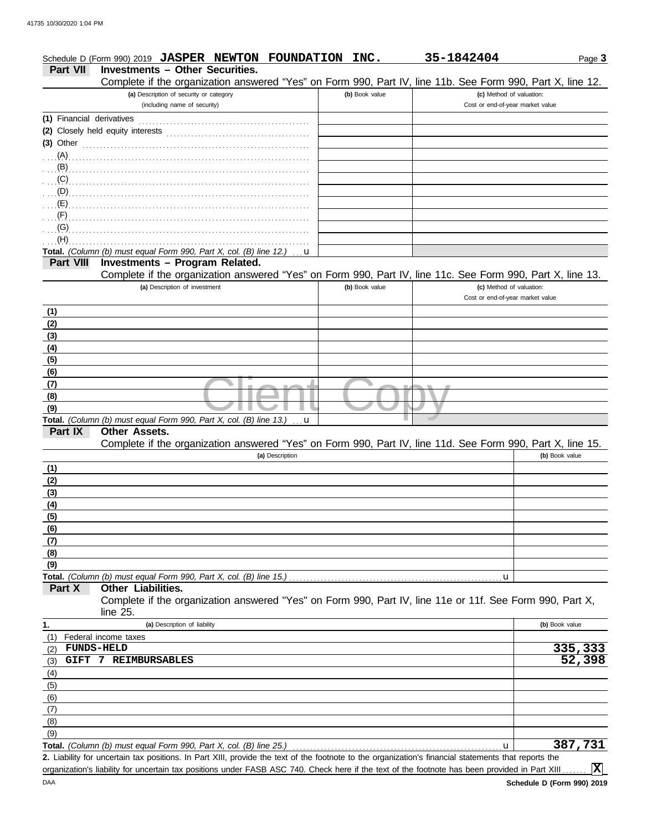| Part VII                                     | Schedule D (Form 990) 2019 JASPER NEWTON FOUNDATION INC.<br><b>Investments - Other Securities.</b>                   |                |   |                                                              |
|----------------------------------------------|----------------------------------------------------------------------------------------------------------------------|----------------|---|--------------------------------------------------------------|
|                                              | Complete if the organization answered "Yes" on Form 990, Part IV, line 11b. See Form 990, Part X, line 12.           |                |   |                                                              |
|                                              | (a) Description of security or category<br>(including name of security)                                              | (b) Book value |   | (c) Method of valuation:<br>Cost or end-of-year market value |
| (1) Financial derivatives                    |                                                                                                                      |                |   |                                                              |
|                                              |                                                                                                                      |                |   |                                                              |
| $(3)$ Other                                  |                                                                                                                      |                |   |                                                              |
|                                              |                                                                                                                      |                |   |                                                              |
|                                              |                                                                                                                      |                |   |                                                              |
|                                              |                                                                                                                      |                |   |                                                              |
|                                              |                                                                                                                      |                |   |                                                              |
|                                              |                                                                                                                      |                |   |                                                              |
| (G)                                          |                                                                                                                      |                |   |                                                              |
| (H)                                          |                                                                                                                      |                |   |                                                              |
|                                              | Total. (Column (b) must equal Form 990, Part X, col. (B) line 12.)<br>u                                              |                |   |                                                              |
|                                              | Part VIII Investments - Program Related.                                                                             |                |   |                                                              |
|                                              | Complete if the organization answered "Yes" on Form 990, Part IV, line 11c. See Form 990, Part X, line 13.           |                |   |                                                              |
|                                              | (a) Description of investment                                                                                        | (b) Book value |   | (c) Method of valuation:<br>Cost or end-of-year market value |
| (1)                                          |                                                                                                                      |                |   |                                                              |
| (2)                                          |                                                                                                                      |                |   |                                                              |
| (3)                                          |                                                                                                                      |                |   |                                                              |
| (4)                                          |                                                                                                                      |                |   |                                                              |
| (5)                                          |                                                                                                                      |                |   |                                                              |
| (6)                                          |                                                                                                                      |                |   |                                                              |
| (7)                                          |                                                                                                                      |                |   |                                                              |
| (8)                                          |                                                                                                                      |                |   |                                                              |
| (9)                                          | Total. (Column (b) must equal Form 990, Part X, col. (B) line 13.)<br>u                                              |                |   |                                                              |
| Part IX                                      | Other Assets.                                                                                                        |                |   |                                                              |
|                                              | Complete if the organization answered "Yes" on Form 990, Part IV, line 11d. See Form 990, Part X, line 15.           |                |   |                                                              |
|                                              | (a) Description                                                                                                      |                |   | (b) Book value                                               |
| (1)                                          |                                                                                                                      |                |   |                                                              |
| (2)                                          |                                                                                                                      |                |   |                                                              |
| (3)                                          |                                                                                                                      |                |   |                                                              |
| (4)                                          |                                                                                                                      |                |   |                                                              |
|                                              |                                                                                                                      |                |   |                                                              |
|                                              |                                                                                                                      |                |   |                                                              |
|                                              |                                                                                                                      |                |   |                                                              |
|                                              |                                                                                                                      |                |   |                                                              |
|                                              |                                                                                                                      |                |   |                                                              |
|                                              | Total. (Column (b) must equal Form 990, Part X, col. (B) line 15.)                                                   |                | u |                                                              |
| Part X                                       | Other Liabilities.                                                                                                   |                |   |                                                              |
|                                              | Complete if the organization answered "Yes" on Form 990, Part IV, line 11e or 11f. See Form 990, Part X,<br>line 25. |                |   |                                                              |
|                                              | (a) Description of liability                                                                                         |                |   | (b) Book value                                               |
| (1)                                          | Federal income taxes                                                                                                 |                |   |                                                              |
| (5)<br>(6)<br>(7)<br>(8)<br>(9)<br>1.<br>(2) | <b>FUNDS-HELD</b>                                                                                                    |                |   | 335,333                                                      |
| (3)                                          | GIFT 7 REIMBURSABLES                                                                                                 |                |   | 52,398                                                       |
|                                              |                                                                                                                      |                |   |                                                              |
| (4)<br>(5)<br>(6)                            |                                                                                                                      |                |   |                                                              |

Total. *(Column (b) must equal Form 990, Part X, col. (B) line 25.)* (9)

Liability for uncertain tax positions. In Part XIII, provide the text of the footnote to the organization's financial statements that reports the **2.** u **387,731**

organization's liability for uncertain tax positions under FASB ASC 740. Check here if the text of the footnote has been provided in Part XIII..

**X**

 $(8)$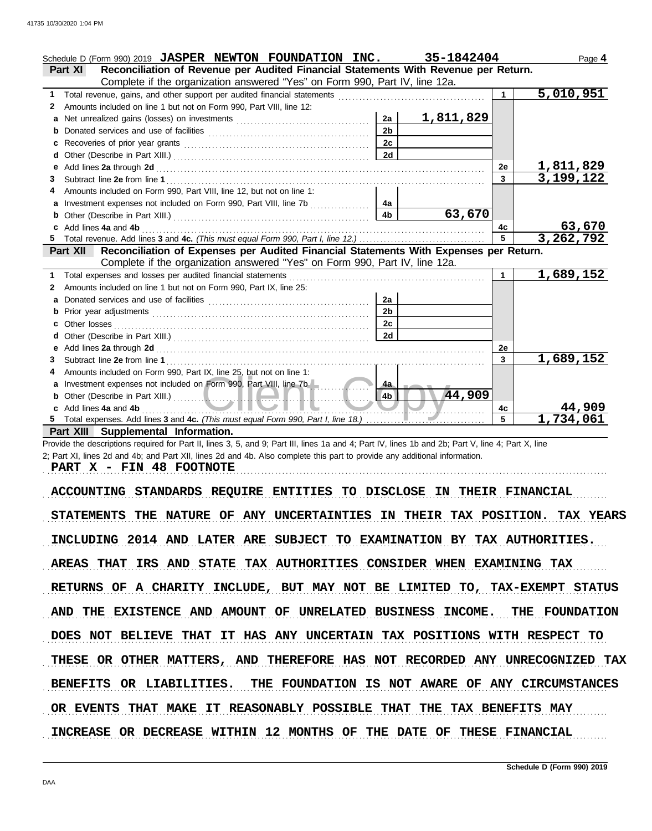|    | Schedule D (Form 990) 2019 JASPER NEWTON FOUNDATION INC.                                                                                                                                                                       | 35-1842404 |              | Page 4                 |
|----|--------------------------------------------------------------------------------------------------------------------------------------------------------------------------------------------------------------------------------|------------|--------------|------------------------|
|    | Reconciliation of Revenue per Audited Financial Statements With Revenue per Return.<br><b>Part XI</b>                                                                                                                          |            |              |                        |
|    | Complete if the organization answered "Yes" on Form 990, Part IV, line 12a.                                                                                                                                                    |            |              |                        |
| 1. |                                                                                                                                                                                                                                |            | $\mathbf{1}$ | $\overline{5,010,951}$ |
| 2  | Amounts included on line 1 but not on Form 990, Part VIII, line 12:                                                                                                                                                            |            |              |                        |
| a  | 2a                                                                                                                                                                                                                             | 1,811,829  |              |                        |
|    | 2 <sub>b</sub>                                                                                                                                                                                                                 |            |              |                        |
| c  | 2c                                                                                                                                                                                                                             |            |              |                        |
| d  | 2d                                                                                                                                                                                                                             |            |              |                        |
| е  | Add lines 2a through 2d [11] Martin Martin Martin Martin Martin Martin Martin Martin Martin Martin Martin Martin Martin Martin Martin Martin Martin Martin Martin Martin Martin Martin Martin Martin Martin Martin Martin Mart |            | 2e           | <u>1,811,829</u>       |
| 3  |                                                                                                                                                                                                                                |            | $\mathbf{3}$ | 3,199,122              |
|    | Amounts included on Form 990, Part VIII, line 12, but not on line 1:                                                                                                                                                           |            |              |                        |
| a  | Investment expenses not included on Form 990, Part VIII, line 7b [[[[[[[[[[[[[[[[[[[[[[[[[]]]]]]]]<br>4a                                                                                                                       |            |              |                        |
|    | 4 <sub>b</sub>                                                                                                                                                                                                                 | 63,670     |              |                        |
|    | Add lines 4a and 4b electron contracts and the contracts of the state of the state of the state of the state of the state of the state of the state of the state of the state of the state of the state of the state of the st |            | 4c           | 63,670                 |
|    |                                                                                                                                                                                                                                |            | 5            | 3,262,792              |
|    | Reconciliation of Expenses per Audited Financial Statements With Expenses per Return.<br><b>Part XII</b>                                                                                                                       |            |              |                        |
|    | Complete if the organization answered "Yes" on Form 990, Part IV, line 12a.                                                                                                                                                    |            |              |                        |
| 1. | Total expenses and losses per audited financial statements                                                                                                                                                                     |            | $\mathbf{1}$ | $\overline{1,689,152}$ |
| 2  | Amounts included on line 1 but not on Form 990, Part IX, line 25:                                                                                                                                                              |            |              |                        |
| a  | 2a                                                                                                                                                                                                                             |            |              |                        |
|    | 2 <sub>b</sub>                                                                                                                                                                                                                 |            |              |                        |
|    | 2c                                                                                                                                                                                                                             |            |              |                        |
|    | 2d                                                                                                                                                                                                                             |            |              |                        |
| е  |                                                                                                                                                                                                                                |            | 2e           |                        |
| 3  |                                                                                                                                                                                                                                |            | 3            | 1,689,152              |
|    | Amounts included on Form 990, Part IX, line 25, but not on line 1:                                                                                                                                                             |            |              |                        |
| a  | Investment expenses not included on Form 990, Part VIII, line 7b<br><u>4a</u>                                                                                                                                                  |            |              |                        |
|    | 4 <sub>b</sub>                                                                                                                                                                                                                 | 44,909     |              |                        |
|    | Add lines 4a and 4b<br><u> 1999 - Johann John Stoff, Stoff</u>                                                                                                                                                                 |            | 4с           | 44,909                 |
|    |                                                                                                                                                                                                                                |            | 5            | $\overline{1,734,061}$ |
|    | Part XIII Supplemental Information.                                                                                                                                                                                            |            |              |                        |
|    | Provide the descriptions required for Part II, lines 3, 5, and 9; Part III, lines 1a and 4; Part IV, lines 1b and 2b; Part V, line 4; Part X, line                                                                             |            |              |                        |
|    | 2; Part XI, lines 2d and 4b; and Part XII, lines 2d and 4b. Also complete this part to provide any additional information.                                                                                                     |            |              |                        |
|    | PART X - FIN 48 FOOTNOTE                                                                                                                                                                                                       |            |              |                        |
|    | ACCOUNTING STANDARDS REQUIRE ENTITIES TO DISCLOSE IN THEIR FINANCIAL                                                                                                                                                           |            |              |                        |
|    | STATEMENTS THE NATURE OF ANY UNCERTAINTIES IN THEIR TAX POSITION. TAX YEARS                                                                                                                                                    |            |              |                        |
|    | INCLUDING 2014 AND LATER ARE SUBJECT TO EXAMINATION BY TAX AUTHORITIES.                                                                                                                                                        |            |              |                        |
|    | AREAS THAT IRS AND STATE TAX AUTHORITIES CONSIDER WHEN EXAMINING TAX                                                                                                                                                           |            |              |                        |
|    | RETURNS OF A CHARITY INCLUDE, BUT MAY NOT BE LIMITED TO, TAX-EXEMPT STATUS                                                                                                                                                     |            |              |                        |
|    | AND THE EXISTENCE AND AMOUNT OF UNRELATED BUSINESS INCOME. THE FOUNDATION                                                                                                                                                      |            |              |                        |
|    | DOES NOT BELIEVE THAT IT HAS ANY UNCERTAIN TAX POSITIONS WITH RESPECT TO                                                                                                                                                       |            |              |                        |
|    | THESE OR OTHER MATTERS, AND THEREFORE HAS NOT RECORDED ANY UNRECOGNIZED TAX                                                                                                                                                    |            |              |                        |
|    | BENEFITS OR LIABILITIES. THE FOUNDATION IS NOT AWARE OF ANY CIRCUMSTANCES                                                                                                                                                      |            |              |                        |
|    | OR EVENTS THAT MAKE IT REASONABLY POSSIBLE THAT THE TAX BENEFITS MAY                                                                                                                                                           |            |              |                        |
|    | INCREASE OR DECREASE WITHIN 12 MONTHS OF THE DATE OF THESE FINANCIAL                                                                                                                                                           |            |              |                        |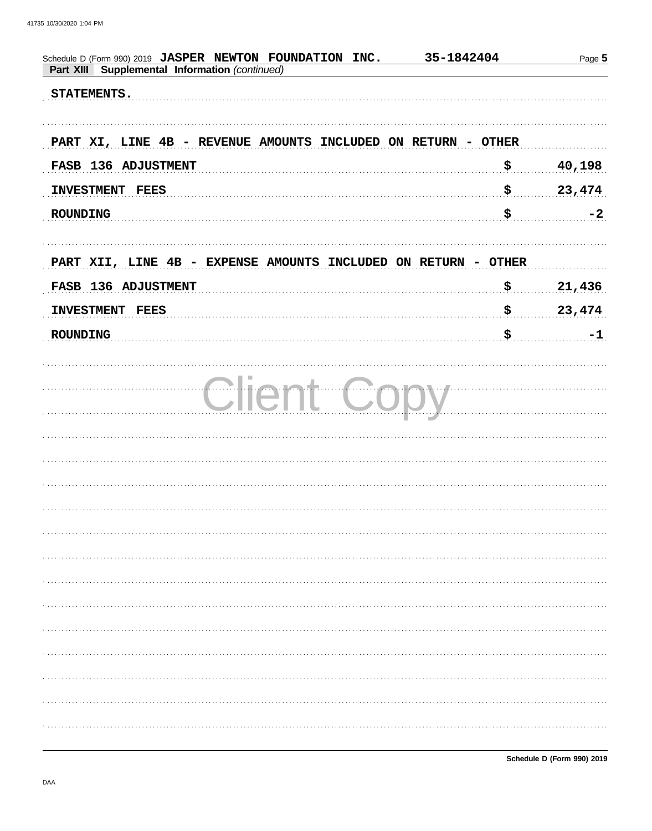| Schedule D (Form 990) 2019 JASPER NEWTON FOUNDATION INC.      | 35-1842404 | Page 5 |
|---------------------------------------------------------------|------------|--------|
| Part XIII Supplemental Information (continued)<br>STATEMENTS. |            |        |
| PART XI, LINE 4B - REVENUE AMOUNTS INCLUDED ON RETURN         | - OTHER    |        |
| FASB 136 ADJUSTMENT                                           | \$         | 40,198 |
| INVESTMENT FEES                                               | \$         | 23,474 |
| <b>ROUNDING</b>                                               | \$         | $-2$   |
| PART XII, LINE 4B - EXPENSE AMOUNTS<br>INCLUDED ON RETURN     | - OTHER    |        |
| FASB 136 ADJUSTMENT                                           | \$         | 21,436 |
| INVESTMENT FEES                                               | \$         | 23,474 |
| <b>ROUNDING</b>                                               | \$         | -1     |
|                                                               |            |        |
|                                                               |            |        |
|                                                               |            |        |
|                                                               |            |        |
|                                                               |            |        |
|                                                               |            |        |
|                                                               |            |        |
|                                                               |            |        |
|                                                               |            |        |
|                                                               |            |        |
|                                                               |            |        |
|                                                               |            |        |
|                                                               |            |        |
|                                                               |            |        |
|                                                               |            |        |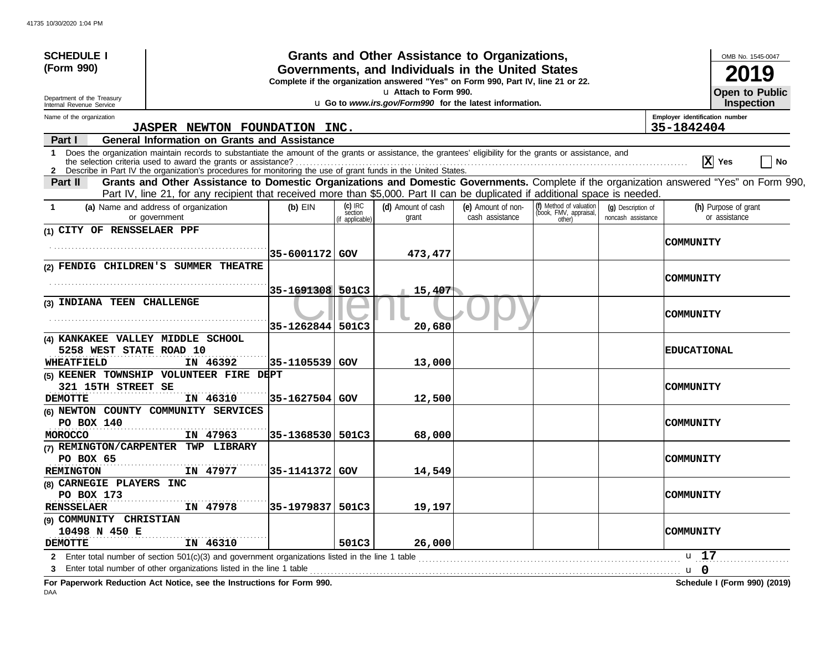| <b>SCHEDULE I</b>                                                                 |                                                                                                                                                                                                                                                                                                                                                 |                  |                                        | Grants and Other Assistance to Organizations,                                                                                         |                                       |                                                             |                                          |                                              | OMB No. 1545-0047                     |
|-----------------------------------------------------------------------------------|-------------------------------------------------------------------------------------------------------------------------------------------------------------------------------------------------------------------------------------------------------------------------------------------------------------------------------------------------|------------------|----------------------------------------|---------------------------------------------------------------------------------------------------------------------------------------|---------------------------------------|-------------------------------------------------------------|------------------------------------------|----------------------------------------------|---------------------------------------|
| (Form 990)                                                                        |                                                                                                                                                                                                                                                                                                                                                 |                  |                                        | Governments, and Individuals in the United States<br>Complete if the organization answered "Yes" on Form 990, Part IV, line 21 or 22. |                                       |                                                             |                                          |                                              |                                       |
| Department of the Treasury<br>Internal Revenue Service                            |                                                                                                                                                                                                                                                                                                                                                 |                  |                                        | u Attach to Form 990.<br>u Go to www.irs.gov/Form990 for the latest information.                                                      |                                       |                                                             |                                          |                                              | <b>Open to Public</b><br>Inspection   |
| Name of the organization                                                          | JASPER NEWTON FOUNDATION INC.                                                                                                                                                                                                                                                                                                                   |                  |                                        |                                                                                                                                       |                                       |                                                             |                                          | Employer identification number<br>35-1842404 |                                       |
| Part I                                                                            | <b>General Information on Grants and Assistance</b>                                                                                                                                                                                                                                                                                             |                  |                                        |                                                                                                                                       |                                       |                                                             |                                          |                                              |                                       |
|                                                                                   | Does the organization maintain records to substantiate the amount of the grants or assistance, the grantees' eligibility for the grants or assistance, and<br>the selection criteria used to award the grants or assistance?<br>2 Describe in Part IV the organization's procedures for monitoring the use of grant funds in the United States. |                  |                                        |                                                                                                                                       |                                       |                                                             |                                          |                                              | $ \mathbf{X} $ Yes<br>No              |
| Part II                                                                           | Grants and Other Assistance to Domestic Organizations and Domestic Governments. Complete if the organization answered "Yes" on Form 990,<br>Part IV, line 21, for any recipient that received more than \$5,000. Part II can be duplicated if additional space is needed.                                                                       |                  |                                        |                                                                                                                                       |                                       |                                                             |                                          |                                              |                                       |
| -1                                                                                | (a) Name and address of organization<br>or government                                                                                                                                                                                                                                                                                           | $(b)$ EIN        | $(c)$ IRC<br>séction<br>if applicable) | (d) Amount of cash<br>grant                                                                                                           | (e) Amount of non-<br>cash assistance | (f) Method of valuation<br>(book, FMV, appraisal,<br>other) | (g) Description of<br>noncash assistance |                                              | (h) Purpose of grant<br>or assistance |
| (1) CITY OF RENSSELAER PPF                                                        |                                                                                                                                                                                                                                                                                                                                                 |                  |                                        |                                                                                                                                       |                                       |                                                             |                                          | <b>COMMUNITY</b>                             |                                       |
|                                                                                   |                                                                                                                                                                                                                                                                                                                                                 | 35-6001172 GOV   |                                        | 473,477                                                                                                                               |                                       |                                                             |                                          |                                              |                                       |
|                                                                                   | (2) FENDIG CHILDREN'S SUMMER THEATRE                                                                                                                                                                                                                                                                                                            | 35-1691308 501C3 |                                        | 15,407                                                                                                                                |                                       |                                                             |                                          | <b>COMMUNITY</b>                             |                                       |
| (3) INDIANA TEEN CHALLENGE                                                        |                                                                                                                                                                                                                                                                                                                                                 | 35-1262844 501C3 |                                        | 20,680                                                                                                                                |                                       |                                                             |                                          | <b>COMMUNITY</b>                             |                                       |
| (4) KANKAKEE VALLEY MIDDLE SCHOOL<br>5258 WEST STATE ROAD 10<br><b>WHEATFIELD</b> | IN 46392                                                                                                                                                                                                                                                                                                                                        | 35-1105539  GOV  |                                        | 13,000                                                                                                                                |                                       |                                                             |                                          | <b>EDUCATIONAL</b>                           |                                       |
|                                                                                   | (5) KEENER TOWNSHIP VOLUNTEER FIRE DEPT                                                                                                                                                                                                                                                                                                         |                  |                                        |                                                                                                                                       |                                       |                                                             |                                          |                                              |                                       |
| 321 15TH STREET SE<br><b>DEMOTTE</b>                                              | .<br>IN 46310                                                                                                                                                                                                                                                                                                                                   | 35-1627504  GOV  |                                        | 12,500                                                                                                                                |                                       |                                                             |                                          | <b>COMMUNITY</b>                             |                                       |
| PO BOX 140<br><b>MOROCCO</b>                                                      | (6) NEWTON COUNTY COMMUNITY SERVICES<br>IN 47963                                                                                                                                                                                                                                                                                                | 35-1368530 501C3 |                                        | 68,000                                                                                                                                |                                       |                                                             |                                          | <b>COMMUNITY</b>                             |                                       |
| PO BOX 65<br><b>REMINGTON</b>                                                     | (7) REMINGTON/CARPENTER TWP LIBRARY<br>IN 47977                                                                                                                                                                                                                                                                                                 | 35-1141372  GOV  |                                        | 14,549                                                                                                                                |                                       |                                                             |                                          | <b>COMMUNITY</b>                             |                                       |
| (8) CARNEGIE PLAYERS INC<br>PO BOX 173                                            |                                                                                                                                                                                                                                                                                                                                                 |                  |                                        |                                                                                                                                       |                                       |                                                             |                                          | COMMUNITY                                    |                                       |
| <b>RENSSELAER</b>                                                                 | IN 47978                                                                                                                                                                                                                                                                                                                                        | 35–1979837       | 501C3                                  | 19,197                                                                                                                                |                                       |                                                             |                                          |                                              |                                       |
| (9) COMMUNITY CHRISTIAN<br>10498 N 450 E<br><b>DEMOTTE</b>                        | IN 46310                                                                                                                                                                                                                                                                                                                                        |                  | 501C3                                  | 26,000                                                                                                                                |                                       |                                                             |                                          | COMMUNITY                                    |                                       |
|                                                                                   | 2 Enter total number of section 501(c)(3) and government organizations listed in the line 1 table                                                                                                                                                                                                                                               |                  |                                        |                                                                                                                                       |                                       |                                                             |                                          | u 17                                         |                                       |
|                                                                                   | Enter total number of other organizations listed in the line 1 table                                                                                                                                                                                                                                                                            |                  |                                        |                                                                                                                                       |                                       |                                                             |                                          | u 0                                          |                                       |
|                                                                                   | For Departually Reduction, Act Notice, and the Instructions for Form 000                                                                                                                                                                                                                                                                        |                  |                                        |                                                                                                                                       |                                       |                                                             |                                          |                                              | <b>Cohodule I (Form 000) (2040</b>    |

**For Paperwork Reduction Act Notice, see the Instructions for Form 990. Schedule I (Form 990) (2019)**

DAA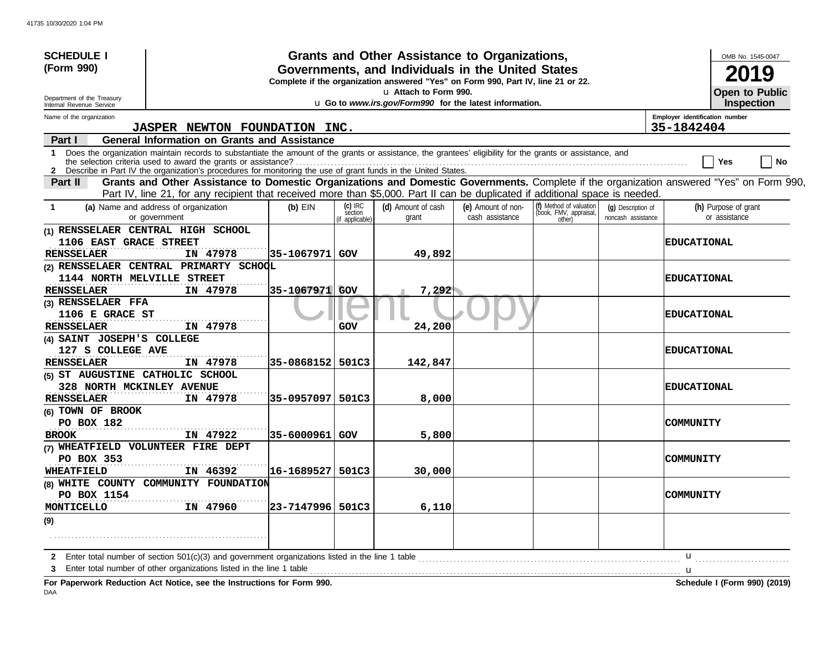| <b>SCHEDULE I</b>                                                                  |                                                                                                                                                                                                                                                                                 |                       |                                        | Grants and Other Assistance to Organizations,                                                                                         |                                       |                                                             |                                          |                                | OMB No. 1545-0047                     |
|------------------------------------------------------------------------------------|---------------------------------------------------------------------------------------------------------------------------------------------------------------------------------------------------------------------------------------------------------------------------------|-----------------------|----------------------------------------|---------------------------------------------------------------------------------------------------------------------------------------|---------------------------------------|-------------------------------------------------------------|------------------------------------------|--------------------------------|---------------------------------------|
| (Form 990)                                                                         |                                                                                                                                                                                                                                                                                 |                       |                                        | Governments, and Individuals in the United States<br>Complete if the organization answered "Yes" on Form 990, Part IV, line 21 or 22. |                                       |                                                             |                                          |                                |                                       |
| Department of the Treasury                                                         | u Attach to Form 990.<br>u Go to www.irs.gov/Form990 for the latest information.                                                                                                                                                                                                |                       |                                        |                                                                                                                                       |                                       |                                                             |                                          |                                | <b>Open to Public</b><br>Inspection   |
| Internal Revenue Service<br>Name of the organization                               |                                                                                                                                                                                                                                                                                 |                       |                                        |                                                                                                                                       |                                       |                                                             |                                          | Employer identification number |                                       |
|                                                                                    | JASPER NEWTON FOUNDATION INC.                                                                                                                                                                                                                                                   |                       |                                        |                                                                                                                                       |                                       |                                                             |                                          | 35-1842404                     |                                       |
| Part I                                                                             | <b>General Information on Grants and Assistance</b>                                                                                                                                                                                                                             |                       |                                        |                                                                                                                                       |                                       |                                                             |                                          |                                |                                       |
|                                                                                    | 1 Does the organization maintain records to substantiate the amount of the grants or assistance, the grantees' eligibility for the grants or assistance, and<br>2 Describe in Part IV the organization's procedures for monitoring the use of grant funds in the United States. |                       |                                        |                                                                                                                                       |                                       |                                                             |                                          |                                | No<br>Yes                             |
| Part II                                                                            | Grants and Other Assistance to Domestic Organizations and Domestic Governments. Complete if the organization answered "Yes" on Form 990,<br>Part IV, line 21, for any recipient that received more than \$5,000. Part II can be duplicated if additional space is needed.       |                       |                                        |                                                                                                                                       |                                       |                                                             |                                          |                                |                                       |
| -1                                                                                 | (a) Name and address of organization<br>or government                                                                                                                                                                                                                           | $(b)$ EIN             | $(c)$ IRC<br>section<br>if applicable) | (d) Amount of cash<br>grant                                                                                                           | (e) Amount of non-<br>cash assistance | (f) Method of valuation<br>(book, FMV, appraisal,<br>other) | (q) Description of<br>noncash assistance |                                | (h) Purpose of grant<br>or assistance |
| (1) RENSSELAER CENTRAL HIGH SCHOOL<br>1106 EAST GRACE STREET<br><b>RENSSELAER</b>  | IN 47978                                                                                                                                                                                                                                                                        | 35–1067971   GOV      |                                        | 49,892                                                                                                                                |                                       |                                                             |                                          | <b>EDUCATIONAL</b>             |                                       |
| 1144 NORTH MELVILLE STREET<br><b>RENSSELAER</b>                                    | (2) RENSSELAER CENTRAL PRIMARTY SCHOOL<br>IN 47978                                                                                                                                                                                                                              | 35-1067971 GOV        |                                        | 7,292                                                                                                                                 |                                       |                                                             |                                          | <b>EDUCATIONAL</b>             |                                       |
| (3) RENSSELAER FFA<br>1106 E GRACE ST<br><b>RENSSELAER</b>                         | IN 47978                                                                                                                                                                                                                                                                        |                       | GOV                                    | 24,200                                                                                                                                |                                       |                                                             |                                          | <b>EDUCATIONAL</b>             |                                       |
| (4) SAINT JOSEPH'S COLLEGE<br>127 S COLLEGE AVE<br><b>RENSSELAER</b>               | IN 47978                                                                                                                                                                                                                                                                        | 35-0868152 501C3      |                                        | 142,847                                                                                                                               |                                       |                                                             |                                          | <b>EDUCATIONAL</b>             |                                       |
| (5) ST AUGUSTINE CATHOLIC SCHOOL<br>328 NORTH MCKINLEY AVENUE<br><b>RENSSELAER</b> | IN 47978                                                                                                                                                                                                                                                                        | 35-0957097  501C3     |                                        | 8,000                                                                                                                                 |                                       |                                                             |                                          | <b>EDUCATIONAL</b>             |                                       |
| (6) TOWN OF BROOK<br>PO BOX 182<br><b>BROOK</b>                                    | IN 47922                                                                                                                                                                                                                                                                        | 35-6000961  GOV       |                                        | 5,800                                                                                                                                 |                                       |                                                             |                                          | <b>COMMUNITY</b>               |                                       |
| (7) WHEATFIELD VOLUNTEER FIRE DEPT<br>PO BOX 353<br><b>WHEATFIELD</b>              | IN 46392                                                                                                                                                                                                                                                                        | 16-1689527 501C3      |                                        | 30,000                                                                                                                                |                                       |                                                             |                                          | <b>COMMUNITY</b>               |                                       |
| PO BOX 1154<br><b>MONTICELLO</b>                                                   | (8) WHITE COUNTY COMMUNITY FOUNDATION<br>IN 47960                                                                                                                                                                                                                               | $ 23 - 7147996 501C3$ |                                        | 6,110                                                                                                                                 |                                       |                                                             |                                          | COMMUNITY                      |                                       |
| (9)                                                                                |                                                                                                                                                                                                                                                                                 |                       |                                        |                                                                                                                                       |                                       |                                                             |                                          |                                |                                       |
| З                                                                                  | Enter total number of section 501(c)(3) and government organizations listed in the line 1 table<br>Enter total number of other organizations listed in the line 1 table<br>For Paperwork Reduction Act Notice, see the Instructions for Form 990.                               |                       |                                        |                                                                                                                                       |                                       |                                                             |                                          | u<br>. <b>. . U</b>            | Schedule I (Form 990) (2019)          |

DAA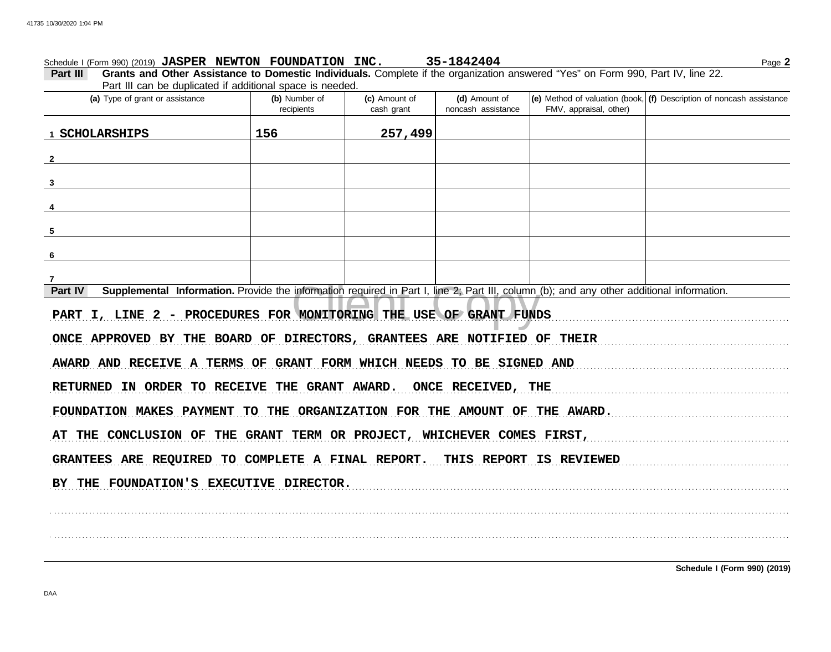## Schedule I (Form 990) (2019) JASPER NEWTON FOUNDATION INC. 35-1842404 Page 2

**Part III Grants and Other Assistance to Domestic Individuals.** Complete if the organization answered "Yes" on Form 990, Part IV, line 22. Part III can be duplicated if additional space is needed.

| (a) Type of grant or assistance                                                                                                                      | (b) Number of<br>recipients | (c) Amount of<br>cash grant | (d) Amount of<br>noncash assistance | FMV, appraisal, other) | $\vert$ (e) Method of valuation (book, $\vert$ (f) Description of noncash assistance |  |  |
|------------------------------------------------------------------------------------------------------------------------------------------------------|-----------------------------|-----------------------------|-------------------------------------|------------------------|--------------------------------------------------------------------------------------|--|--|
| 1 SCHOLARSHIPS                                                                                                                                       | 156                         | 257,499                     |                                     |                        |                                                                                      |  |  |
| $\overline{2}$                                                                                                                                       |                             |                             |                                     |                        |                                                                                      |  |  |
| $\overline{\mathbf{3}}$                                                                                                                              |                             |                             |                                     |                        |                                                                                      |  |  |
| $\overline{\mathbf{4}}$                                                                                                                              |                             |                             |                                     |                        |                                                                                      |  |  |
| $5\overline{5}$                                                                                                                                      |                             |                             |                                     |                        |                                                                                      |  |  |
| $6\phantom{.}6$                                                                                                                                      |                             |                             |                                     |                        |                                                                                      |  |  |
| 7                                                                                                                                                    |                             |                             |                                     |                        |                                                                                      |  |  |
| Supplemental Information. Provide the information required in Part I, line 2; Part III, column (b); and any other additional information.<br>Part IV |                             |                             |                                     |                        |                                                                                      |  |  |
| PART I, LINE 2 - PROCEDURES FOR MONITORING THE USE OF GRANT FUNDS<br>ONCE APPROVED BY THE BOARD OF DIRECTORS, GRANTEES ARE NOTIFIED OF THEIR         |                             |                             |                                     |                        |                                                                                      |  |  |
| AWARD AND RECEIVE A TERMS OF GRANT FORM WHICH NEEDS TO BE SIGNED AND                                                                                 |                             |                             |                                     |                        |                                                                                      |  |  |
| RETURNED IN ORDER TO RECEIVE THE GRANT AWARD. ONCE RECEIVED, THE                                                                                     |                             |                             |                                     |                        |                                                                                      |  |  |
| FOUNDATION MAKES PAYMENT TO THE ORGANIZATION FOR THE AMOUNT OF THE AWARD.                                                                            |                             |                             |                                     |                        |                                                                                      |  |  |
| AT THE CONCLUSION OF THE GRANT TERM OR PROJECT, WHICHEVER COMES FIRST,                                                                               |                             |                             |                                     |                        |                                                                                      |  |  |
| GRANTEES ARE REQUIRED TO COMPLETE A FINAL REPORT. THIS REPORT IS REVIEWED                                                                            |                             |                             |                                     |                        |                                                                                      |  |  |
| BY THE FOUNDATION'S EXECUTIVE DIRECTOR.                                                                                                              |                             |                             |                                     |                        |                                                                                      |  |  |
|                                                                                                                                                      |                             |                             |                                     |                        |                                                                                      |  |  |
|                                                                                                                                                      |                             |                             |                                     |                        |                                                                                      |  |  |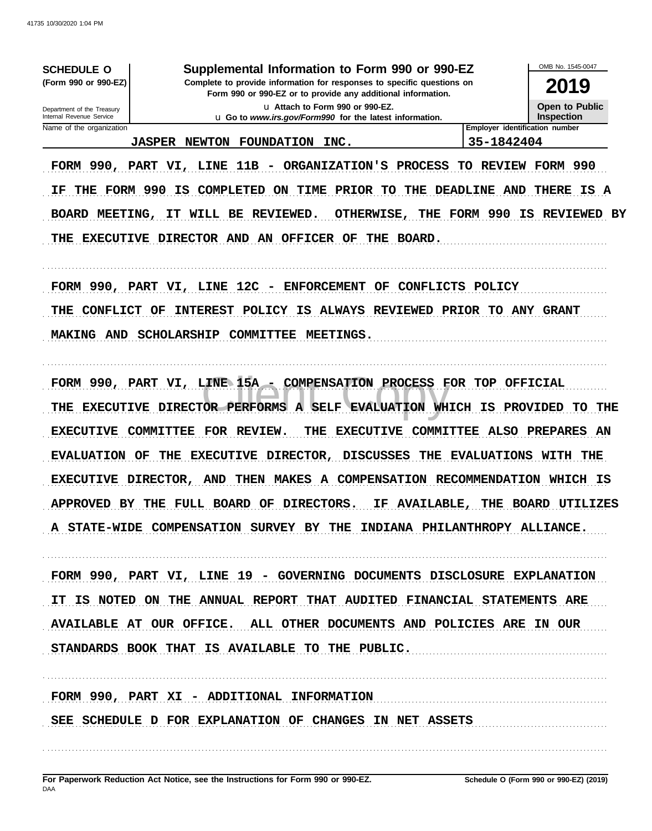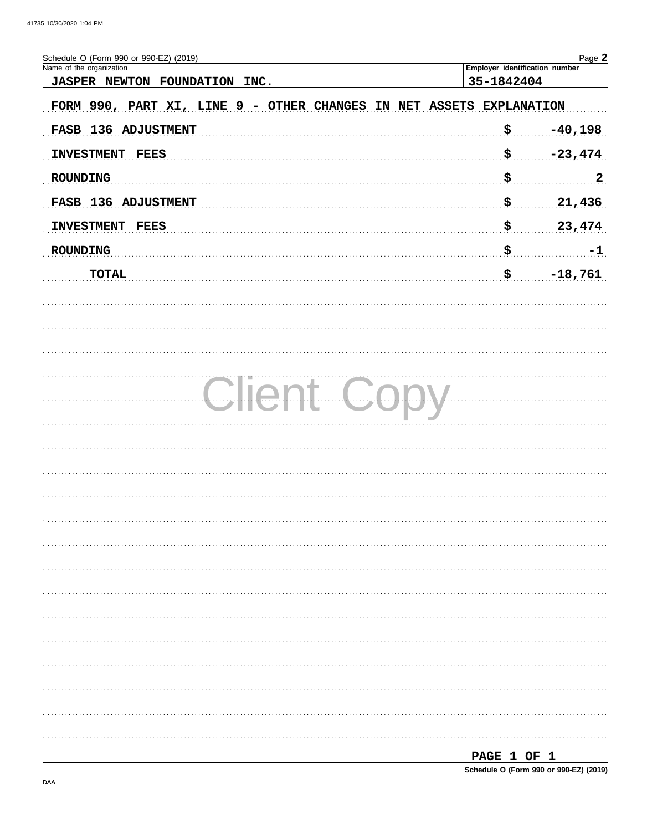| Schedule O (Form 990 or 990-EZ) (2019)<br>Name of the organization<br>JASPER NEWTON FOUNDATION INC. | Employer identification number<br>35-1842404 |
|-----------------------------------------------------------------------------------------------------|----------------------------------------------|
|                                                                                                     |                                              |
| FORM 990, PART XI, LINE 9 - OTHER CHANGES IN NET ASSETS EXPLANATION                                 |                                              |
| FASB 136 ADJUSTMENT                                                                                 | $\boldsymbol{\mathsf{S}}$<br>$-40,198$       |
| INVESTMENT FEES                                                                                     | \$<br>$-23,474$                              |
| <b>ROUNDING</b>                                                                                     | \$<br>$\mathbf{2}$                           |
| FASB 136 ADJUSTMENT                                                                                 | \$<br>21,436                                 |
| <b>INVESTMENT</b><br><b>FEES</b>                                                                    | \$<br>23,474                                 |
| ROUNDING                                                                                            | \$<br>$-1$                                   |
| <b>TOTAL</b>                                                                                        | \$<br>$-18,761$                              |
|                                                                                                     |                                              |
|                                                                                                     |                                              |
|                                                                                                     |                                              |
|                                                                                                     |                                              |
|                                                                                                     |                                              |
|                                                                                                     |                                              |
|                                                                                                     |                                              |
|                                                                                                     |                                              |
|                                                                                                     |                                              |
|                                                                                                     |                                              |
|                                                                                                     |                                              |
|                                                                                                     |                                              |
|                                                                                                     |                                              |
|                                                                                                     |                                              |
|                                                                                                     |                                              |
|                                                                                                     |                                              |
|                                                                                                     |                                              |
|                                                                                                     |                                              |
|                                                                                                     |                                              |
|                                                                                                     | PAGE 1 OF 1                                  |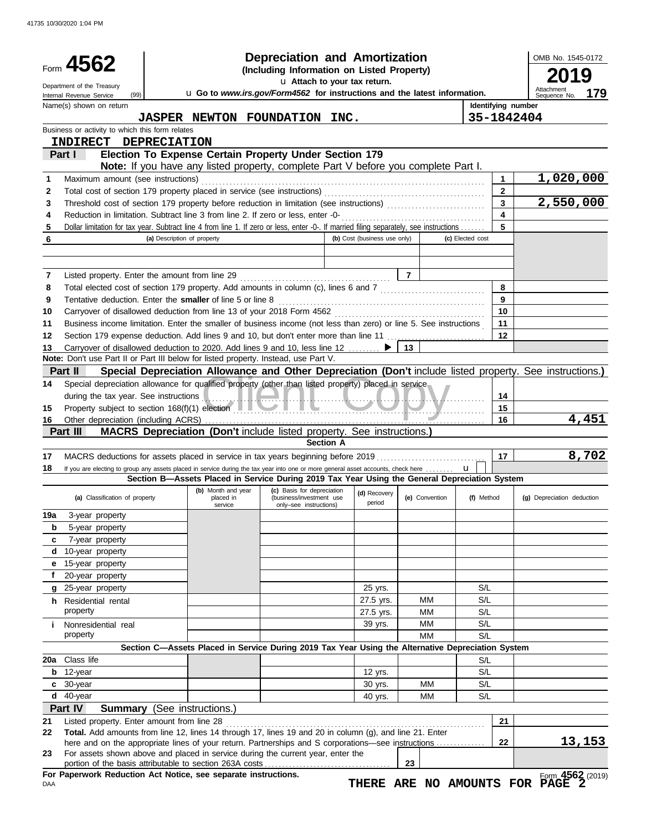|             | <b>Depreciation and Amortization</b><br>Form 4562<br>(Including Information on Listed Property)<br>u Attach to your tax return.                                                              |                                    |                                              |                                                                                                   |                              |                |                    | OMB No. 1545-0172<br>9                  |                                                                                                          |
|-------------|----------------------------------------------------------------------------------------------------------------------------------------------------------------------------------------------|------------------------------------|----------------------------------------------|---------------------------------------------------------------------------------------------------|------------------------------|----------------|--------------------|-----------------------------------------|----------------------------------------------------------------------------------------------------------|
|             | Department of the Treasury<br>(99)<br>Internal Revenue Service                                                                                                                               |                                    |                                              | <b>u</b> Go to www.irs.gov/Form4562 for instructions and the latest information.                  |                              |                |                    |                                         | Attachment<br>179<br>Sequence No.                                                                        |
|             | Name(s) shown on return                                                                                                                                                                      |                                    |                                              |                                                                                                   |                              |                | Identifying number |                                         |                                                                                                          |
|             |                                                                                                                                                                                              |                                    |                                              | JASPER NEWTON FOUNDATION INC.                                                                     |                              |                | 35-1842404         |                                         |                                                                                                          |
|             | Business or activity to which this form relates                                                                                                                                              |                                    |                                              |                                                                                                   |                              |                |                    |                                         |                                                                                                          |
|             | INDIRECT DEPRECIATION                                                                                                                                                                        |                                    |                                              |                                                                                                   |                              |                |                    |                                         |                                                                                                          |
|             | Part I                                                                                                                                                                                       |                                    |                                              | Election To Expense Certain Property Under Section 179                                            |                              |                |                    |                                         |                                                                                                          |
|             |                                                                                                                                                                                              |                                    |                                              | <b>Note:</b> If you have any listed property, complete Part V before you complete Part I.         |                              |                |                    |                                         |                                                                                                          |
| $\mathbf 1$ | Maximum amount (see instructions)                                                                                                                                                            |                                    |                                              |                                                                                                   |                              |                |                    | 1                                       | 1,020,000                                                                                                |
| 2           |                                                                                                                                                                                              |                                    |                                              |                                                                                                   |                              |                |                    | $\mathbf{2}$<br>$\overline{\mathbf{3}}$ |                                                                                                          |
| 3<br>4      | Threshold cost of section 179 property before reduction in limitation (see instructions) [111] [11] Threshold cost of section 179 property before reduction in limitation (see instructions) |                                    |                                              |                                                                                                   |                              |                |                    | 4                                       | 2,550,000                                                                                                |
| 5           | Dollar limitation for tax year. Subtract line 4 from line 1. If zero or less, enter -0-. If married filing separately, see instructions                                                      |                                    |                                              |                                                                                                   |                              |                |                    | 5                                       |                                                                                                          |
| 6           |                                                                                                                                                                                              | (a) Description of property        |                                              |                                                                                                   | (b) Cost (business use only) |                | (c) Elected cost   |                                         |                                                                                                          |
|             |                                                                                                                                                                                              |                                    |                                              |                                                                                                   |                              |                |                    |                                         |                                                                                                          |
|             |                                                                                                                                                                                              |                                    |                                              |                                                                                                   |                              |                |                    |                                         |                                                                                                          |
| 7           |                                                                                                                                                                                              |                                    |                                              |                                                                                                   |                              | $\overline{7}$ |                    |                                         |                                                                                                          |
| 8           | Total elected cost of section 179 property. Add amounts in column (c), lines 6 and 7 [[[[[[[[[[[[[[[[[[[[[[[[                                                                                |                                    |                                              |                                                                                                   |                              |                |                    | 8                                       |                                                                                                          |
| 9           | Tentative deduction. Enter the smaller of line 5 or line 8                                                                                                                                   |                                    |                                              |                                                                                                   |                              |                |                    | 9                                       |                                                                                                          |
| 10          |                                                                                                                                                                                              |                                    |                                              |                                                                                                   |                              |                |                    | 10                                      |                                                                                                          |
| 11          | Business income limitation. Enter the smaller of business income (not less than zero) or line 5. See instructions                                                                            |                                    |                                              |                                                                                                   |                              |                |                    | 11                                      |                                                                                                          |
| 12          | Section 179 expense deduction. Add lines 9 and 10, but don't enter more than line 11                                                                                                         |                                    |                                              |                                                                                                   |                              |                |                    | 12                                      |                                                                                                          |
| 13          | Carryover of disallowed deduction to 2020. Add lines 9 and 10, less line 12  ▶                                                                                                               |                                    |                                              |                                                                                                   |                              | 13             |                    |                                         |                                                                                                          |
|             | Note: Don't use Part II or Part III below for listed property. Instead, use Part V.                                                                                                          |                                    |                                              |                                                                                                   |                              |                |                    |                                         |                                                                                                          |
|             | Part II                                                                                                                                                                                      |                                    |                                              |                                                                                                   |                              |                |                    |                                         | Special Depreciation Allowance and Other Depreciation (Don't include listed property. See instructions.) |
| 14          | Special depreciation allowance for qualified property (other than listed property) placed in service                                                                                         |                                    |                                              |                                                                                                   |                              |                |                    |                                         |                                                                                                          |
|             | during the tax year. See instructions<br>Property subject to section 168(f)(1) election                                                                                                      |                                    |                                              |                                                                                                   |                              |                |                    | 14                                      |                                                                                                          |
| 15          |                                                                                                                                                                                              |                                    |                                              |                                                                                                   |                              |                |                    | 15                                      |                                                                                                          |
| 16          |                                                                                                                                                                                              |                                    |                                              |                                                                                                   |                              |                |                    | 16                                      | 4,451                                                                                                    |
|             | Part III                                                                                                                                                                                     |                                    |                                              | <b>MACRS Depreciation (Don't include listed property. See instructions.)</b><br>Section A         |                              |                |                    |                                         |                                                                                                          |
| 17          | MACRS deductions for assets placed in service in tax years beginning before 2019                                                                                                             |                                    |                                              |                                                                                                   |                              |                |                    | 17                                      | 8,702                                                                                                    |
| 18          | If you are electing to group any assets placed in service during the tax year into one or more general asset accounts, check here                                                            |                                    |                                              |                                                                                                   |                              |                |                    |                                         |                                                                                                          |
|             |                                                                                                                                                                                              |                                    |                                              | Section B—Assets Placed in Service During 2019 Tax Year Using the General Depreciation System     |                              |                |                    |                                         |                                                                                                          |
|             | (a) Classification of property                                                                                                                                                               |                                    | (b) Month and year  <br>placed in<br>service | (c) Basis for depreciation<br>(business/investment use<br>only-see instructions)                  | (d) Recovery<br>period       | (e) Convention | (f) Method         |                                         | (g) Depreciation deduction                                                                               |
| 19a         | 3-year property                                                                                                                                                                              |                                    |                                              |                                                                                                   |                              |                |                    |                                         |                                                                                                          |
| b           | 5-year property                                                                                                                                                                              |                                    |                                              |                                                                                                   |                              |                |                    |                                         |                                                                                                          |
| c           | 7-year property                                                                                                                                                                              |                                    |                                              |                                                                                                   |                              |                |                    |                                         |                                                                                                          |
| d           | 10-year property                                                                                                                                                                             |                                    |                                              |                                                                                                   |                              |                |                    |                                         |                                                                                                          |
| е           | 15-year property                                                                                                                                                                             |                                    |                                              |                                                                                                   |                              |                |                    |                                         |                                                                                                          |
| f           | 20-year property                                                                                                                                                                             |                                    |                                              |                                                                                                   |                              |                |                    |                                         |                                                                                                          |
| g           | 25-year property                                                                                                                                                                             |                                    |                                              |                                                                                                   | 25 yrs.                      |                | S/L                |                                         |                                                                                                          |
|             | h Residential rental                                                                                                                                                                         |                                    |                                              |                                                                                                   | 27.5 yrs.                    | ΜМ             | S/L                |                                         |                                                                                                          |
|             | property                                                                                                                                                                                     |                                    |                                              |                                                                                                   | 27.5 yrs.                    | ΜМ             | S/L                |                                         |                                                                                                          |
| i.          | Nonresidential real                                                                                                                                                                          |                                    |                                              |                                                                                                   | 39 yrs.                      | ΜМ             | S/L                |                                         |                                                                                                          |
|             | property                                                                                                                                                                                     |                                    |                                              |                                                                                                   |                              | ΜМ             | S/L                |                                         |                                                                                                          |
|             |                                                                                                                                                                                              |                                    |                                              | Section C-Assets Placed in Service During 2019 Tax Year Using the Alternative Depreciation System |                              |                |                    |                                         |                                                                                                          |
| 20a         | Class life                                                                                                                                                                                   |                                    |                                              |                                                                                                   |                              |                | S/L                |                                         |                                                                                                          |
| b           | 12-year                                                                                                                                                                                      |                                    |                                              |                                                                                                   | 12 yrs.                      |                | S/L                |                                         |                                                                                                          |
| c           | 30-year<br>$d$ 40-year                                                                                                                                                                       |                                    |                                              |                                                                                                   | 30 yrs.                      | <b>MM</b>      | S/L<br>S/L         |                                         |                                                                                                          |
|             | Part IV                                                                                                                                                                                      |                                    |                                              |                                                                                                   | 40 yrs.                      | ΜМ             |                    |                                         |                                                                                                          |
|             |                                                                                                                                                                                              | <b>Summary</b> (See instructions.) |                                              |                                                                                                   |                              |                |                    | 21                                      |                                                                                                          |
| 21<br>22    | Listed property. Enter amount from line 28<br>Total. Add amounts from line 12, lines 14 through 17, lines 19 and 20 in column (g), and line 21. Enter                                        |                                    |                                              |                                                                                                   |                              |                |                    |                                         |                                                                                                          |
|             | here and on the appropriate lines of your return. Partnerships and S corporations—see instructions                                                                                           |                                    |                                              |                                                                                                   |                              |                |                    | 22                                      | 13,153                                                                                                   |
| 23          | For assets shown above and placed in service during the current year, enter the                                                                                                              |                                    |                                              |                                                                                                   |                              |                |                    |                                         |                                                                                                          |
|             |                                                                                                                                                                                              |                                    |                                              |                                                                                                   |                              | 23             |                    |                                         |                                                                                                          |
| DAA         | For Paperwork Reduction Act Notice, see separate instructions.                                                                                                                               |                                    |                                              |                                                                                                   |                              |                |                    |                                         | Form 4562 (2019)<br>THERE ARE NO AMOUNTS FOR PAGE 2                                                      |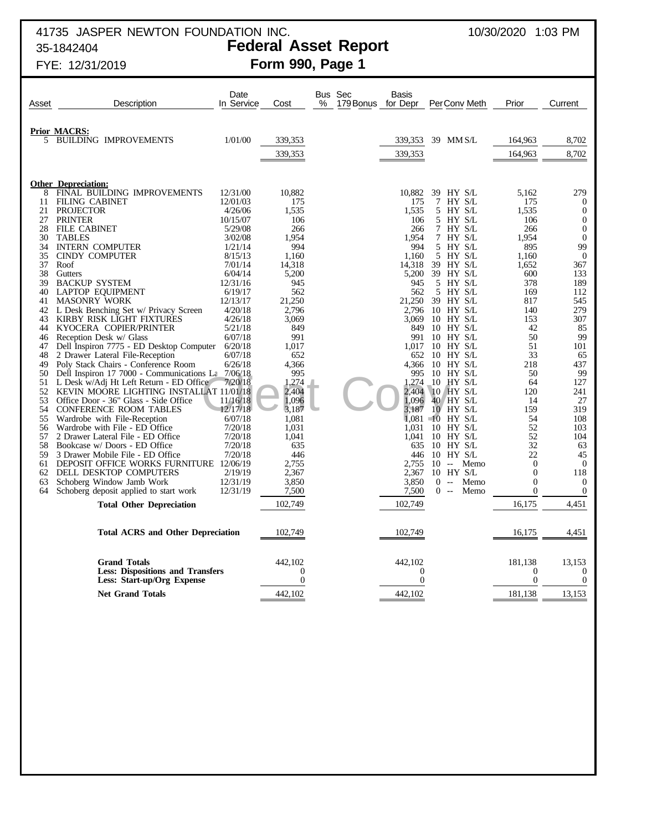# 41735 JASPER NEWTON FOUNDATION INC. 10/30/2020 1:03 PM 35-1842404 **Federal Asset Report** FYE: 12/31/2019 **Form 990, Page 1**

| Asset                                                                                                                                                                                                   | Description                                                                                                                                                                                                                                                                                                                                                                                                                                                                                                                                                                                                                                                                                                                                                                                                                                                                                                                                                                                                                                                                                                                                                                                          | Date<br>In Service                                                                                                                                                                                                                                                                                                                                         | Cost                                                                                                                                                                                                                                                                                                            | % | Bus Sec<br>179 Bonus | Basis<br>for Depr                                                                                                                                                                                                                                                                               | <b>PerConv Meth</b>                                                                                                                                                                                                                                                                                                                                                                                                                                                                          | Prior                                                                                                                                                                                                                                                                                | Current                                                                                                                                                                                                                                                                                                                                     |
|---------------------------------------------------------------------------------------------------------------------------------------------------------------------------------------------------------|------------------------------------------------------------------------------------------------------------------------------------------------------------------------------------------------------------------------------------------------------------------------------------------------------------------------------------------------------------------------------------------------------------------------------------------------------------------------------------------------------------------------------------------------------------------------------------------------------------------------------------------------------------------------------------------------------------------------------------------------------------------------------------------------------------------------------------------------------------------------------------------------------------------------------------------------------------------------------------------------------------------------------------------------------------------------------------------------------------------------------------------------------------------------------------------------------|------------------------------------------------------------------------------------------------------------------------------------------------------------------------------------------------------------------------------------------------------------------------------------------------------------------------------------------------------------|-----------------------------------------------------------------------------------------------------------------------------------------------------------------------------------------------------------------------------------------------------------------------------------------------------------------|---|----------------------|-------------------------------------------------------------------------------------------------------------------------------------------------------------------------------------------------------------------------------------------------------------------------------------------------|----------------------------------------------------------------------------------------------------------------------------------------------------------------------------------------------------------------------------------------------------------------------------------------------------------------------------------------------------------------------------------------------------------------------------------------------------------------------------------------------|--------------------------------------------------------------------------------------------------------------------------------------------------------------------------------------------------------------------------------------------------------------------------------------|---------------------------------------------------------------------------------------------------------------------------------------------------------------------------------------------------------------------------------------------------------------------------------------------------------------------------------------------|
| 5                                                                                                                                                                                                       | <b>Prior MACRS:</b><br><b>BUILDING IMPROVEMENTS</b>                                                                                                                                                                                                                                                                                                                                                                                                                                                                                                                                                                                                                                                                                                                                                                                                                                                                                                                                                                                                                                                                                                                                                  | 1/01/00                                                                                                                                                                                                                                                                                                                                                    | 339,353<br>339,353                                                                                                                                                                                                                                                                                              |   |                      | 339,353<br>339,353                                                                                                                                                                                                                                                                              | 39 MM S/L                                                                                                                                                                                                                                                                                                                                                                                                                                                                                    | 164,963<br>164,963                                                                                                                                                                                                                                                                   | 8,702<br>8,702                                                                                                                                                                                                                                                                                                                              |
| 8<br>11<br>21<br>27<br>28<br>30<br>34<br>35<br>37<br>38<br>39<br>40<br>41<br>42<br>43<br>44<br>46<br>47<br>48<br>49<br>50<br>51<br>52<br>53<br>54<br>55<br>56<br>57<br>58<br>59<br>61<br>62<br>63<br>64 | <b>Other Depreciation:</b><br>FINAL BUILDING IMPROVEMENTS<br><b>FILING CABINET</b><br><b>PROJECTOR</b><br><b>PRINTER</b><br><b>FILE CABINET</b><br><b>TABLES</b><br><b>INTERN COMPUTER</b><br><b>CINDY COMPUTER</b><br>Roof<br>Gutters<br><b>BACKUP SYSTEM</b><br><b>LAPTOP EQUIPMENT</b><br><b>MASONRY WORK</b><br>L Desk Benching Set w/ Privacy Screen<br>KIRBY RISK LIGHT FIXTURES<br>KYOCERA COPIER/PRINTER<br>Reception Desk w/ Glass<br>Dell Inspiron 7775 - ED Desktop Computer<br>2 Drawer Lateral File-Reception<br>Poly Stack Chairs - Conference Room<br>Dell Inspiron 17 7000 - Communications La 7/06/18<br>L Desk w/Adj Ht Left Return - ED Office<br>KEVIN MOORE LIGHTING INSTALLAT 11/01/18<br>Office Door - 36" Glass - Side Office<br><b>CONFERENCE ROOM TABLES</b><br>Wardrobe with File-Reception<br>Wardrobe with File - ED Office<br>2 Drawer Lateral File - ED Office<br>Bookcase w/ Doors - ED Office<br>3 Drawer Mobile File - ED Office<br><b>DEPOSIT OFFICE WORKS FURNITURE 12/06/19</b><br>DELL DESKTOP COMPUTERS<br>Schoberg Window Jamb Work<br>Schoberg deposit applied to start work<br><b>Total Other Depreciation</b><br><b>Total ACRS and Other Depreciation</b> | 12/31/00<br>12/01/03<br>4/26/06<br>10/15/07<br>5/29/08<br>3/02/08<br>1/21/14<br>8/15/13<br>7/01/14<br>6/04/14<br>12/31/16<br>6/19/17<br>12/13/17<br>4/20/18<br>4/26/18<br>5/21/18<br>6/07/18<br>6/20/18<br>6/07/18<br>6/26/18<br>7/20/18<br>11/16/18<br>12/17/18<br>6/07/18<br>7/20/18<br>7/20/18<br>7/20/18<br>7/20/18<br>2/19/19<br>12/31/19<br>12/31/19 | 10,882<br>175<br>1,535<br>106<br>266<br>1,954<br>994<br>1,160<br>14,318<br>5,200<br>945<br>562<br>21,250<br>2,796<br>3,069<br>849<br>991<br>1,017<br>652<br>4,366<br>995<br>1,274<br>2.404<br>1,096<br>3,187<br>1,081<br>1.031<br>1.041<br>635<br>446<br>2,755<br>2,367<br>3,850<br>7,500<br>102,749<br>102,749 |   |                      | 10,882<br>175<br>1,535<br>106<br>266<br>1,954<br>994<br>1.160<br>14,318<br>5,200<br>945<br>562<br>21,250<br>2.796<br>3,069<br>849<br>1.017<br>652<br>4,366<br>995<br>1,274<br>2,404<br>1,096<br>3.187<br>1.031<br>1.041<br>635<br>446<br>2,755<br>2,367<br>3,850<br>7,500<br>102,749<br>102,749 | 39 HY S/L<br>7 HY S/L<br>5 HY S/L<br>5 HY S/L<br>7 HY S/L<br>7 HY S/L<br>5 HY S/L<br>5 HY S/L<br>39 HY S/L<br>39 HY S/L<br>5 HY S/L<br>5 HY S/L<br>39 HY S/L<br>$10$ HY S/L<br>$10$ HY S/L<br>$10$ HY S/L<br>991 10 HY S/L<br>10 HY S/L<br>10 HY S/L<br>10 HY S/L<br>10 HY S/L<br>10<br>HY S/L<br>10 HY S/L<br>40 HY S/L<br>$10$ HY S/L<br>$1,081$ $10$ HY S/L<br>10 HY S/L<br>10 HY S/L<br>10<br>HY S/L<br>10 HY S/L<br>10<br>Memo<br>$\sim$<br>10 HY S/L<br>$0 -$<br>Memo<br>$0 -$<br>Memo | 5,162<br>175<br>1,535<br>106<br>266<br>1,954<br>895<br>1,160<br>1,652<br>600<br>378<br>169<br>817<br>140<br>153<br>42<br>50<br>51<br>33<br>218<br>50<br>64<br>120<br>14<br>159<br>54<br>52<br>52<br>32<br>22<br>$\Omega$<br>$\Omega$<br>$\mathbf{0}$<br>$\Omega$<br>16,175<br>16,175 | 279<br>$\overline{0}$<br>$\Omega$<br>$\overline{0}$<br>$\overline{0}$<br>$\overline{0}$<br>99<br>$\overline{0}$<br>367<br>133<br>189<br>112<br>545<br>279<br>307<br>85<br>99<br>101<br>65<br>437<br>99<br>127<br>241<br>27<br>319<br>108<br>103<br>104<br>63<br>45<br>$\Omega$<br>118<br>$\overline{0}$<br>$\overline{0}$<br>4,451<br>4,451 |
|                                                                                                                                                                                                         | <b>Grand Totals</b><br><b>Less: Dispositions and Transfers</b><br>Less: Start-up/Org Expense<br><b>Net Grand Totals</b>                                                                                                                                                                                                                                                                                                                                                                                                                                                                                                                                                                                                                                                                                                                                                                                                                                                                                                                                                                                                                                                                              |                                                                                                                                                                                                                                                                                                                                                            | 442,102<br>$\boldsymbol{0}$<br>$\boldsymbol{0}$<br>442,102                                                                                                                                                                                                                                                      |   |                      | 442,102<br>0<br>$\boldsymbol{0}$<br>442,102                                                                                                                                                                                                                                                     |                                                                                                                                                                                                                                                                                                                                                                                                                                                                                              | 181,138<br>$\boldsymbol{0}$<br>$\mathbf{0}$<br>181,138                                                                                                                                                                                                                               | 13,153<br>$\overline{0}$<br>$\overline{0}$<br>13,153                                                                                                                                                                                                                                                                                        |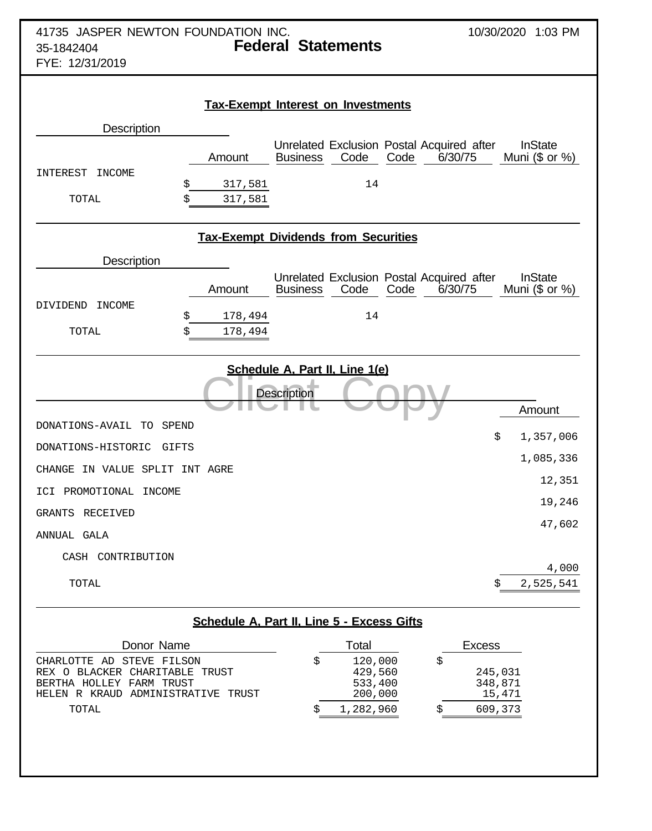| 41735 JASPER NEWTON FOUNDATION INC.<br>35-1842404<br>FYE: 12/31/2019                          | 10/30/2020 1:03 PM<br><b>Federal Statements</b>                                                                                                                                 |  |  |  |  |  |  |
|-----------------------------------------------------------------------------------------------|---------------------------------------------------------------------------------------------------------------------------------------------------------------------------------|--|--|--|--|--|--|
| Description<br>Amount<br>INTEREST INCOME<br>317,581<br>\$<br>\$<br>317,581<br>TOTAL           | <b>Tax-Exempt Interest on Investments</b><br>Unrelated Exclusion Postal Acquired after<br><b>InState</b><br>Code<br>Code<br>Muni $($ or %)$<br><b>Business</b><br>6/30/75<br>14 |  |  |  |  |  |  |
|                                                                                               | <b>Tax-Exempt Dividends from Securities</b>                                                                                                                                     |  |  |  |  |  |  |
| Description<br>Amount<br>DIVIDEND<br><b>INCOME</b><br>178,494<br>\$<br>\$<br>178,494<br>TOTAL | Unrelated Exclusion Postal Acquired after<br><b>InState</b><br>6/30/75<br>Muni $($ or  %)$<br><b>Business</b><br>Code<br>Code<br>14                                             |  |  |  |  |  |  |
| Schedule A, Part II, Line 1(e)<br><b>Description</b><br>Amount                                |                                                                                                                                                                                 |  |  |  |  |  |  |
| DONATIONS-AVAIL TO<br>SPEND                                                                   | \$<br>1,357,006                                                                                                                                                                 |  |  |  |  |  |  |
| DONATIONS-HISTORIC<br>GIFTS                                                                   | 1,085,336                                                                                                                                                                       |  |  |  |  |  |  |
| CHANGE IN VALUE SPLIT INT AGRE                                                                | 12,351                                                                                                                                                                          |  |  |  |  |  |  |
| ICI PROMOTIONAL INCOME                                                                        | 19,246                                                                                                                                                                          |  |  |  |  |  |  |
| GRANTS RECEIVED                                                                               | 47,602                                                                                                                                                                          |  |  |  |  |  |  |
| ANNUAL GALA                                                                                   |                                                                                                                                                                                 |  |  |  |  |  |  |
| CASH CONTRIBUTION<br>TOTAL                                                                    | 4,000<br>2,525,541                                                                                                                                                              |  |  |  |  |  |  |

# **Schedule A, Part II, Line 5 - Excess Gifts**

| Donor Name                         | Total     | <b>Excess</b> |
|------------------------------------|-----------|---------------|
| CHARLOTTE AD STEVE FILSON          | 120,000   |               |
| REX O BLACKER CHARITABLE TRUST     | 429,560   | 245,031       |
| BERTHA HOLLEY FARM TRUST           | 533,400   | 348,871       |
| HELEN R KRAUD ADMINISTRATIVE TRUST | 200,000   | 15,471        |
| TOTAL                              | 1,282,960 | 609,373       |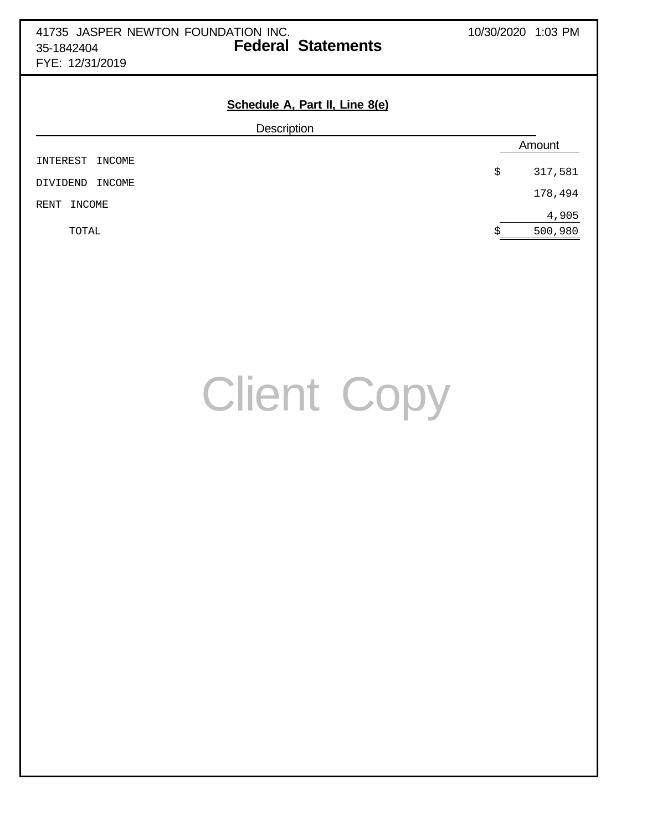| 41735 JASPER NEWTON FOUNDATION INC. |                           |
|-------------------------------------|---------------------------|
| 35-1842404                          | <b>Federal Statements</b> |
| FYE: 12/31/2019                     |                           |

| Schedule A, Part II, Line 8(e) |  |
|--------------------------------|--|
|--------------------------------|--|

| Description        |   |         |
|--------------------|---|---------|
|                    |   | Amount  |
| INTEREST<br>INCOME | S | 317,581 |
| DIVIDEND<br>INCOME |   | 178,494 |
| INCOME<br>RENT     |   | 4,905   |
| TOTAL              |   | 500,980 |

Client Copy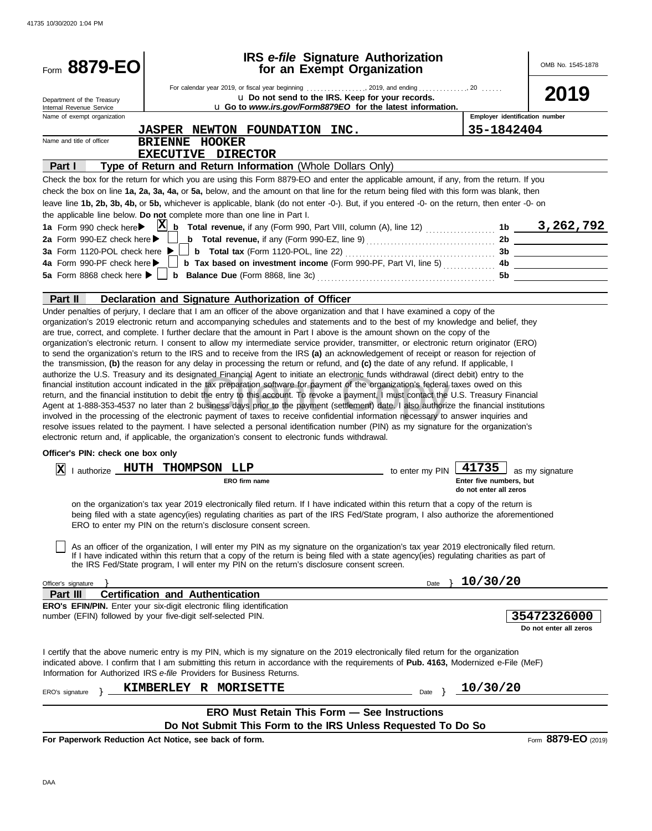| Form 8879-EO                                                                               | OMB No. 1545-1878                                                                                                                                                                                                                                                                                                                                                                                                                                                                                                                                                                                                                                                                                                                                                                                                                                                                                                                                                                                                                                                                                 |                                                                                                                |                                                   |                                       |
|--------------------------------------------------------------------------------------------|---------------------------------------------------------------------------------------------------------------------------------------------------------------------------------------------------------------------------------------------------------------------------------------------------------------------------------------------------------------------------------------------------------------------------------------------------------------------------------------------------------------------------------------------------------------------------------------------------------------------------------------------------------------------------------------------------------------------------------------------------------------------------------------------------------------------------------------------------------------------------------------------------------------------------------------------------------------------------------------------------------------------------------------------------------------------------------------------------|----------------------------------------------------------------------------------------------------------------|---------------------------------------------------|---------------------------------------|
|                                                                                            | for an Exempt Organization                                                                                                                                                                                                                                                                                                                                                                                                                                                                                                                                                                                                                                                                                                                                                                                                                                                                                                                                                                                                                                                                        |                                                                                                                |                                                   |                                       |
| Department of the Treasury<br>Internal Revenue Service                                     |                                                                                                                                                                                                                                                                                                                                                                                                                                                                                                                                                                                                                                                                                                                                                                                                                                                                                                                                                                                                                                                                                                   | u Do not send to the IRS. Keep for your records.<br>u Go to www.irs.gov/Form8879EO for the latest information. |                                                   | 2019                                  |
| Name of exempt organization                                                                |                                                                                                                                                                                                                                                                                                                                                                                                                                                                                                                                                                                                                                                                                                                                                                                                                                                                                                                                                                                                                                                                                                   |                                                                                                                | Employer identification number                    |                                       |
|                                                                                            | JASPER NEWTON FOUNDATION INC.                                                                                                                                                                                                                                                                                                                                                                                                                                                                                                                                                                                                                                                                                                                                                                                                                                                                                                                                                                                                                                                                     |                                                                                                                | 35-1842404                                        |                                       |
| Name and title of officer                                                                  | <b>HOOKER</b><br><b>BRIENNE</b>                                                                                                                                                                                                                                                                                                                                                                                                                                                                                                                                                                                                                                                                                                                                                                                                                                                                                                                                                                                                                                                                   |                                                                                                                |                                                   |                                       |
| Part I                                                                                     | EXECUTIVE DIRECTOR<br>Type of Return and Return Information (Whole Dollars Only)                                                                                                                                                                                                                                                                                                                                                                                                                                                                                                                                                                                                                                                                                                                                                                                                                                                                                                                                                                                                                  |                                                                                                                |                                                   |                                       |
|                                                                                            | Check the box for the return for which you are using this Form 8879-EO and enter the applicable amount, if any, from the return. If you                                                                                                                                                                                                                                                                                                                                                                                                                                                                                                                                                                                                                                                                                                                                                                                                                                                                                                                                                           |                                                                                                                |                                                   |                                       |
|                                                                                            | check the box on line 1a, 2a, 3a, 4a, or 5a, below, and the amount on that line for the return being filed with this form was blank, then                                                                                                                                                                                                                                                                                                                                                                                                                                                                                                                                                                                                                                                                                                                                                                                                                                                                                                                                                         |                                                                                                                |                                                   |                                       |
|                                                                                            | leave line 1b, 2b, 3b, 4b, or 5b, whichever is applicable, blank (do not enter -0-). But, if you entered -0- on the return, then enter -0- on                                                                                                                                                                                                                                                                                                                                                                                                                                                                                                                                                                                                                                                                                                                                                                                                                                                                                                                                                     |                                                                                                                |                                                   |                                       |
|                                                                                            | the applicable line below. Do not complete more than one line in Part I.                                                                                                                                                                                                                                                                                                                                                                                                                                                                                                                                                                                                                                                                                                                                                                                                                                                                                                                                                                                                                          |                                                                                                                |                                                   |                                       |
| 1a Form 990 check here                                                                     | $X_{n}$ Total revenue, if any (Form 990, Part VIII, column (A), line 12)  1b $3,262,792$                                                                                                                                                                                                                                                                                                                                                                                                                                                                                                                                                                                                                                                                                                                                                                                                                                                                                                                                                                                                          |                                                                                                                |                                                   |                                       |
| 2a Form 990-EZ check here ▶                                                                |                                                                                                                                                                                                                                                                                                                                                                                                                                                                                                                                                                                                                                                                                                                                                                                                                                                                                                                                                                                                                                                                                                   |                                                                                                                |                                                   | 2b                                    |
| 3a Form 1120-POL check here ▶                                                              |                                                                                                                                                                                                                                                                                                                                                                                                                                                                                                                                                                                                                                                                                                                                                                                                                                                                                                                                                                                                                                                                                                   |                                                                                                                |                                                   |                                       |
| 4a Form 990-PF check here ▶<br>5a Form 8868 check here $\blacktriangleright$ $\mid$ $\mid$ |                                                                                                                                                                                                                                                                                                                                                                                                                                                                                                                                                                                                                                                                                                                                                                                                                                                                                                                                                                                                                                                                                                   | b Tax based on investment income (Form 990-PF, Part VI, line 5) [11, 1200] 4b                                  |                                                   |                                       |
|                                                                                            |                                                                                                                                                                                                                                                                                                                                                                                                                                                                                                                                                                                                                                                                                                                                                                                                                                                                                                                                                                                                                                                                                                   |                                                                                                                |                                                   |                                       |
| Part II                                                                                    | Declaration and Signature Authorization of Officer                                                                                                                                                                                                                                                                                                                                                                                                                                                                                                                                                                                                                                                                                                                                                                                                                                                                                                                                                                                                                                                |                                                                                                                |                                                   |                                       |
|                                                                                            | the transmission, (b) the reason for any delay in processing the return or refund, and (c) the date of any refund. If applicable, I<br>authorize the U.S. Treasury and its designated Financial Agent to initiate an electronic funds withdrawal (direct debit) entry to the<br>financial institution account indicated in the tax preparation software for payment of the organization's federal taxes owed on this<br>return, and the financial institution to debit the entry to this account. To revoke a payment, I must contact the U.S. Treasury Financial<br>Agent at 1-888-353-4537 no later than 2 business days prior to the payment (settlement) date. I also authorize the financial institutions<br>involved in the processing of the electronic payment of taxes to receive confidential information necessary to answer inquiries and<br>resolve issues related to the payment. I have selected a personal identification number (PIN) as my signature for the organization's<br>electronic return and, if applicable, the organization's consent to electronic funds withdrawal. |                                                                                                                |                                                   |                                       |
| Officer's PIN: check one box only                                                          |                                                                                                                                                                                                                                                                                                                                                                                                                                                                                                                                                                                                                                                                                                                                                                                                                                                                                                                                                                                                                                                                                                   |                                                                                                                |                                                   |                                       |
| X                                                                                          | I authorize <b>HUTH THOMPSON LLP</b>                                                                                                                                                                                                                                                                                                                                                                                                                                                                                                                                                                                                                                                                                                                                                                                                                                                                                                                                                                                                                                                              |                                                                                                                | 41735                                             |                                       |
|                                                                                            | ERO firm name                                                                                                                                                                                                                                                                                                                                                                                                                                                                                                                                                                                                                                                                                                                                                                                                                                                                                                                                                                                                                                                                                     | to enter my PIN                                                                                                | Enter five numbers, but<br>do not enter all zeros | as my signature                       |
|                                                                                            | on the organization's tax year 2019 electronically filed return. If I have indicated within this return that a copy of the return is<br>being filed with a state agency(ies) regulating charities as part of the IRS Fed/State program, I also authorize the aforementioned<br>ERO to enter my PIN on the return's disclosure consent screen.                                                                                                                                                                                                                                                                                                                                                                                                                                                                                                                                                                                                                                                                                                                                                     |                                                                                                                |                                                   |                                       |
|                                                                                            | As an officer of the organization, I will enter my PIN as my signature on the organization's tax year 2019 electronically filed return.<br>If I have indicated within this return that a copy of the return is being filed with a state agency(ies) regulating charities as part of<br>the IRS Fed/State program, I will enter my PIN on the return's disclosure consent screen.                                                                                                                                                                                                                                                                                                                                                                                                                                                                                                                                                                                                                                                                                                                  |                                                                                                                |                                                   |                                       |
| Officer's signature                                                                        |                                                                                                                                                                                                                                                                                                                                                                                                                                                                                                                                                                                                                                                                                                                                                                                                                                                                                                                                                                                                                                                                                                   | Date                                                                                                           | 10/30/20                                          |                                       |
| Part III                                                                                   | <b>Certification and Authentication</b>                                                                                                                                                                                                                                                                                                                                                                                                                                                                                                                                                                                                                                                                                                                                                                                                                                                                                                                                                                                                                                                           |                                                                                                                |                                                   |                                       |
|                                                                                            | <b>ERO's EFIN/PIN.</b> Enter your six-digit electronic filing identification<br>number (EFIN) followed by your five-digit self-selected PIN.                                                                                                                                                                                                                                                                                                                                                                                                                                                                                                                                                                                                                                                                                                                                                                                                                                                                                                                                                      |                                                                                                                |                                                   | 35472326000<br>Do not enter all zeros |
|                                                                                            | I certify that the above numeric entry is my PIN, which is my signature on the 2019 electronically filed return for the organization<br>indicated above. I confirm that I am submitting this return in accordance with the requirements of Pub. 4163, Modernized e-File (MeF)<br>Information for Authorized IRS e-file Providers for Business Returns.                                                                                                                                                                                                                                                                                                                                                                                                                                                                                                                                                                                                                                                                                                                                            |                                                                                                                |                                                   |                                       |
| ERO's signature                                                                            | KIMBERLEY R MORISETTE                                                                                                                                                                                                                                                                                                                                                                                                                                                                                                                                                                                                                                                                                                                                                                                                                                                                                                                                                                                                                                                                             | Date                                                                                                           | 10/30/20                                          |                                       |
|                                                                                            |                                                                                                                                                                                                                                                                                                                                                                                                                                                                                                                                                                                                                                                                                                                                                                                                                                                                                                                                                                                                                                                                                                   | <b>ERO Must Retain This Form - See Instructions</b>                                                            |                                                   |                                       |
|                                                                                            | Do Not Submit This Form to the IRS Unless Requested To Do So                                                                                                                                                                                                                                                                                                                                                                                                                                                                                                                                                                                                                                                                                                                                                                                                                                                                                                                                                                                                                                      |                                                                                                                |                                                   |                                       |
|                                                                                            | For Paperwork Reduction Act Notice, see back of form.                                                                                                                                                                                                                                                                                                                                                                                                                                                                                                                                                                                                                                                                                                                                                                                                                                                                                                                                                                                                                                             |                                                                                                                |                                                   | Form 8879-EO (2019)                   |